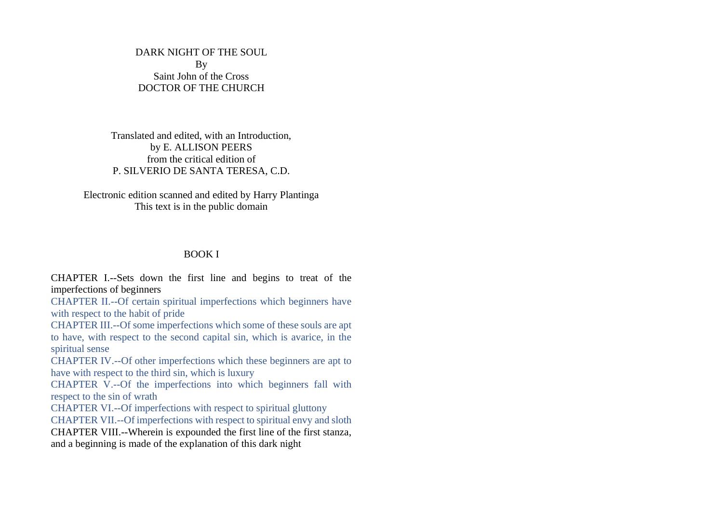DARK NIGHT OF THE SOUL By Saint John of the Cross DOCTOR OF THE CHURCH

Translated and edited, with an Introduction, by E. ALLISON PEERS from the critical edition of P. SILVERIO DE SANTA TERESA, C.D.

Electronic edition scanned and edited by Harry Plantinga This text is in the public domain

## BOOK I

CHAPTER I.--Sets down the first line and begins to treat of the imperfections of beginners

CHAPTER II.--Of certain spiritual imperfections which beginners have with respect to the habit of pride

CHAPTER III.--Of some imperfections which some of these souls are apt to have, with respect to the second capital sin, which is avarice, in the spiritual sense

CHAPTER IV.--Of other imperfections which these beginners are apt to have with respect to the third sin, which is luxury

CHAPTER V.--Of the imperfections into which beginners fall with respect to the sin of wrath

CHAPTER VI.--Of imperfections with respect to spiritual gluttony

CHAPTER VII.--Of imperfections with respect to spiritual envy and sloth CHAPTER VIII.--Wherein is expounded the first line of the first stanza,

and a beginning is made of the explanation of this dark night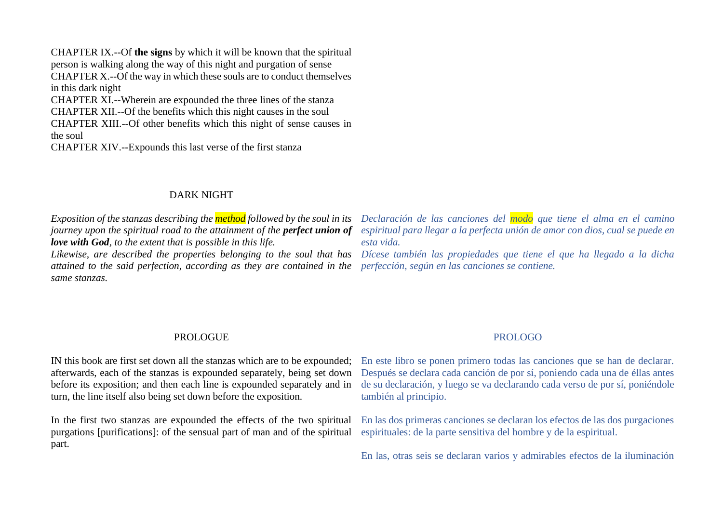CHAPTER IX.--Of **the signs** by which it will be known that the spiritual person is walking along the way of this night and purgation of sense CHAPTER X.--Of the way in which these souls are to conduct themselves in this dark night

CHAPTER XI.--Wherein are expounded the three lines of the stanza CHAPTER XII.--Of the benefits which this night causes in the soul CHAPTER XIII.--Of other benefits which this night of sense causes in the soul

CHAPTER XIV.--Expounds this last verse of the first stanza

# DARK NIGHT

*love with God, to the extent that is possible in this life.*

*attained to the said perfection, according as they are contained in the perfección, según en las canciones se contiene. same stanzas.*

Exposition of the stanzas describing the method followed by the soul in its Declaración de las canciones del modo que tiene el alma en el camino *journey upon the spiritual road to the attainment of the perfect union of espiritual para llegar a la perfecta unión de amor con dios, cual se puede en esta vida.*

Likewise, are described the properties belonging to the soul that has Dícese también las propiedades que tiene el que ha llegado a la dicha

# PROLOGUE

IN this book are first set down all the stanzas which are to be expounded; afterwards, each of the stanzas is expounded separately, being set down before its exposition; and then each line is expounded separately and in turn, the line itself also being set down before the exposition.

In the first two stanzas are expounded the effects of the two spiritual purgations [purifications]: of the sensual part of man and of the spiritual part.

# PROLOGO

En este libro se ponen primero todas las canciones que se han de declarar. Después se declara cada canción de por sí, poniendo cada una de éllas antes de su declaración, y luego se va declarando cada verso de por sí, poniéndole también al principio.

En las dos primeras canciones se declaran los efectos de las dos purgaciones espirituales: de la parte sensitiva del hombre y de la espiritual.

En las, otras seis se declaran varios y admirables efectos de la iluminación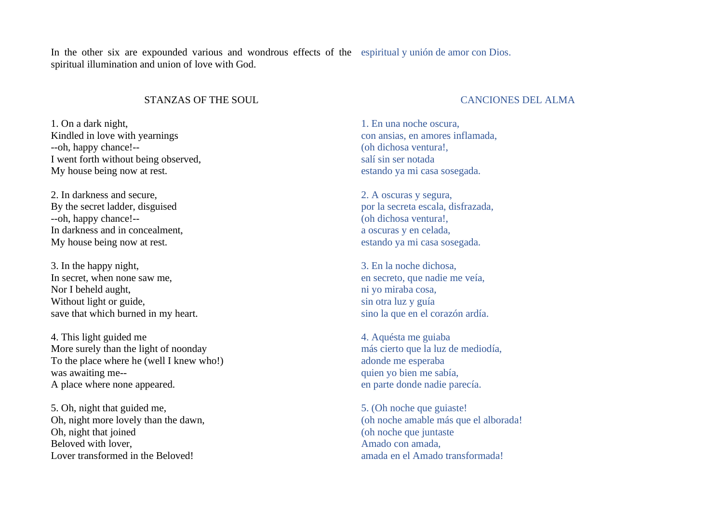In the other six are expounded various and wondrous effects of the espiritual y unión de amor con Dios. spiritual illumination and union of love with God.

### STANZAS OF THE SOUL

1. On a dark night, Kindled in love with yearnings --oh, happy chance!-- I went forth without being observed, My house being now at rest.

2. In darkness and secure, By the secret ladder, disguised --oh, happy chance!-- In darkness and in concealment, My house being now at rest.

3. In the happy night, In secret, when none saw me, Nor I beheld aught, Without light or guide, save that which burned in my heart.

4. This light guided me More surely than the light of noonday To the place where he (well I knew who!) was awaiting me-- A place where none appeared.

5. Oh, night that guided me, Oh, night more lovely than the dawn, Oh, night that joined Beloved with lover, Lover transformed in the Beloved!

### CANCIONES DEL ALMA

1. En una noche oscura, con ansias, en amores inflamada, (oh dichosa ventura!, salí sin ser notada estando ya mi casa sosegada.

2. A oscuras y segura, por la secreta escala, disfrazada, (oh dichosa ventura!, a oscuras y en celada, estando ya mi casa sosegada.

3. En la noche dichosa, en secreto, que nadie me veía, ni yo miraba cosa, sin otra luz y guía sino la que en el corazón ardía.

4. Aquésta me guiaba más cierto que la luz de mediodía, adonde me esperaba quien yo bien me sabía, en parte donde nadie parecía.

5. (Oh noche que guiaste! (oh noche amable más que el alborada! (oh noche que juntaste Amado con amada, amada en el Amado transformada!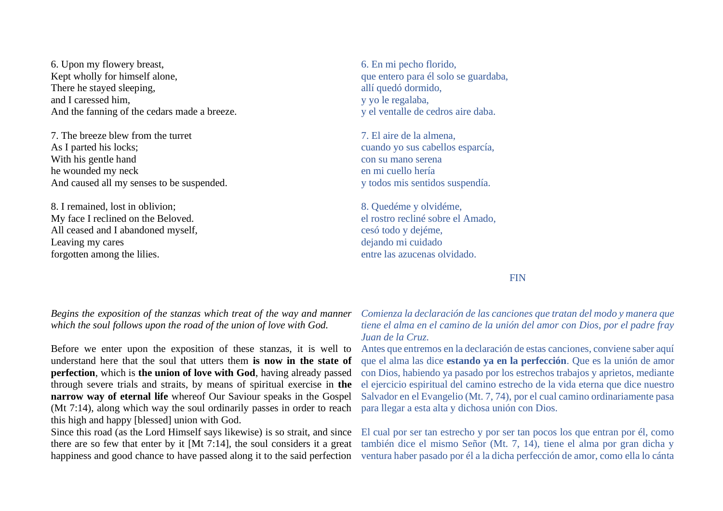6. Upon my flowery breast, Kept wholly for himself alone, There he stayed sleeping, and I caressed him, And the fanning of the cedars made a breeze.

7. The breeze blew from the turret As I parted his locks; With his gentle hand he wounded my neck And caused all my senses to be suspended.

8. I remained, lost in oblivion; My face I reclined on the Beloved. All ceased and I abandoned myself, Leaving my cares forgotten among the lilies.

6. En mi pecho florido, que entero para él solo se guardaba, allí quedó dormido, y yo le regalaba, y el ventalle de cedros aire daba.

7. El aire de la almena, cuando yo sus cabellos esparcía, con su mano serena en mi cuello hería y todos mis sentidos suspendía.

8. Quedéme y olvidéme, el rostro recliné sobre el Amado, cesó todo y dejéme, dejando mi cuidado entre las azucenas olvidado.

**FIN** 

# *which the soul follows upon the road of the union of love with God.*

understand here that the soul that utters them **is now in the state of perfection**, which is **the union of love with God**, having already passed through severe trials and straits, by means of spiritual exercise in **the narrow way of eternal life** whereof Our Saviour speaks in the Gospel (Mt 7:14), along which way the soul ordinarily passes in order to reach this high and happy [blessed] union with God.

Begins the exposition of the stanzas which treat of the way and manner Comienza la declaración de las canciones que tratan del modo y manera que *tiene el alma en el camino de la unión del amor con Dios, por el padre fray Juan de la Cruz.*

Before we enter upon the exposition of these stanzas, it is well to Antes que entremos en la declaración de estas canciones, conviene saber aquí que el alma las dice **estando ya en la perfección**. Que es la unión de amor con Dios, habiendo ya pasado por los estrechos trabajos y aprietos, mediante el ejercicio espiritual del camino estrecho de la vida eterna que dice nuestro Salvador en el Evangelio (Mt. 7, 74), por el cual camino ordinariamente pasa para llegar a esta alta y dichosa unión con Dios.

Since this road (as the Lord Himself says likewise) is so strait, and since El cual por ser tan estrecho y por ser tan pocos los que entran por él, como there are so few that enter by it [Mt 7:14], the soul considers it a great también dice el mismo Señor (Mt. 7, 14), tiene el alma por gran dicha y happiness and good chance to have passed along it to the said perfection ventura haber pasado por él a la dicha perfección de amor, como ella lo cánta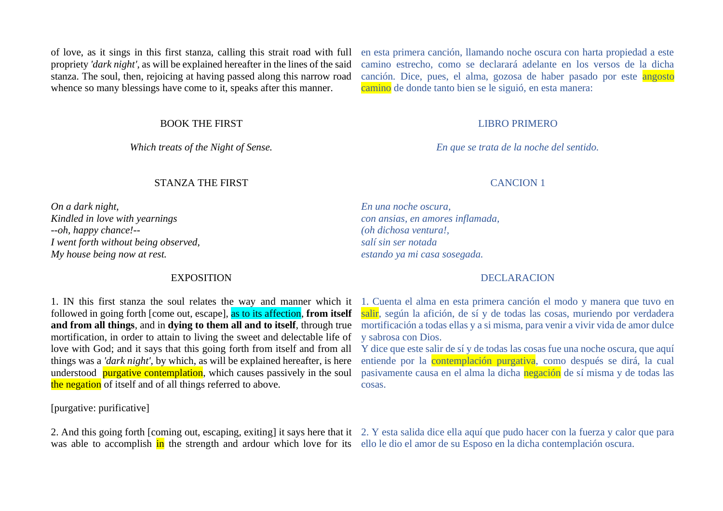of love, as it sings in this first stanza, calling this strait road with full propriety *'dark night'*, as will be explained hereafter in the lines of the said stanza. The soul, then, rejoicing at having passed along this narrow road whence so many blessings have come to it, speaks after this manner.

BOOK THE FIRST

*Which treats of the Night of Sense.*

### STANZA THE FIRST

*On a dark night, Kindled in love with yearnings --oh, happy chance!-- I went forth without being observed, My house being now at rest.*

### **EXPOSITION**

1. IN this first stanza the soul relates the way and manner which it followed in going forth [come out, escape], as to its affection, **from itself and from all things**, and in **dying to them all and to itself**, through true mortification, in order to attain to living the sweet and delectable life of love with God; and it says that this going forth from itself and from all things was a *'dark night',* by which, as will be explained hereafter, is here understood purgative contemplation, which causes passively in the soul the negation of itself and of all things referred to above.

[purgative: purificative]

2. And this going forth [coming out, escaping, exiting] it says here that it 2. Y esta salida dice ella aquí que pudo hacer con la fuerza y calor que para was able to accomplish in the strength and ardour which love for its ello le dio el amor de su Esposo en la dicha contemplación oscura.

en esta primera canción, llamando noche oscura con harta propiedad a este camino estrecho, como se declarará adelante en los versos de la dicha canción. Dice, pues, el alma, gozosa de haber pasado por este angosto camino de donde tanto bien se le siguió, en esta manera:

### LIBRO PRIMERO

*En que se trata de la noche del sentido.*

### CANCION 1

*En una noche oscura, con ansias, en amores inflamada, (oh dichosa ventura!, salí sin ser notada estando ya mi casa sosegada.*

### **DECLARACION**

1. Cuenta el alma en esta primera canción el modo y manera que tuvo en salir, según la afición, de sí y de todas las cosas, muriendo por verdadera mortificación a todas ellas y a si misma, para venir a vivir vida de amor dulce y sabrosa con Dios.

Y dice que este salir de sí y de todas las cosas fue una noche oscura, que aquí entiende por la contemplación purgativa, como después se dirá, la cual pasivamente causa en el alma la dicha negación de sí misma y de todas las cosas.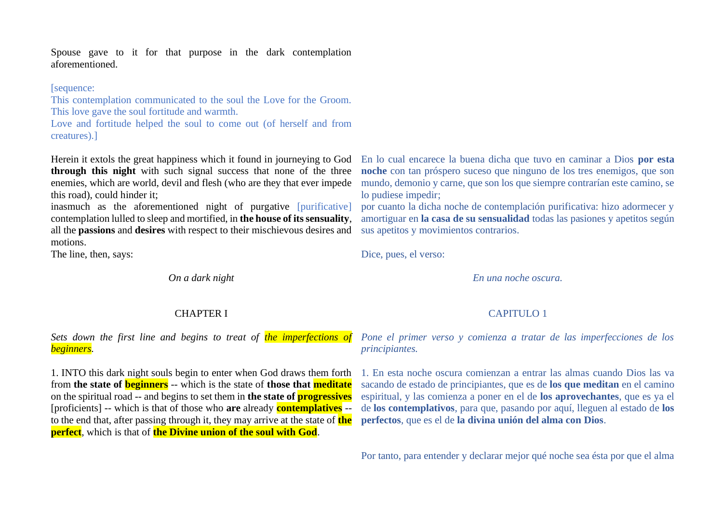Spouse gave to it for that purpose in the dark contemplation aforementioned.

### [sequence:

This contemplation communicated to the soul the Love for the Groom. This love gave the soul fortitude and warmth. Love and fortitude helped the soul to come out (of herself and from creatures).]

Herein it extols the great happiness which it found in journeying to God En lo cual encarece la buena dicha que tuvo en caminar a Dios **por esta through this night** with such signal success that none of the three enemies, which are world, devil and flesh (who are they that ever impede this road), could hinder it;

inasmuch as the aforementioned night of purgative [purificative] contemplation lulled to sleep and mortified, in **the house of its sensuality**, all the **passions** and **desires** with respect to their mischievous desires and motions.

The line, then, says:

*On a dark night*

### CHAPTER I

*Sets down the first line and begins to treat of the imperfections of beginners.*

1. INTO this dark night souls begin to enter when God draws them forth from **the state of beginners** -- which is the state of **those that meditate** on the spiritual road -- and begins to set them in **the state of progressives** [proficients] -- which is that of those who **are** already **contemplatives** - to the end that, after passing through it, they may arrive at the state of **the perfect**, which is that of **the Divine union of the soul with God**.

**noche** con tan próspero suceso que ninguno de los tres enemigos, que son mundo, demonio y carne, que son los que siempre contrarían este camino, se lo pudiese impedir;

por cuanto la dicha noche de contemplación purificativa: hizo adormecer y amortiguar en **la casa de su sensualidad** todas las pasiones y apetitos según sus apetitos y movimientos contrarios.

Dice, pues, el verso:

*En una noche oscura.*

## CAPITULO 1

*Pone el primer verso y comienza a tratar de las imperfecciones de los principiantes.*

1. En esta noche oscura comienzan a entrar las almas cuando Dios las va sacando de estado de principiantes, que es de **los que meditan** en el camino espiritual, y las comienza a poner en el de **los aprovechantes**, que es ya el de **los contemplativos**, para que, pasando por aquí, lleguen al estado de **los perfectos**, que es el de **la divina unión del alma con Dios**.

Por tanto, para entender y declarar mejor qué noche sea ésta por que el alma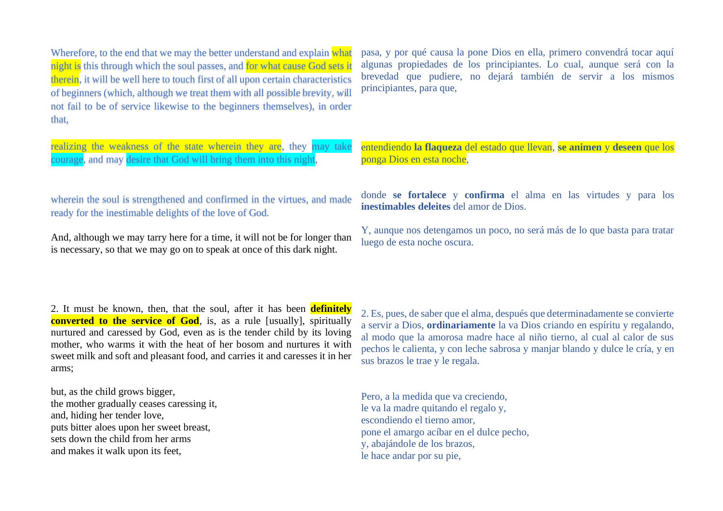Wherefore, to the end that we may the better understand and explain what night is this through which the soul passes, and for what cause God sets it therein, it will be well here to touch first of all upon certain characteristics of beginners (which, although we treat them with all possible brevity, will not fail to be of service likewise to the beginners themselves), in order that,

realizing the weakness of the state wherein they are, they may take courage, and may desire that God will bring them into this night,

wherein the soul is strengthened and confirmed in the virtues, and made ready for the inestimable delights of the love of God.

And, although we may tarry here for a time, it will not be for longer than is necessary, so that we may go on to speak at once of this dark night.

2. It must be known, then, that the soul, after it has been **definitely converted to the service of God**, is, as a rule [usually], spiritually nurtured and caressed by God, even as is the tender child by its loving mother, who warms it with the heat of her bosom and nurtures it with sweet milk and soft and pleasant food, and carries it and caresses it in her arms;

but, as the child grows bigger, the mother gradually ceases caressing it, and, hiding her tender love, puts bitter aloes upon her sweet breast, sets down the child from her arms and makes it walk upon its feet,

pasa, y por qué causa la pone Dios en ella, primero convendrá tocar aquí algunas propiedades de los principiantes. Lo cual, aunque será con la brevedad que pudiere, no dejará también de servir a los mismos principiantes, para que,

entendiendo **la flaqueza** del estado que llevan, **se animen** y **deseen** que los ponga Dios en esta noche,

donde **se fortalece** y **confirma** el alma en las virtudes y para los **inestimables deleites** del amor de Dios.

Y, aunque nos detengamos un poco, no será más de lo que basta para tratar luego de esta noche oscura.

2. Es, pues, de saber que el alma, después que determinadamente se convierte a servir a Dios, **ordinariamente** la va Dios criando en espíritu y regalando, al modo que la amorosa madre hace al niño tierno, al cual al calor de sus pechos le calienta, y con leche sabrosa y manjar blando y dulce le cría, y en sus brazos le trae y le regala.

Pero, a la medida que va creciendo, le va la madre quitando el regalo y, escondiendo el tierno amor, pone el amargo acíbar en el dulce pecho, y, abajándole de los brazos, le hace andar por su pie,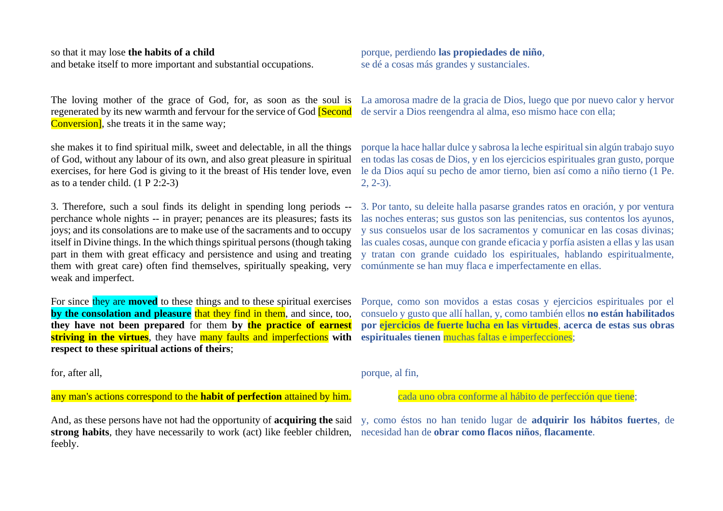so that it may lose **the habits of a child** and betake itself to more important and substantial occupations.

regenerated by its new warmth and fervour for the service of God [Second Conversion], she treats it in the same way;

she makes it to find spiritual milk, sweet and delectable, in all the things of God, without any labour of its own, and also great pleasure in spiritual exercises, for here God is giving to it the breast of His tender love, even as to a tender child. (1 P 2:2-3)

3. Therefore, such a soul finds its delight in spending long periods - perchance whole nights -- in prayer; penances are its pleasures; fasts its joys; and its consolations are to make use of the sacraments and to occupy itself in Divine things. In the which things spiritual persons (though taking part in them with great efficacy and persistence and using and treating them with great care) often find themselves, spiritually speaking, very weak and imperfect.

For since they are **moved** to these things and to these spiritual exercises **by the consolation and pleasure** that they find in them, and since, too, **they have not been prepared** for them **by the practice of earnest striving in the virtues**, they have many faults and imperfections **with respect to these spiritual actions of theirs**;

for, after all,

any man's actions correspond to the **habit of perfection** attained by him.

**strong habits**, they have necessarily to work (act) like feebler children, necesidad han de **obrar como flacos niños**, **flacamente**.feebly.

porque, perdiendo **las propiedades de niño**, se dé a cosas más grandes y sustanciales.

The loving mother of the grace of God, for, as soon as the soul is La amorosa madre de la gracia de Dios, luego que por nuevo calor y hervor de servir a Dios reengendra al alma, eso mismo hace con ella;

> porque la hace hallar dulce y sabrosa la leche espiritual sin algún trabajo suyo en todas las cosas de Dios, y en los ejercicios espirituales gran gusto, porque le da Dios aquí su pecho de amor tierno, bien así como a niño tierno (1 Pe. 2, 2-3).

> 3. Por tanto, su deleite halla pasarse grandes ratos en oración, y por ventura las noches enteras; sus gustos son las penitencias, sus contentos los ayunos, y sus consuelos usar de los sacramentos y comunicar en las cosas divinas; las cuales cosas, aunque con grande eficacia y porfía asisten a ellas y las usan y tratan con grande cuidado los espirituales, hablando espiritualmente, comúnmente se han muy flaca e imperfectamente en ellas.

> Porque, como son movidos a estas cosas y ejercicios espirituales por el consuelo y gusto que allí hallan, y, como también ellos **no están habilitados por ejercicios de fuerte lucha en las virtudes**, **acerca de estas sus obras espirituales tienen** muchas faltas e imperfecciones;

porque, al fin,

cada uno obra conforme al hábito de perfección que tiene;

And, as these persons have not had the opportunity of **acquiring the** said y, como éstos no han tenido lugar de **adquirir los hábitos fuertes**, de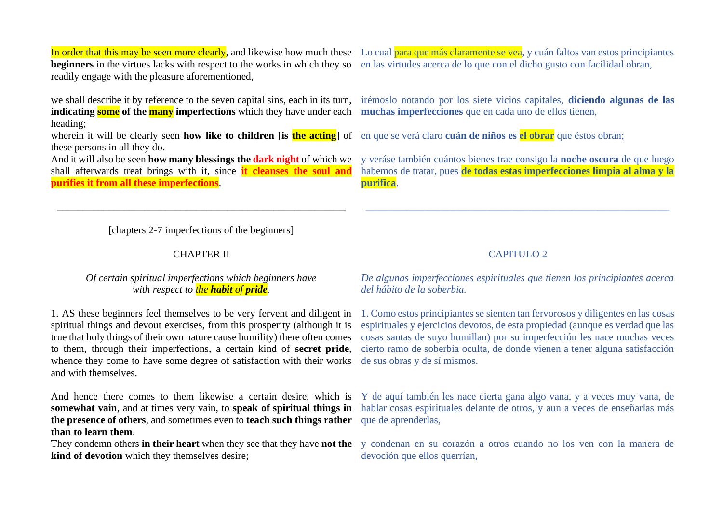In order that this may be seen more clearly, and likewise how much these Lo cual para que más claramente se vea, y cuán faltos van estos principiantes **beginners** in the virtues lacks with respect to the works in which they so en las virtudes acerca de lo que con el dicho gusto con facilidad obran, readily engage with the pleasure aforementioned,

**indicating some of the many imperfections** which they have under each **muchas imperfecciones** que en cada uno de ellos tienen, heading;

wherein it will be clearly seen **how like to children** [**is the acting**] of en que se verá claro **cuán de niños es el obrar** que éstos obran; these persons in all they do.

And it will also be seen **how many blessings the dark night** of which we y veráse también cuántos bienes trae consigo la **noche oscura** de que luego shall afterwards treat brings with it, since **it cleanses the soul and purifies it from all these imperfections**.

[chapters 2-7 imperfections of the beginners]

\_\_\_\_\_\_\_\_\_\_\_\_\_\_\_\_\_\_\_\_\_\_\_\_\_\_\_\_\_\_\_\_\_\_\_\_\_\_\_\_\_\_\_\_\_\_\_\_\_\_\_\_\_\_\_\_

### CHAPTER II

## *Of certain spiritual imperfections which beginners have with respect to the habit of pride.*

spiritual things and devout exercises, from this prosperity (although it is true that holy things of their own nature cause humility) there often comes to them, through their imperfections, a certain kind of **secret pride**, whence they come to have some degree of satisfaction with their works de sus obras y de sí mismos. and with themselves.

And hence there comes to them likewise a certain desire, which is Y de aquí también les nace cierta gana algo vana, y a veces muy vana, de **the presence of others**, and sometimes even to **teach such things rather**  que de aprenderlas, **than to learn them**.

**kind of devotion** which they themselves desire;

we shall describe it by reference to the seven capital sins, each in its turn, irémoslo notando por los siete vicios capitales, **diciendo algunas de las** 

habemos de tratar, pues **de todas estas imperfecciones limpia al alma y la purifica**.

\_\_\_\_\_\_\_\_\_\_\_\_\_\_\_\_\_\_\_\_\_\_\_\_\_\_\_\_\_\_\_\_\_\_\_\_\_\_\_\_\_\_\_\_\_\_\_\_\_\_\_\_\_\_\_\_\_\_\_

#### CAPITULO 2

*De algunas imperfecciones espirituales que tienen los principiantes acerca del hábito de la soberbia.*

1. AS these beginners feel themselves to be very fervent and diligent in 1. Como estos principiantes se sienten tan fervorosos y diligentes en las cosas espirituales y ejercicios devotos, de esta propiedad (aunque es verdad que las cosas santas de suyo humillan) por su imperfección les nace muchas veces cierto ramo de soberbia oculta, de donde vienen a tener alguna satisfacción

somewhat vain, and at times very vain, to speak of spiritual things in hablar cosas espirituales delante de otros, y aun a veces de enseñarlas más

They condemn others **in their heart** when they see that they have **not the**  y condenan en su corazón a otros cuando no los ven con la manera de devoción que ellos querrían,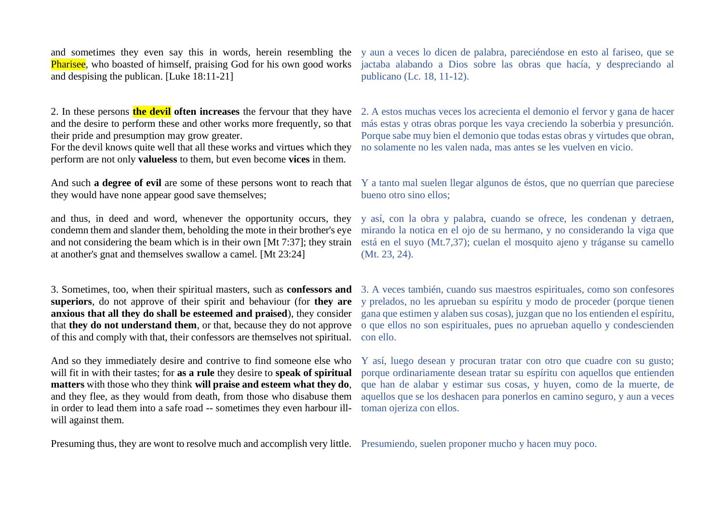and sometimes they even say this in words, herein resembling the y aun a veces lo dicen de palabra, pareciéndose en esto al fariseo, que se Pharisee, who boasted of himself, praising God for his own good works and despising the publican. [Luke 18:11-21]

and the desire to perform these and other works more frequently, so that their pride and presumption may grow greater.

For the devil knows quite well that all these works and virtues which they perform are not only **valueless** to them, but even become **vices** in them.

they would have none appear good save themselves;

condemn them and slander them, beholding the mote in their brother's eye and not considering the beam which is in their own [Mt 7:37]; they strain at another's gnat and themselves swallow a camel. [Mt 23:24]

3. Sometimes, too, when their spiritual masters, such as **confessors and**  3. A veces también, cuando sus maestros espirituales, como son confesores of this and comply with that, their confessors are themselves not spiritual. con ello.

And so they immediately desire and contrive to find someone else who Y así, luego desean y procuran tratar con otro que cuadre con su gusto; will fit in with their tastes; for **as a rule** they desire to **speak of spiritual matters** with those who they think **will praise and esteem what they do**, and they flee, as they would from death, from those who disabuse them in order to lead them into a safe road -- sometimes they even harbour illwill against them.

Presuming thus, they are wont to resolve much and accomplish very little. Presumiendo, suelen proponer mucho y hacen muy poco.

jactaba alabando a Dios sobre las obras que hacía, y despreciando al publicano (Lc. 18, 11-12).

2. In these persons **the devil often increases** the fervour that they have 2. A estos muchas veces los acrecienta el demonio el fervor y gana de hacer más estas y otras obras porque les vaya creciendo la soberbia y presunción. Porque sabe muy bien el demonio que todas estas obras y virtudes que obran, no solamente no les valen nada, mas antes se les vuelven en vicio.

And such a degree of evil are some of these persons wont to reach that Y a tanto mal suelen llegar algunos de éstos, que no querrían que pareciese bueno otro sino ellos;

and thus, in deed and word, whenever the opportunity occurs, they y así, con la obra y palabra, cuando se ofrece, les condenan y detraen, mirando la notica en el ojo de su hermano, y no considerando la viga que está en el suyo (Mt.7,37); cuelan el mosquito ajeno y tráganse su camello (Mt. 23, 24).

**superiors**, do not approve of their spirit and behaviour (for **they are**  y prelados, no les aprueban su espíritu y modo de proceder (porque tienen **anxious that all they do shall be esteemed and praised**), they consider gana que estimen y alaben sus cosas), juzgan que no los entienden el espíritu, that **they do not understand them**, or that, because they do not approve o que ellos no son espirituales, pues no aprueban aquello y condescienden

> porque ordinariamente desean tratar su espíritu con aquellos que entienden que han de alabar y estimar sus cosas, y huyen, como de la muerte, de aquellos que se los deshacen para ponerlos en camino seguro, y aun a veces toman ojeriza con ellos.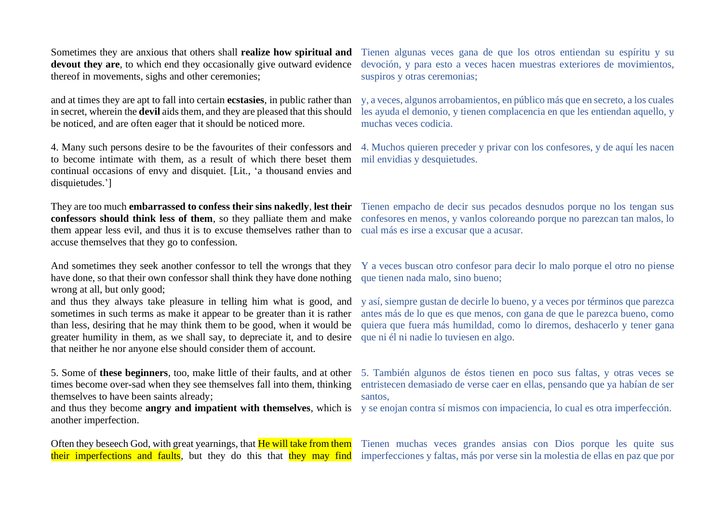Sometimes they are anxious that others shall **realize how spiritual and** Tienen algunas veces gana de que los otros entiendan su espíritu y su **devout they are**, to which end they occasionally give outward evidence thereof in movements, sighs and other ceremonies;

and at times they are apt to fall into certain **ecstasies**, in public rather than in secret, wherein the **devil** aids them, and they are pleased that this should be noticed, and are often eager that it should be noticed more.

to become intimate with them, as a result of which there beset them mil envidias y desquietudes. continual occasions of envy and disquiet. [Lit., 'a thousand envies and disquietudes.']

them appear less evil, and thus it is to excuse themselves rather than to cual más es irse a excusar que a acusar. accuse themselves that they go to confession.

have done, so that their own confessor shall think they have done nothing que tienen nada malo, sino bueno; wrong at all, but only good;

than less, desiring that he may think them to be good, when it would be greater humility in them, as we shall say, to depreciate it, and to desire que ni él ni nadie lo tuviesen en algo. that neither he nor anyone else should consider them of account.

times become over-sad when they see themselves fall into them, thinking themselves to have been saints already;

and thus they become **angry and impatient with themselves**, which is y se enojan contra sí mismos con impaciencia, lo cual es otra imperfección. another imperfection.

devoción, y para esto a veces hacen muestras exteriores de movimientos, suspiros y otras ceremonias;

y, a veces, algunos arrobamientos, en público más que en secreto, a los cuales les ayuda el demonio, y tienen complacencia en que les entiendan aquello, y muchas veces codicia.

4. Many such persons desire to be the favourites of their confessors and 4. Muchos quieren preceder y privar con los confesores, y de aquí les nacen

They are too much **embarrassed to confess their sins nakedly**, **lest their**  Tienen empacho de decir sus pecados desnudos porque no los tengan sus confessors should think less of them, so they palliate them and make confesores en menos, y vanlos coloreando porque no parezcan tan malos, lo

And sometimes they seek another confessor to tell the wrongs that they Y a veces buscan otro confesor para decir lo malo porque el otro no piense

and thus they always take pleasure in telling him what is good, and y así, siempre gustan de decirle lo bueno, y a veces por términos que parezca sometimes in such terms as make it appear to be greater than it is rather antes más de lo que es que menos, con gana de que le parezca bueno, como quiera que fuera más humildad, como lo diremos, deshacerlo y tener gana

5. Some of **these beginners**, too, make little of their faults, and at other 5. También algunos de éstos tienen en poco sus faltas, y otras veces se entristecen demasiado de verse caer en ellas, pensando que ya habían de ser santos,

Often they beseech God, with great yearnings, that **He will take from them** Tienen muchas veces grandes ansias con Dios porque les quite sus their imperfections and faults, but they do this that they may find imperfecciones y faltas, más por verse sin la molestia de ellas en paz que por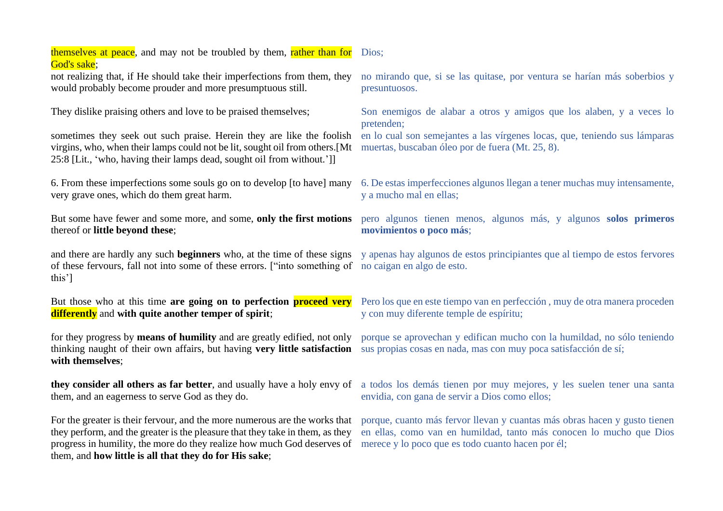themselves at peace, and may not be troubled by them, rather than for God's sake: Dios;

not realizing that, if He should take their imperfections from them, they would probably become prouder and more presumptuous still.

They dislike praising others and love to be praised themselves;

virgins, who, when their lamps could not be lit, sought oil from others.[Mt muertas, buscaban óleo por de fuera (Mt. 25, 8). 25:8 [Lit., 'who, having their lamps dead, sought oil from without.']]

very grave ones, which do them great harm.

thereof or **little beyond these**;

of these fervours, fall not into some of these errors. ["into something of no caigan en algo de esto. this']

But those who at this time **are going on to perfection proceed very differently** and **with quite another temper of spirit**;

for they progress by **means of humility** and are greatly edified, not only thinking naught of their own affairs, but having **very little satisfaction**  sus propias cosas en nada, mas con muy poca satisfacción de sí; **with themselves**;

them, and an eagerness to serve God as they do.

progress in humility, the more do they realize how much God deserves of merece y lo poco que es todo cuanto hacen por él;them, and **how little is all that they do for His sake**;

no mirando que, si se las quitase, por ventura se harían más soberbios y presuntuosos.

Son enemigos de alabar a otros y amigos que los alaben, y a veces lo pretenden;

sometimes they seek out such praise. Herein they are like the foolish en lo cual son semejantes a las vírgenes locas, que, teniendo sus lámparas

6. From these imperfections some souls go on to develop [to have] many 6. De estas imperfecciones algunos llegan a tener muchas muy intensamente, y a mucho mal en ellas;

But some have fewer and some more, and some, **only the first motions** pero algunos tienen menos, algunos más, y algunos **solos primeros movimientos o poco más**;

and there are hardly any such **beginners** who, at the time of these signs y apenas hay algunos de estos principiantes que al tiempo de estos fervores

Pero los que en este tiempo van en perfección , muy de otra manera proceden y con muy diferente temple de espíritu;

porque se aprovechan y edifican mucho con la humildad, no sólo teniendo

**they consider all others as far better**, and usually have a holy envy of a todos los demás tienen por muy mejores, y les suelen tener una santa envidia, con gana de servir a Dios como ellos;

For the greater is their fervour, and the more numerous are the works that porque, cuanto más fervor llevan y cuantas más obras hacen y gusto tienen they perform, and the greater is the pleasure that they take in them, as they en ellas, como van en humildad, tanto más conocen lo mucho que Dios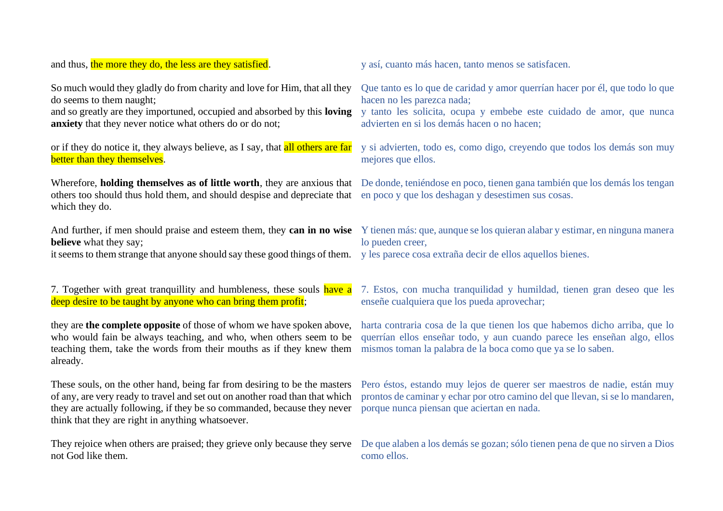| and thus, the more they do, the less are they satisfied.                                                                                                                                                                                                                                   | y así, cuanto más hacen, tanto menos se satisfacen.                                                                                                                                                                               |
|--------------------------------------------------------------------------------------------------------------------------------------------------------------------------------------------------------------------------------------------------------------------------------------------|-----------------------------------------------------------------------------------------------------------------------------------------------------------------------------------------------------------------------------------|
| So much would they gladly do from charity and love for Him, that all they<br>do seems to them naught;<br>and so greatly are they importuned, occupied and absorbed by this loving<br>anxiety that they never notice what others do or do not;                                              | Que tanto es lo que de caridad y amor querrían hacer por él, que todo lo que<br>hacen no les parezca nada;<br>y tanto les solicita, ocupa y embebe este cuidado de amor, que nunca<br>advierten en si los demás hacen o no hacen; |
| or if they do notice it, they always believe, as I say, that all others are far<br>better than they themselves.                                                                                                                                                                            | y si advierten, todo es, como digo, creyendo que todos los demás son muy<br>mejores que ellos.                                                                                                                                    |
| Wherefore, holding themselves as of little worth, they are anxious that<br>others too should thus hold them, and should despise and depreciate that<br>which they do.                                                                                                                      | De donde, teniéndose en poco, tienen gana también que los demás los tengan<br>en poco y que los deshagan y desestimen sus cosas.                                                                                                  |
| And further, if men should praise and esteem them, they can in no wise<br><b>believe</b> what they say;<br>it seems to them strange that anyone should say these good things of them.                                                                                                      | Y tienen más: que, aunque se los quieran alabar y estimar, en ninguna manera<br>lo pueden creer,<br>y les parece cosa extraña decir de ellos aquellos bienes.                                                                     |
| 7. Together with great tranquillity and humbleness, these souls have a<br>deep desire to be taught by anyone who can bring them profit;                                                                                                                                                    | 7. Estos, con mucha tranquilidad y humildad, tienen gran deseo que les<br>enseñe cualquiera que los pueda aprovechar;                                                                                                             |
| they are <b>the complete opposite</b> of those of whom we have spoken above,<br>who would fain be always teaching, and who, when others seem to be<br>teaching them, take the words from their mouths as if they knew them<br>already.                                                     | harta contraria cosa de la que tienen los que habemos dicho arriba, que lo<br>querrían ellos enseñar todo, y aun cuando parece les enseñan algo, ellos<br>mismos toman la palabra de la boca como que ya se lo saben.             |
| These souls, on the other hand, being far from desiring to be the masters<br>of any, are very ready to travel and set out on another road than that which<br>they are actually following, if they be so commanded, because they never<br>think that they are right in anything whatsoever. | Pero éstos, estando muy lejos de querer ser maestros de nadie, están muy<br>prontos de caminar y echar por otro camino del que llevan, si se lo mandaren,<br>porque nunca piensan que aciertan en nada.                           |

They rejoice when others are praised; they grieve only because they serve not God like them.

De que alaben a los demás se gozan; sólo tienen pena de que no sirven a Dios como ellos.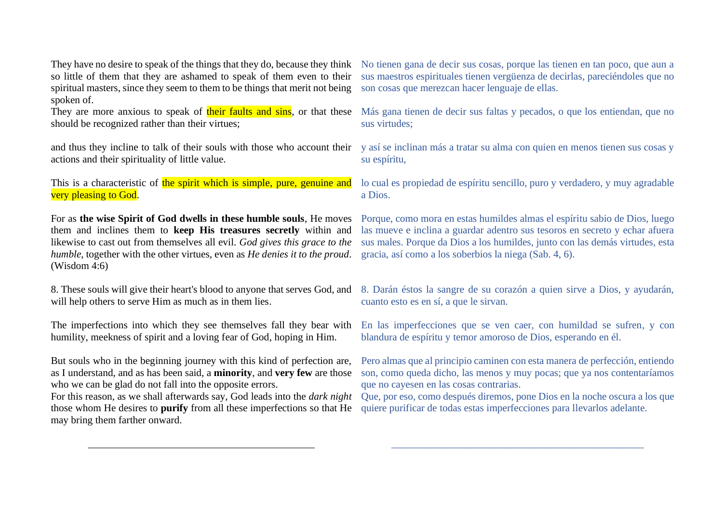so little of them that they are ashamed to speak of them even to their spiritual masters, since they seem to them to be things that merit not being son cosas que merezcan hacer lenguaje de ellas. spoken of.

They are more anxious to speak of their faults and sins, or that these should be recognized rather than their virtues;

and thus they incline to talk of their souls with those who account their actions and their spirituality of little value.

This is a characteristic of the spirit which is simple, pure, genuine and very pleasing to God.

For as **the wise Spirit of God dwells in these humble souls**, He moves them and inclines them to **keep His treasures secretly** within and likewise to cast out from themselves all evil. *God gives this grace to the humble*, together with the other virtues, even as *He denies it to the proud*. (Wisdom 4:6)

8. These souls will give their heart's blood to anyone that serves God, and will help others to serve Him as much as in them lies.

The imperfections into which they see themselves fall they bear with humility, meekness of spirit and a loving fear of God, hoping in Him.

But souls who in the beginning journey with this kind of perfection are, as I understand, and as has been said, a **minority**, and **very few** are those who we can be glad do not fall into the opposite errors.

For this reason, as we shall afterwards say, God leads into the *dark night* those whom He desires to **purify** from all these imperfections so that He quiere purificar de todas estas imperfecciones para llevarlos adelante. may bring them farther onward.

\_\_\_\_\_\_\_\_\_\_\_\_\_\_\_\_\_\_\_\_\_\_\_\_\_\_\_\_\_\_\_\_\_\_\_\_\_\_\_\_\_\_\_\_

They have no desire to speak of the things that they do, because they think No tienen gana de decir sus cosas, porque las tienen en tan poco, que aun a sus maestros espirituales tienen vergüenza de decirlas, pareciéndoles que no

> Más gana tienen de decir sus faltas y pecados, o que los entiendan, que no sus virtudes;

> y así se inclinan más a tratar su alma con quien en menos tienen sus cosas y su espíritu,

> lo cual es propiedad de espíritu sencillo, puro y verdadero, y muy agradable a Dios.

> Porque, como mora en estas humildes almas el espíritu sabio de Dios, luego las mueve e inclina a guardar adentro sus tesoros en secreto y echar afuera sus males. Porque da Dios a los humildes, junto con las demás virtudes, esta gracia, así como a los soberbios la niega (Sab. 4, 6).

> 8. Darán éstos la sangre de su corazón a quien sirve a Dios, y ayudarán, cuanto esto es en sí, a que le sirvan.

> En las imperfecciones que se ven caer, con humildad se sufren, y con blandura de espíritu y temor amoroso de Dios, esperando en él.

> Pero almas que al principio caminen con esta manera de perfección, entiendo son, como queda dicho, las menos y muy pocas; que ya nos contentaríamos que no cayesen en las cosas contrarias.

> Que, por eso, como después diremos, pone Dios en la noche oscura a los que

\_\_\_\_\_\_\_\_\_\_\_\_\_\_\_\_\_\_\_\_\_\_\_\_\_\_\_\_\_\_\_\_\_\_\_\_\_\_\_\_\_\_\_\_\_\_\_\_\_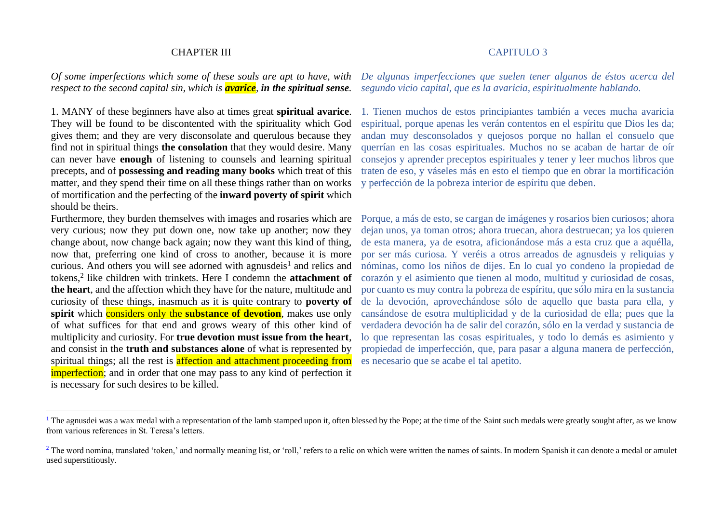### CHAPTER III

*respect to the second capital sin, which is avarice, in the spiritual sense. segundo vicio capital, que es la avaricia, espiritualmente hablando.*

They will be found to be discontented with the spirituality which God gives them; and they are very disconsolate and querulous because they find not in spiritual things **the consolation** that they would desire. Many can never have **enough** of listening to counsels and learning spiritual precepts, and of **possessing and reading many books** which treat of this matter, and they spend their time on all these things rather than on works of mortification and the perfecting of the **inward poverty of spirit** which should be theirs.

Furthermore, they burden themselves with images and rosaries which are very curious; now they put down one, now take up another; now they change about, now change back again; now they want this kind of thing, now that, preferring one kind of cross to another, because it is more curious. And others you will see adorned with agnusdeis<sup>1</sup> and relics and tokens,<sup>2</sup> like children with trinkets. Here I condemn the **attachment of the heart**, and the affection which they have for the nature, multitude and curiosity of these things, inasmuch as it is quite contrary to **poverty of spirit** which **considers only the substance of devotion**, makes use only of what suffices for that end and grows weary of this other kind of multiplicity and curiosity. For **true devotion must issue from the heart**, and consist in the **truth and substances alone** of what is represented by spiritual things; all the rest is affection and attachment proceeding from imperfection; and in order that one may pass to any kind of perfection it is necessary for such desires to be killed.

# Of some imperfections which some of these souls are apt to have, with De algunas imperfecciones que suelen tener algunos de éstos acerca del

CAPITULO 3

1. MANY of these beginners have also at times great **spiritual avarice**. 1. Tienen muchos de estos principiantes también a veces mucha avaricia espiritual, porque apenas les verán contentos en el espíritu que Dios les da; andan muy desconsolados y quejosos porque no hallan el consuelo que querrían en las cosas espirituales. Muchos no se acaban de hartar de oír consejos y aprender preceptos espirituales y tener y leer muchos libros que traten de eso, y váseles más en esto el tiempo que en obrar la mortificación y perfección de la pobreza interior de espíritu que deben.

> Porque, a más de esto, se cargan de imágenes y rosarios bien curiosos; ahora dejan unos, ya toman otros; ahora truecan, ahora destruecan; ya los quieren de esta manera, ya de esotra, aficionándose más a esta cruz que a aquélla, por ser más curiosa. Y veréis a otros arreados de agnusdeis y reliquias y nóminas, como los niños de dijes. En lo cual yo condeno la propiedad de corazón y el asimiento que tienen al modo, multitud y curiosidad de cosas, por cuanto es muy contra la pobreza de espíritu, que sólo mira en la sustancia de la devoción, aprovechándose sólo de aquello que basta para ella, y cansándose de esotra multiplicidad y de la curiosidad de ella; pues que la verdadera devoción ha de salir del corazón, sólo en la verdad y sustancia de lo que representan las cosas espirituales, y todo lo demás es asimiento y propiedad de imperfección, que, para pasar a alguna manera de perfección, es necesario que se acabe el tal apetito.

<sup>&</sup>lt;sup>1</sup> The agnusdei was a wax medal with a representation of the lamb stamped upon it, often blessed by the Pope; at the time of the Saint such medals were greatly sought after, as we know from various references in St. Teresa's letters.

<sup>&</sup>lt;sup>2</sup> The word nomina, translated 'token,' and normally meaning list, or 'roll,' refers to a relic on which were written the names of saints. In modern Spanish it can denote a medal or amulet used superstitiously.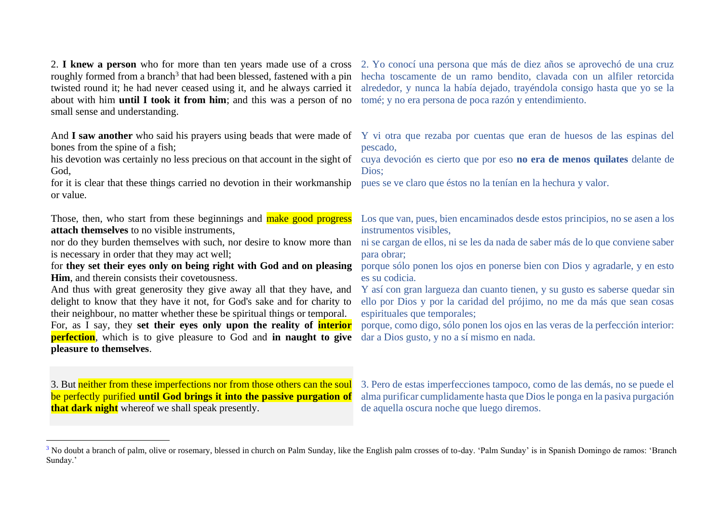about with him **until I took it from him**; and this was a person of no tomé; y no era persona de poca razón y entendimiento. small sense and understanding.

bones from the spine of a fish;

God,

for it is clear that these things carried no devotion in their workmanship or value.

Those, then, who start from these beginnings and make good progress **attach themselves** to no visible instruments,

is necessary in order that they may act well;

for **they set their eyes only on being right with God and on pleasing**  porque sólo ponen los ojos en ponerse bien con Dios y agradarle, y en esto **Him**, and therein consists their covetousness.

delight to know that they have it not, for God's sake and for charity to their neighbour, no matter whether these be spiritual things or temporal. For, as I say, they **set their eyes only upon the reality of interior perfection**, which is to give pleasure to God and **in naught to give**  dar a Dios gusto, y no a sí mismo en nada. **pleasure to themselves**.

3. But neither from these imperfections nor from those others can the soul be perfectly purified **until God brings it into the passive purgation of that dark night** whereof we shall speak presently.

2. **I knew a person** who for more than ten years made use of a cross 2. Yo conocí una persona que más de diez años se aprovechó de una cruz roughly formed from a branch<sup>3</sup> that had been blessed, fastened with a pin hecha toscamente de un ramo bendito, clavada con un alfiler retorcida twisted round it; he had never ceased using it, and he always carried it alrededor, y nunca la había dejado, trayéndola consigo hasta que yo se la

And I saw another who said his prayers using beads that were made of Y vi otra que rezaba por cuentas que eran de huesos de las espinas del pescado,

his devotion was certainly no less precious on that account in the sight of cuya devoción es cierto que por eso **no era de menos quilates** delante de Dios;

pues se ve claro que éstos no la tenían en la hechura y valor.

Los que van, pues, bien encaminados desde estos principios, no se asen a los instrumentos visibles,

nor do they burden themselves with such, nor desire to know more than ni se cargan de ellos, ni se les da nada de saber más de lo que conviene saber para obrar;

es su codicia.

And thus with great generosity they give away all that they have, and Y así con gran largueza dan cuanto tienen, y su gusto es saberse quedar sin ello por Dios y por la caridad del prójimo, no me da más que sean cosas espirituales que temporales;

porque, como digo, sólo ponen los ojos en las veras de la perfección interior:

3. Pero de estas imperfecciones tampoco, como de las demás, no se puede el alma purificar cumplidamente hasta que Dios le ponga en la pasiva purgación de aquella oscura noche que luego diremos.

<sup>&</sup>lt;sup>3</sup> No doubt a branch of palm, olive or rosemary, blessed in church on Palm Sunday, like the English palm crosses of to-day. 'Palm Sunday' is in Spanish Domingo de ramos: 'Branch Sunday.'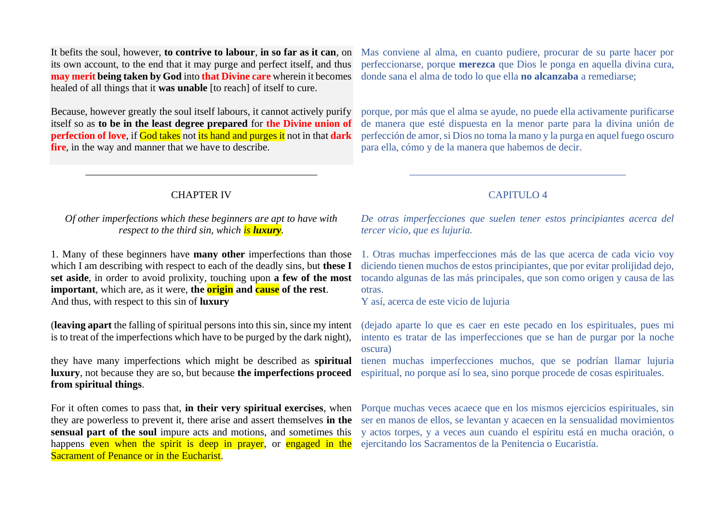It befits the soul, however, **to contrive to labour**, **in so far as it can**, on its own account, to the end that it may purge and perfect itself, and thus **may merit being taken by God** into **that Divine care** wherein it becomes healed of all things that it **was unable** [to reach] of itself to cure.

Because, however greatly the soul itself labours, it cannot actively purify itself so as **to be in the least degree prepared** for **the Divine union of perfection of love**, if **God takes** not **its hand and purges it** not in that **dark fire**, in the way and manner that we have to describe.

Mas conviene al alma, en cuanto pudiere, procurar de su parte hacer por perfeccionarse, porque **merezca** que Dios le ponga en aquella divina cura, donde sana el alma de todo lo que ella **no alcanzaba** a remediarse;

porque, por más que el alma se ayude, no puede ella activamente purificarse de manera que esté dispuesta en la menor parte para la divina unión de perfección de amor, si Dios no toma la mano y la purga en aquel fuego oscuro para ella, cómo y de la manera que habemos de decir.

# CHAPTER IV

\_\_\_\_\_\_\_\_\_\_\_\_\_\_\_\_\_\_\_\_\_\_\_\_\_\_\_\_\_\_\_\_\_\_\_\_\_\_\_\_\_\_\_\_\_

## *Of other imperfections which these beginners are apt to have with respect to the third sin, which is luxury.*

1. Many of these beginners have **many other** imperfections than those which I am describing with respect to each of the deadly sins, but **these I set aside**, in order to avoid prolixity, touching upon **a few of the most important**, which are, as it were, **the origin and cause of the rest**. And thus, with respect to this sin of **luxury**

(**leaving apart** the falling of spiritual persons into this sin, since my intent is to treat of the imperfections which have to be purged by the dark night),

they have many imperfections which might be described as **spiritual luxury**, not because they are so, but because **the imperfections proceed from spiritual things**.

For it often comes to pass that, **in their very spiritual exercises**, when Porque muchas veces acaece que en los mismos ejercicios espirituales, sin happens even when the spirit is deep in prayer, or engaged in the ejercitando los Sacramentos de la Penitencia o Eucaristía. Sacrament of Penance or in the Eucharist.

# CAPITULO 4

\_\_\_\_\_\_\_\_\_\_\_\_\_\_\_\_\_\_\_\_\_\_\_\_\_\_\_\_\_\_\_\_\_\_\_\_\_\_\_\_\_\_

*De otras imperfecciones que suelen tener estos principiantes acerca del tercer vicio, que es lujuria.*

1. Otras muchas imperfecciones más de las que acerca de cada vicio voy diciendo tienen muchos de estos principiantes, que por evitar prolijidad dejo, tocando algunas de las más principales, que son como origen y causa de las otras.

Y así, acerca de este vicio de lujuria

(dejado aparte lo que es caer en este pecado en los espirituales, pues mi intento es tratar de las imperfecciones que se han de purgar por la noche oscura)

tienen muchas imperfecciones muchos, que se podrían llamar lujuria espiritual, no porque así lo sea, sino porque procede de cosas espirituales.

they are powerless to prevent it, there arise and assert themselves **in the**  ser en manos de ellos, se levantan y acaecen en la sensualidad movimientos sensual part of the soul impure acts and motions, and sometimes this y actos torpes, y a veces aun cuando el espíritu está en mucha oración, o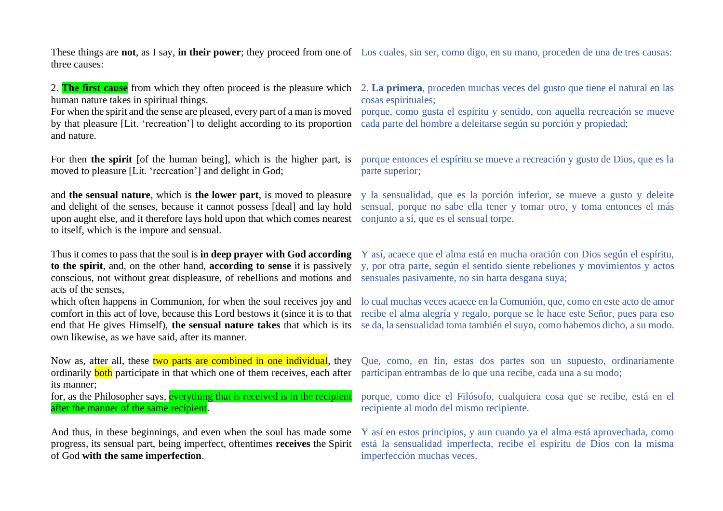These things are **not**, as I say, **in their power**; they proceed from one of Los cuales, sin ser, como digo, en su mano, proceden de una de tres causas: three causes:

human nature takes in spiritual things.

by that pleasure [Lit. 'recreation'] to delight according to its proportion cada parte del hombre a deleitarse según su porción y propiedad; and nature.

For then **the spirit** [of the human being], which is the higher part, is moved to pleasure [Lit. 'recreation'] and delight in God;

and delight of the senses, because it cannot possess [deal] and lay hold upon aught else, and it therefore lays hold upon that which comes nearest conjunto a sí, que es el sensual torpe. to itself, which is the impure and sensual.

conscious, not without great displeasure, of rebellions and motions and sensuales pasivamente, no sin harta desgana suya; acts of the senses,

own likewise, as we have said, after its manner.

ordinarily both participate in that which one of them receives, each after participan entrambas de lo que una recibe, cada una a su modo; its manner;

for, as the Philosopher says, everything that is received is in the recipient after the manner of the same recipient.

And thus, in these beginnings, and even when the soul has made some Y así en estos principios, y aun cuando ya el alma está aprovechada, como of God **with the same imperfection**.

2. **The first cause** from which they often proceed is the pleasure which 2. **La primera**, proceden muchas veces del gusto que tiene el natural en las cosas espirituales;

For when the spirit and the sense are pleased, every part of a man is moved porque, como gusta el espíritu y sentido, con aquella recreación se mueve

porque entonces el espíritu se mueve a recreación y gusto de Dios, que es la parte superior;

and **the sensual nature**, which is **the lower part**, is moved to pleasure y la sensualidad, que es la porción inferior, se mueve a gusto y deleite sensual, porque no sabe ella tener y tomar otro, y toma entonces el más

Thus it comes to pass that the soul is **in deep prayer with God according**  Y así, acaece que el alma está en mucha oración con Dios según el espíritu, **to the spirit**, and, on the other hand, **according to sense** it is passively y, por otra parte, según el sentido siente rebeliones y movimientos y actos

which often happens in Communion, for when the soul receives joy and lo cual muchas veces acaece en la Comunión, que, como en este acto de amor comfort in this act of love, because this Lord bestows it (since it is to that recibe el alma alegría y regalo, porque se le hace este Señor, pues para eso end that He gives Himself), **the sensual nature takes** that which is its se da, la sensualidad toma también el suyo, como habemos dicho, a su modo.

Now as, after all, these two parts are combined in one individual, they Que, como, en fin, estas dos partes son un supuesto, ordinariamente

porque, como dice el Filósofo, cualquiera cosa que se recibe, está en el recipiente al modo del mismo recipiente.

progress, its sensual part, being imperfect, oftentimes receives the Spirit está la sensualidad imperfecta, recibe el espíritu de Dios con la misma imperfección muchas veces.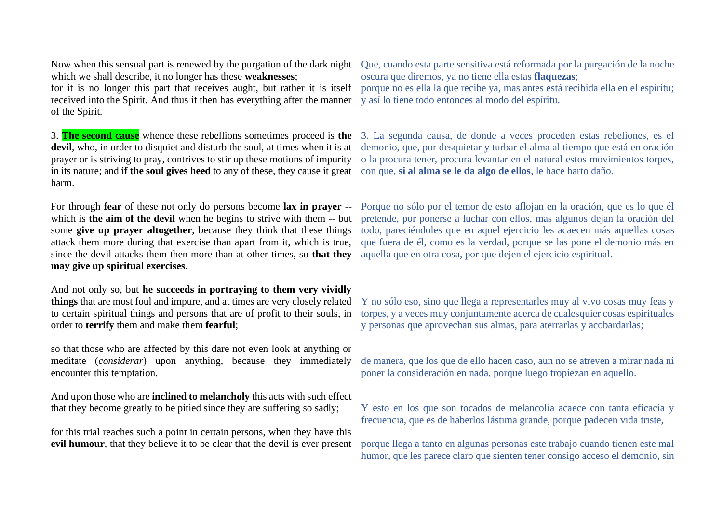Now when this sensual part is renewed by the purgation of the dark night which we shall describe, it no longer has these **weaknesses**;

for it is no longer this part that receives aught, but rather it is itself received into the Spirit. And thus it then has everything after the manner of the Spirit.

in its nature; and **if the soul gives heed** to any of these, they cause it great con que, **si al alma se le da algo de ellos**, le hace harto daño. harm.

which is **the aim of the devil** when he begins to strive with them -- but some **give up prayer altogether**, because they think that these things attack them more during that exercise than apart from it, which is true, since the devil attacks them then more than at other times, so **that they may give up spiritual exercises**.

And not only so, but **he succeeds in portraying to them very vividly**  order to **terrify** them and make them **fearful**;

so that those who are affected by this dare not even look at anything or meditate (*considerar*) upon anything, because they immediately encounter this temptation.

And upon those who are **inclined to melancholy** this acts with such effect that they become greatly to be pitied since they are suffering so sadly;

for this trial reaches such a point in certain persons, when they have this **evil humour**, that they believe it to be clear that the devil is ever present

Que, cuando esta parte sensitiva está reformada por la purgación de la noche oscura que diremos, ya no tiene ella estas **flaquezas**;

porque no es ella la que recibe ya, mas antes está recibida ella en el espíritu; y así lo tiene todo entonces al modo del espíritu.

3. **The second cause** whence these rebellions sometimes proceed is **the**  3. La segunda causa, de donde a veces proceden estas rebeliones, es el devil, who, in order to disquiet and disturb the soul, at times when it is at demonio, que, por desquietar y turbar el alma al tiempo que está en oración prayer or is striving to pray, contrives to stir up these motions of impurity o la procura tener, procura levantar en el natural estos movimientos torpes,

For through **fear** of these not only do persons become **lax in prayer** -- Porque no sólo por el temor de esto aflojan en la oración, que es lo que él pretende, por ponerse a luchar con ellos, mas algunos dejan la oración del todo, pareciéndoles que en aquel ejercicio les acaecen más aquellas cosas que fuera de él, como es la verdad, porque se las pone el demonio más en aquella que en otra cosa, por que dejen el ejercicio espiritual.

things that are most foul and impure, and at times are very closely related Y no sólo eso, sino que llega a representarles muy al vivo cosas muy feas y to certain spiritual things and persons that are of profit to their souls, in torpes, y a veces muy conjuntamente acerca de cualesquier cosas espirituales y personas que aprovechan sus almas, para aterrarlas y acobardarlas;

> de manera, que los que de ello hacen caso, aun no se atreven a mirar nada ni poner la consideración en nada, porque luego tropiezan en aquello.

> Y esto en los que son tocados de melancolía acaece con tanta eficacia y frecuencia, que es de haberlos lástima grande, porque padecen vida triste,

> porque llega a tanto en algunas personas este trabajo cuando tienen este mal humor, que les parece claro que sienten tener consigo acceso el demonio, sin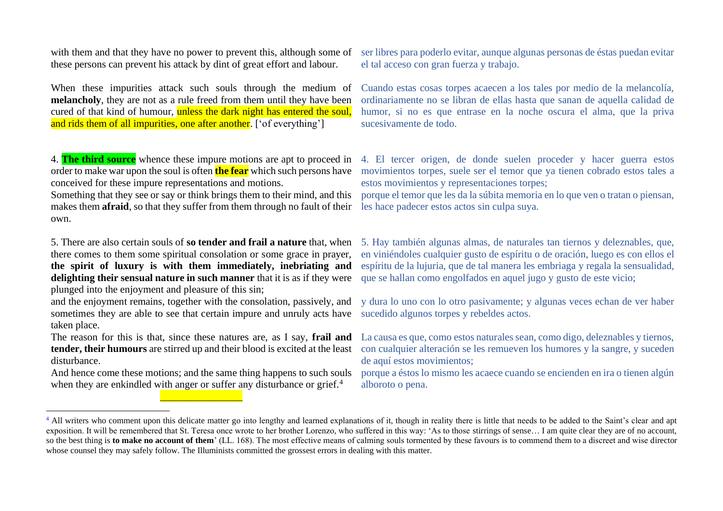with them and that they have no power to prevent this, although some of these persons can prevent his attack by dint of great effort and labour.

When these impurities attack such souls through the medium of **melancholy**, they are not as a rule freed from them until they have been cured of that kind of humour, unless the dark night has entered the soul, and rids them of all impurities, one after another. ['of everything']

conceived for these impure representations and motions.

Something that they see or say or think brings them to their mind, and this makes them **afraid**, so that they suffer from them through no fault of their own.

there comes to them some spiritual consolation or some grace in prayer, **the spirit of luxury is with them immediately, inebriating and delighting their sensual nature in such manner** that it is as if they were plunged into the enjoyment and pleasure of this sin;

and the enjoyment remains, together with the consolation, passively, and sometimes they are able to see that certain impure and unruly acts have sucedido algunos torpes y rebeldes actos. taken place.

**tender, their humours** are stirred up and their blood is excited at the least disturbance.

And hence come these motions; and the same thing happens to such souls when they are enkindled with anger or suffer any disturbance or grief.<sup>4</sup>

\_\_\_\_\_\_\_\_\_\_\_\_\_\_\_\_

ser libres para poderlo evitar, aunque algunas personas de éstas puedan evitar el tal acceso con gran fuerza y trabajo.

Cuando estas cosas torpes acaecen a los tales por medio de la melancolía, ordinariamente no se libran de ellas hasta que sanan de aquella calidad de humor, si no es que entrase en la noche oscura el alma, que la priva sucesivamente de todo.

4. **The third source** whence these impure motions are apt to proceed in 4. El tercer origen, de donde suelen proceder y hacer guerra estos order to make war upon the soul is often **the fear** which such persons have movimientos torpes, suele ser el temor que ya tienen cobrado estos tales a estos movimientos y representaciones torpes;

> porque el temor que les da la súbita memoria en lo que ven o tratan o piensan, les hace padecer estos actos sin culpa suya.

5. There are also certain souls of **so tender and frail a nature** that, when 5. Hay también algunas almas, de naturales tan tiernos y deleznables, que, en viniéndoles cualquier gusto de espíritu o de oración, luego es con ellos el espíritu de la lujuria, que de tal manera les embriaga y regala la sensualidad, que se hallan como engolfados en aquel jugo y gusto de este vicio;

y dura lo uno con lo otro pasivamente; y algunas veces echan de ver haber

The reason for this is that, since these natures are, as I say, frail and La causa es que, como estos naturales sean, como digo, deleznables y tiernos, con cualquier alteración se les remueven los humores y la sangre, y suceden de aquí estos movimientos;

> porque a éstos lo mismo les acaece cuando se encienden en ira o tienen algún alboroto o pena.

<sup>&</sup>lt;sup>4</sup> All writers who comment upon this delicate matter go into lengthy and learned explanations of it, though in reality there is little that needs to be added to the Saint's clear and apt exposition. It will be remembered that St. Teresa once wrote to her brother Lorenzo, who suffered in this way: 'As to those stirrings of sense… I am quite clear they are of no account, so the best thing is **to make no account of them**' (LL. 168). The most effective means of calming souls tormented by these favours is to commend them to a discreet and wise director whose counsel they may safely follow. The Illuminists committed the grossest errors in dealing with this matter.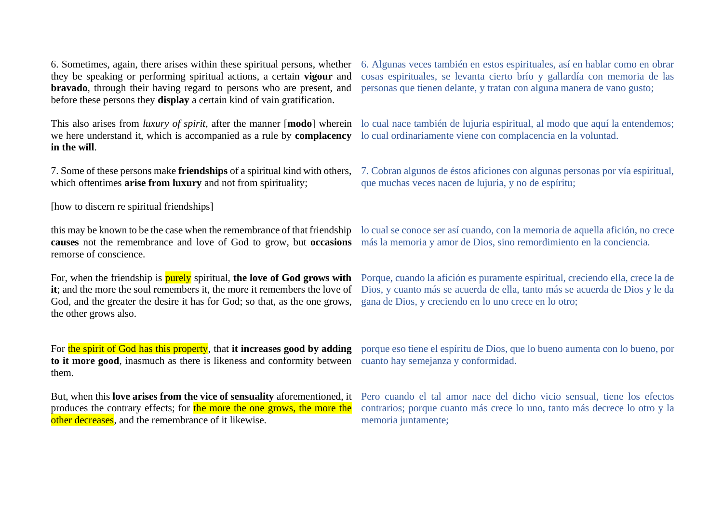they be speaking or performing spiritual actions, a certain **vigour** and **bravado**, through their having regard to persons who are present, and before these persons they **display** a certain kind of vain gratification.

we here understand it, which is accompanied as a rule by **complacency**  lo cual ordinariamente viene con complacencia en la voluntad. **in the will**.

which oftentimes **arise from luxury** and not from spirituality;

[how to discern re spiritual friendships]

**causes** not the remembrance and love of God to grow, but **occasions** más la memoria y amor de Dios, sino remordimiento en la conciencia. remorse of conscience.

God, and the greater the desire it has for God; so that, as the one grows, gana de Dios, y creciendo en lo uno crece en lo otro; the other grows also.

**to it more good**, inasmuch as there is likeness and conformity between cuanto hay semejanza y conformidad. them.

produces the contrary effects; for the more the one grows, the more the other decreases, and the remembrance of it likewise.

6. Sometimes, again, there arises within these spiritual persons, whether 6. Algunas veces también en estos espirituales, así en hablar como en obrar cosas espirituales, se levanta cierto brío y gallardía con memoria de las personas que tienen delante, y tratan con alguna manera de vano gusto;

This also arises from *luxury of spirit*, after the manner [**modo**] wherein lo cual nace también de lujuria espiritual, al modo que aquí la entendemos;

7. Some of these persons make **friendships** of a spiritual kind with others, 7. Cobran algunos de éstos aficiones con algunas personas por vía espiritual, que muchas veces nacen de lujuria, y no de espíritu;

this may be known to be the case when the remembrance of that friendship lo cual se conoce ser así cuando, con la memoria de aquella afición, no crece

For, when the friendship is purely spiritual, the love of God grows with Porque, cuando la afición es puramente espiritual, creciendo ella, crece la de it; and the more the soul remembers it, the more it remembers the love of Dios, y cuanto más se acuerda de ella, tanto más se acuerda de Dios y le da

For the spirit of God has this property, that it increases good by adding porque eso tiene el espíritu de Dios, que lo bueno aumenta con lo bueno, por

But, when this love arises from the vice of sensuality aforementioned, it Pero cuando el tal amor nace del dicho vicio sensual, tiene los efectos contrarios; porque cuanto más crece lo uno, tanto más decrece lo otro y la memoria juntamente;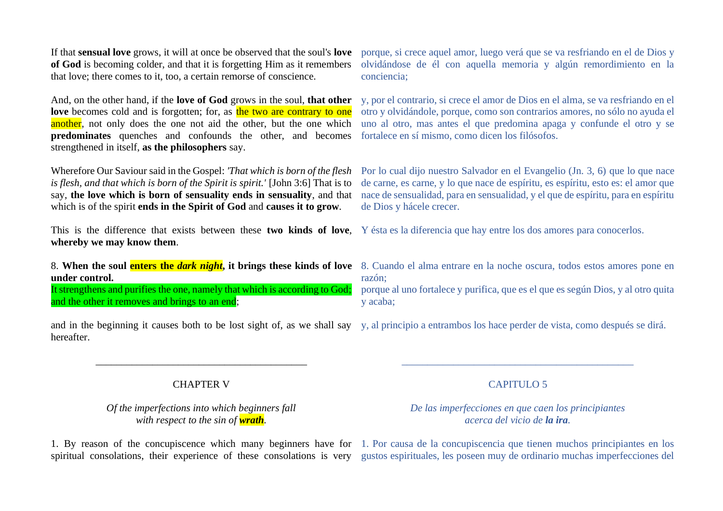If that **sensual love** grows, it will at once be observed that the soul's **love**  porque, si crece aquel amor, luego verá que se va resfriando en el de Dios y **of God** is becoming colder, and that it is forgetting Him as it remembers that love; there comes to it, too, a certain remorse of conscience.

And, on the other hand, if the **love of God** grows in the soul, **that other love** becomes cold and is forgotten; for, as the two are contrary to one another, not only does the one not aid the other, but the one which **predominates** quenches and confounds the other, and becomes strengthened in itself, **as the philosophers** say.

Wherefore Our Saviour said in the Gospel: *'That which is born of the flesh is flesh, and that which is born of the Spirit is spirit.'* [John 3:6] That is to say, **the love which is born of sensuality ends in sensuality**, and that which is of the spirit **ends in the Spirit of God** and **causes it to grow**.

This is the difference that exists between these **two kinds of love**, Y ésta es la diferencia que hay entre los dos amores para conocerlos. **whereby we may know them**.

**under control.**

It strengthens and purifies the one, namely that which is according to God; and the other it removes and brings to an end;

hereafter.

CHAPTER V

\_\_\_\_\_\_\_\_\_\_\_\_\_\_\_\_\_\_\_\_\_\_\_\_\_\_\_\_\_\_\_\_\_\_\_\_\_\_\_\_\_

*Of the imperfections into which beginners fall with respect to the sin of wrath.*

olvidándose de él con aquella memoria y algún remordimiento en la conciencia;

y, por el contrario, si crece el amor de Dios en el alma, se va resfriando en el otro y olvidándole, porque, como son contrarios amores, no sólo no ayuda el uno al otro, mas antes el que predomina apaga y confunde el otro y se fortalece en sí mismo, como dicen los filósofos.

Por lo cual dijo nuestro Salvador en el Evangelio (Jn. 3, 6) que lo que nace de carne, es carne, y lo que nace de espíritu, es espíritu, esto es: el amor que nace de sensualidad, para en sensualidad, y el que de espíritu, para en espíritu de Dios y hácele crecer.

8. **When the soul enters the** *dark night***, it brings these kinds of love**  8. Cuando el alma entrare en la noche oscura, todos estos amores pone en razón;

> porque al uno fortalece y purifica, que es el que es según Dios, y al otro quita y acaba;

and in the beginning it causes both to be lost sight of, as we shall say y, al principio a entrambos los hace perder de vista, como después se dirá.

CAPITULO 5

\_\_\_\_\_\_\_\_\_\_\_\_\_\_\_\_\_\_\_\_\_\_\_\_\_\_\_\_\_\_\_\_\_\_\_\_\_\_\_\_\_\_\_\_\_

*De las imperfecciones en que caen los principiantes acerca del vicio de la ira.*

1. By reason of the concupiscence which many beginners have for 1. Por causa de la concupiscencia que tienen muchos principiantes en los spiritual consolations, their experience of these consolations is very gustos espirituales, les poseen muy de ordinario muchas imperfecciones del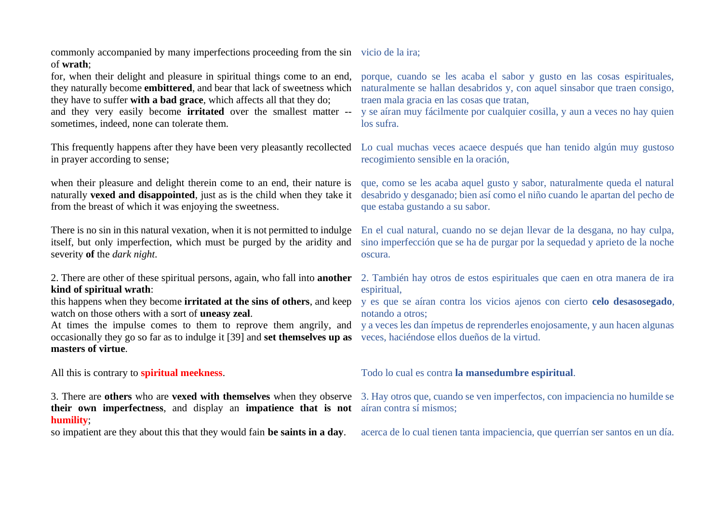commonly accompanied by many imperfections proceeding from the sin vicio de la ira; of **wrath**;

for, when their delight and pleasure in spiritual things come to an end, they naturally become **embittered**, and bear that lack of sweetness which they have to suffer **with a bad grace**, which affects all that they do; and they very easily become **irritated** over the smallest matter - sometimes, indeed, none can tolerate them.

in prayer according to sense;

when their pleasure and delight therein come to an end, their nature is naturally **vexed and disappointed**, just as is the child when they take it from the breast of which it was enjoying the sweetness.

There is no sin in this natural vexation, when it is not permitted to indulge itself, but only imperfection, which must be purged by the aridity and severity **of** the *dark night*.

**kind of spiritual wrath**:

watch on those others with a sort of **uneasy zeal**.

occasionally they go so far as to indulge it [39] and **set themselves up as**  veces, haciéndose ellos dueños de la virtud. **masters of virtue**.

All this is contrary to **spiritual meekness**.

**their own imperfectness**, and display an **impatience that is not**  aíran contra sí mismos; **humility**;

so impatient are they about this that they would fain **be saints in a day**.

porque, cuando se les acaba el sabor y gusto en las cosas espirituales, naturalmente se hallan desabridos y, con aquel sinsabor que traen consigo, traen mala gracia en las cosas que tratan,

y se aíran muy fácilmente por cualquier cosilla, y aun a veces no hay quien los sufra.

This frequently happens after they have been very pleasantly recollected Lo cual muchas veces acaece después que han tenido algún muy gustoso recogimiento sensible en la oración,

> que, como se les acaba aquel gusto y sabor, naturalmente queda el natural desabrido y desganado; bien así como el niño cuando le apartan del pecho de que estaba gustando a su sabor.

> En el cual natural, cuando no se dejan llevar de la desgana, no hay culpa, sino imperfección que se ha de purgar por la sequedad y aprieto de la noche oscura.

2. There are other of these spiritual persons, again, who fall into **another** 2. También hay otros de estos espirituales que caen en otra manera de ira espiritual,

this happens when they become **irritated at the sins of others**, and keep y es que se aíran contra los vicios ajenos con cierto **celo desasosegado**, notando a otros;

At times the impulse comes to them to reprove them angrily, and y a veces les dan impetus de reprenderles enojosamente, y aun hacen algunas

### Todo lo cual es contra **la mansedumbre espiritual**.

3. There are **others** who are **vexed with themselves** when they observe 3. Hay otros que, cuando se ven imperfectos, con impaciencia no humilde se

acerca de lo cual tienen tanta impaciencia, que querrían ser santos en un día.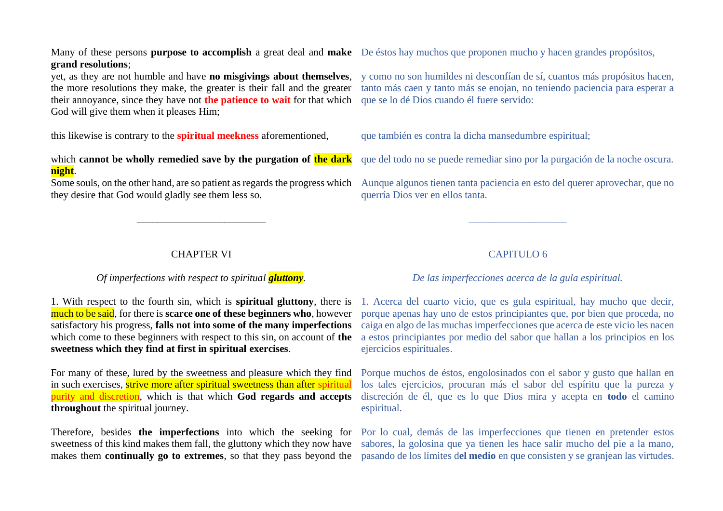**grand resolutions**;

their annoyance, since they have not **the patience to wait** for that which que se lo dé Dios cuando él fuere servido: God will give them when it pleases Him;

this likewise is contrary to the **spiritual meekness** aforementioned,

which **cannot** be wholly remedied save by the purgation of **the dark night**.

they desire that God would gladly see them less so.

\_\_\_\_\_\_\_\_\_\_\_\_\_\_\_\_\_\_\_\_\_\_\_\_\_

### CHAPTER VI

## *Of imperfections with respect to spiritual gluttony.*

1. With respect to the fourth sin, which is **spiritual gluttony**, there is 1. Acerca del cuarto vicio, que es gula espiritual, hay mucho que decir, much to be said, for there is **scarce one of these beginners who**, however satisfactory his progress, **falls not into some of the many imperfections sweetness which they find at first in spiritual exercises**.

For many of these, lured by the sweetness and pleasure which they find in such exercises, strive more after spiritual sweetness than after spiritual purity and discretion, which is that which **God regards and accepts throughout** the spiritual journey.

Many of these persons **purpose to accomplish** a great deal and **make**  De éstos hay muchos que proponen mucho y hacen grandes propósitos,

yet, as they are not humble and have **no misgivings about themselves**, y como no son humildes ni desconfían de sí, cuantos más propósitos hacen, the more resolutions they make, the greater is their fall and the greater tanto más caen y tanto más se enojan, no teniendo paciencia para esperar a

que también es contra la dicha mansedumbre espiritual;

que del todo no se puede remediar sino por la purgación de la noche oscura.

Some souls, on the other hand, are so patient as regards the progress which Aunque algunos tienen tanta paciencia en esto del querer aprovechar, que no querría Dios ver en ellos tanta.

\_\_\_\_\_\_\_\_\_\_\_\_\_\_\_\_\_\_\_

### CAPITULO 6

### *De las imperfecciones acerca de la gula espiritual.*

which come to these beginners with respect to this sin, on account of the a estos principiantes por medio del sabor que hallan a los principios en los porque apenas hay uno de estos principiantes que, por bien que proceda, no caiga en algo de las muchas imperfecciones que acerca de este vicio les nacen ejercicios espirituales.

> Porque muchos de éstos, engolosinados con el sabor y gusto que hallan en los tales ejercicios, procuran más el sabor del espíritu que la pureza y discreción de él, que es lo que Dios mira y acepta en **todo** el camino espiritual.

Therefore, besides **the imperfections** into which the seeking for Por lo cual, demás de las imperfecciones que tienen en pretender estos sweetness of this kind makes them fall, the gluttony which they now have sabores, la golosina que ya tienen les hace salir mucho del pie a la mano, makes them **continually go to extremes**, so that they pass beyond the pasando de los límites del medio en que consisten y se granjean las virtudes.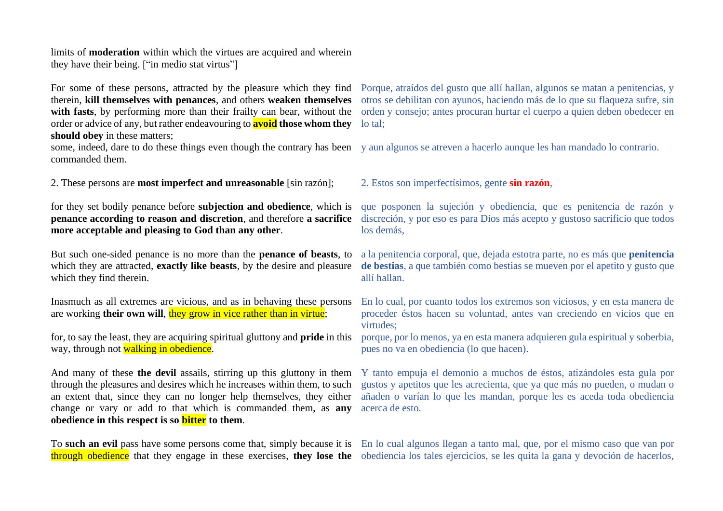limits of **moderation** within which the virtues are acquired and wherein they have their being. ["in medio stat virtus"]

For some of these persons, attracted by the pleasure which they find Porque, atraídos del gusto que allí hallan, algunos se matan a penitencias, y order or advice of any, but rather endeavouring to **avoid those whom they**  lo tal; **should obey** in these matters;

commanded them.

2. These persons are **most imperfect and unreasonable** [sin razón];

for they set bodily penance before **subjection and obedience**, which is **more acceptable and pleasing to God than any other**.

But such one-sided penance is no more than the **penance of beasts**, to which they find therein.

Inasmuch as all extremes are vicious, and as in behaving these persons are working **their own will**, they grow in vice rather than in virtue;

for, to say the least, they are acquiring spiritual gluttony and **pride** in this way, through not walking in obedience.

through the pleasures and desires which he increases within them, to such an extent that, since they can no longer help themselves, they either change or vary or add to that which is commanded them, as **any obedience in this respect is so bitter to them**.

To such an evil pass have some persons come that, simply because it is En lo cual algunos llegan a tanto mal, que, por el mismo caso que van por

therein, **kill themselves with penances**, and others **weaken themselves**  otros se debilitan con ayunos, haciendo más de lo que su flaqueza sufre, sin with fasts, by performing more than their frailty can bear, without the orden y consejo; antes procuran hurtar el cuerpo a quien deben obedecer en

some, indeed, dare to do these things even though the contrary has been y aun algunos se atreven a hacerlo aunque les han mandado lo contrario.

2. Estos son imperfectísimos, gente **sin razón**,

**penance according to reason and discretion**, and therefore **a sacrifice**  discreción, y por eso es para Dios más acepto y gustoso sacrificio que todos que posponen la sujeción y obediencia, que es penitencia de razón y los demás,

which they are attracted, exactly like beasts, by the desire and pleasure de bestias, a que también como bestias se mueven por el apetito y gusto que a la penitencia corporal, que, dejada estotra parte, no es más que **penitencia**  allí hallan.

> En lo cual, por cuanto todos los extremos son viciosos, y en esta manera de proceder éstos hacen su voluntad, antes van creciendo en vicios que en virtudes;

> porque, por lo menos, ya en esta manera adquieren gula espiritual y soberbia, pues no va en obediencia (lo que hacen).

And many of these **the devil** assails, stirring up this gluttony in them Y tanto empuja el demonio a muchos de éstos, atizándoles esta gula por gustos y apetitos que les acrecienta, que ya que más no pueden, o mudan o añaden o varían lo que les mandan, porque les es aceda toda obediencia acerca de esto.

through obedience that they engage in these exercises, **they lose the**  obediencia los tales ejercicios, se les quita la gana y devoción de hacerlos,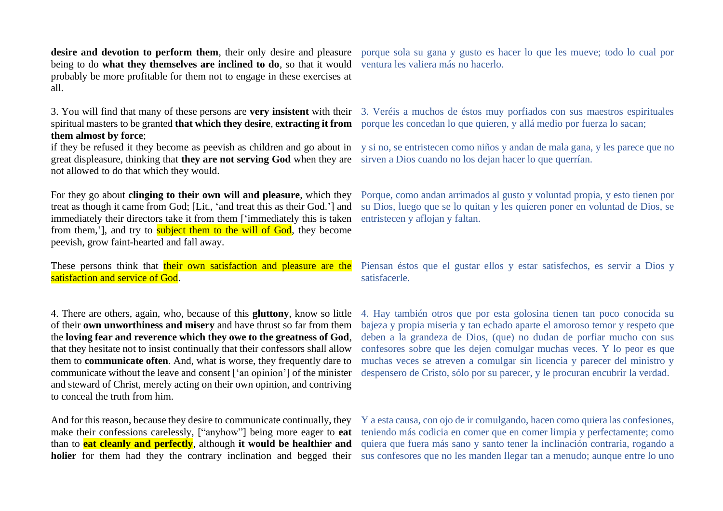desire and devotion to perform them, their only desire and pleasure porque sola su gana y gusto es hacer lo que les mueve; todo lo cual por being to do **what they themselves are inclined to do**, so that it would ventura les valiera más no hacerlo. probably be more profitable for them not to engage in these exercises at all.

3. You will find that many of these persons are **very insistent** with their 3. Veréis a muchos de éstos muy porfiados con sus maestros espirituales spiritual masters to be granted **that which they desire**, **extracting it from**  porque les concedan lo que quieren, y allá medio por fuerza lo sacan; **them almost by force**;

great displeasure, thinking that **they are not serving God** when they are sirven a Dios cuando no los dejan hacer lo que querrían. not allowed to do that which they would.

For they go about **clinging to their own will and pleasure**, which they treat as though it came from God; [Lit., 'and treat this as their God.'] and immediately their directors take it from them ['immediately this is taken entristecen y aflojan y faltan. from them,'], and try to subject them to the will of God, they become peevish, grow faint-hearted and fall away.

These persons think that their own satisfaction and pleasure are the satisfaction and service of God.

of their **own unworthiness and misery** and have thrust so far from them the **loving fear and reverence which they owe to the greatness of God**, that they hesitate not to insist continually that their confessors shall allow them to **communicate often**. And, what is worse, they frequently dare to communicate without the leave and consent ['an opinion'] of the minister and steward of Christ, merely acting on their own opinion, and contriving to conceal the truth from him.

than to **eat cleanly and perfectly**, although **it would be healthier and** 

if they be refused it they become as peevish as children and go about in y si no, se entristecen como niños y andan de mala gana, y les parece que no

Porque, como andan arrimados al gusto y voluntad propia, y esto tienen por su Dios, luego que se lo quitan y les quieren poner en voluntad de Dios, se

Piensan éstos que el gustar ellos y estar satisfechos, es servir a Dios y satisfacerle.

4. There are others, again, who, because of this **gluttony**, know so little 4. Hay también otros que por esta golosina tienen tan poco conocida su bajeza y propia miseria y tan echado aparte el amoroso temor y respeto que deben a la grandeza de Dios, (que) no dudan de porfiar mucho con sus confesores sobre que les dejen comulgar muchas veces. Y lo peor es que muchas veces se atreven a comulgar sin licencia y parecer del ministro y despensero de Cristo, sólo por su parecer, y le procuran encubrir la verdad.

And for this reason, because they desire to communicate continually, they Y a esta causa, con ojo de ir comulgando, hacen como quiera las confesiones, make their confessions carelessly, ["anyhow"] being more eager to **eat** teniendo más codicia en comer que en comer limpia y perfectamente; como holier for them had they the contrary inclination and begged their sus confesores que no les manden llegar tan a menudo; aunque entre lo uno quiera que fuera más sano y santo tener la inclinación contraria, rogando a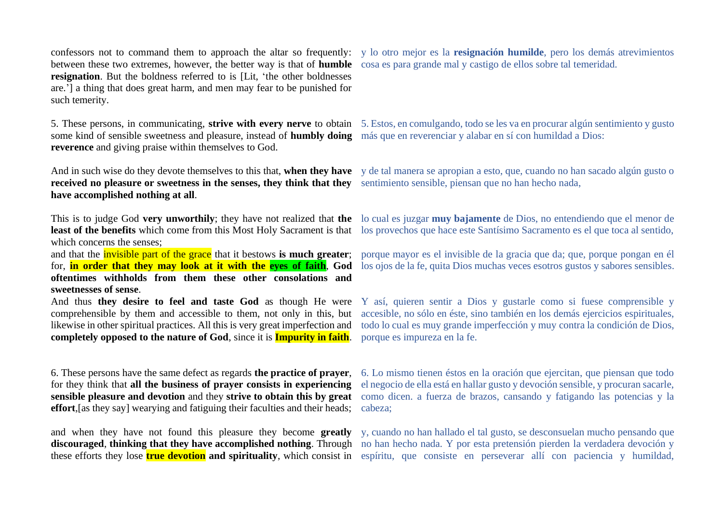between these two extremes, however, the better way is that of **humble**  cosa es para grande mal y castigo de ellos sobre tal temeridad. **resignation**. But the boldness referred to is [Lit, 'the other boldnesses are.'] a thing that does great harm, and men may fear to be punished for such temerity.

some kind of sensible sweetness and pleasure, instead of **humbly doing**  más que en reverenciar y alabar en sí con humildad a Dios: **reverence** and giving praise within themselves to God.

**received no pleasure or sweetness in the senses, they think that they**  sentimiento sensible, piensan que no han hecho nada, **have accomplished nothing at all**.

which concerns the senses;

**oftentimes withholds from them these other consolations and sweetnesses of sense**.

**completely opposed to the nature of God**, since it is **Impurity in faith**.

**effort**,[as they say] wearying and fatiguing their faculties and their heads; cabeza;

confessors not to command them to approach the altar so frequently: y lo otro mejor es la resignación humilde, pero los demás atrevimientos

5. These persons, in communicating, **strive with every nerve** to obtain 5. Estos, en comulgando, todo se les va en procurar algún sentimiento y gusto

And in such wise do they devote themselves to this that, **when they have**  y de tal manera se apropian a esto, que, cuando no han sacado algún gusto o

This is to judge God **very unworthily**; they have not realized that **the**  lo cual es juzgar **muy bajamente** de Dios, no entendiendo que el menor de least of the benefits which come from this Most Holy Sacrament is that los provechos que hace este Santísimo Sacramento es el que toca al sentido,

and that the *invisible part of the grace* that it bestows **is much greater**; porque mayor es el invisible de la gracia que da; que, porque pongan en él for, **in order that they may look at it with the eyes of faith**, **God**  los ojos de la fe, quita Dios muchas veces esotros gustos y sabores sensibles.

And thus they desire to feel and taste God as though He were Y así, quieren sentir a Dios y gustarle como si fuese comprensible y comprehensible by them and accessible to them, not only in this, but accesible, no sólo en éste, sino también en los demás ejercicios espirituales, likewise in other spiritual practices. All this is very great imperfection and todo lo cual es muy grande imperfección y muy contra la condición de Dios, porque es impureza en la fe.

6. These persons have the same defect as regards **the practice of prayer**, 6. Lo mismo tienen éstos en la oración que ejercitan, que piensan que todo for they think that all the business of prayer consists in experiencing el negocio de ella está en hallar gusto y devoción sensible, y procuran sacarle, **sensible pleasure and devotion** and they **strive to obtain this by great**  como dicen. a fuerza de brazos, cansando y fatigando las potencias y la

and when they have not found this pleasure they become **greatly**  y, cuando no han hallado el tal gusto, se desconsuelan mucho pensando que **discouraged**, **thinking that they have accomplished nothing**. Through no han hecho nada. Y por esta pretensión pierden la verdadera devoción y these efforts they lose **true devotion and spirituality**, which consist in espíritu, que consiste en perseverar allí con paciencia y humildad,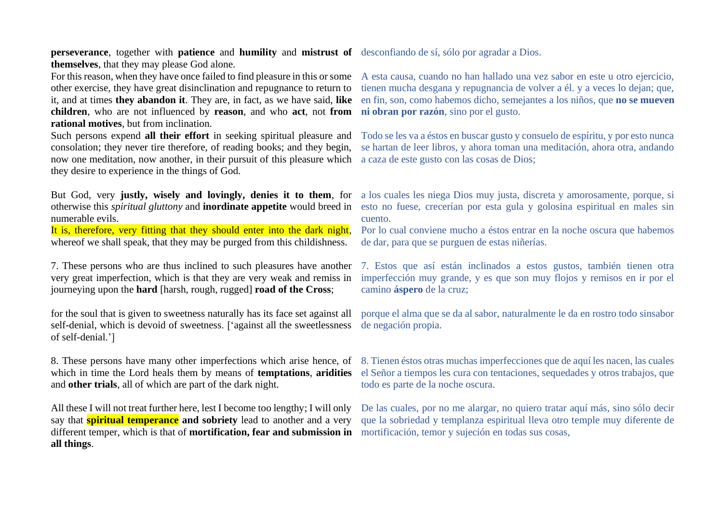**perseverance**, together with **patience** and **humility** and **mistrust of**  desconfiando de sí, sólo por agradar a Dios. **themselves**, that they may please God alone.

**children**, who are not influenced by **reason**, and who **act**, not **from ni obran por razón**, sino por el gusto. **rational motives**, but from inclination.

now one meditation, now another, in their pursuit of this pleasure which a caza de este gusto con las cosas de Dios; they desire to experience in the things of God.

otherwise this *spiritual gluttony* and **inordinate appetite** would breed in numerable evils.

It is, therefore, very fitting that they should enter into the dark night, whereof we shall speak, that they may be purged from this childishness.

7. These persons who are thus inclined to such pleasures have another very great imperfection, which is that they are very weak and remiss in journeying upon the **hard** [harsh, rough, rugged] **road of the Cross**;

for the soul that is given to sweetness naturally has its face set against all self-denial, which is devoid of sweetness. ['against all the sweetlessness de negación propia. of self-denial.']

and **other trials**, all of which are part of the dark night.

different temper, which is that of **mortification, fear and submission in**  mortificación, temor y sujeción en todas sus cosas,**all things**.

For this reason, when they have once failed to find pleasure in this or some A esta causa, cuando no han hallado una vez sabor en este u otro ejercicio, other exercise, they have great disinclination and repugnance to return to tienen mucha desgana y repugnancia de volver a él. y a veces lo dejan; que, it, and at times **they abandon it**. They are, in fact, as we have said, **like**  en fin, son, como habemos dicho, semejantes a los niños, que **no se mueven** 

Such persons expend all their effort in seeking spiritual pleasure and Todo se les va a éstos en buscar gusto y consuelo de espíritu, y por esto nunca consolation; they never tire therefore, of reading books; and they begin, se hartan de leer libros, y ahora toman una meditación, ahora otra, andando

But God, very justly, wisely and lovingly, denies it to them, for a los cuales les niega Dios muy justa, discreta y amorosamente, porque, si esto no fuese, crecerían por esta gula y golosina espiritual en males sin cuento.

Por lo cual conviene mucho a éstos entrar en la noche oscura que habemos de dar, para que se purguen de estas niñerías.

7. Estos que así están inclinados a estos gustos, también tienen otra imperfección muy grande, y es que son muy flojos y remisos en ir por el camino **áspero** de la cruz;

porque el alma que se da al sabor, naturalmente le da en rostro todo sinsabor

8. These persons have many other imperfections which arise hence, of 8. Tienen éstos otras muchas imperfecciones que de aquí les nacen, las cuales which in time the Lord heals them by means of **temptations**, **aridities** el Señor a tiempos les cura con tentaciones, sequedades y otros trabajos, que todo es parte de la noche oscura.

All these I will not treat further here, lest I become too lengthy; I will only De las cuales, por no me alargar, no quiero tratar aquí más, sino sólo decir say that **spiritual temperance and sobriety** lead to another and a very que la sobriedad y templanza espiritual lleva otro temple muy diferente de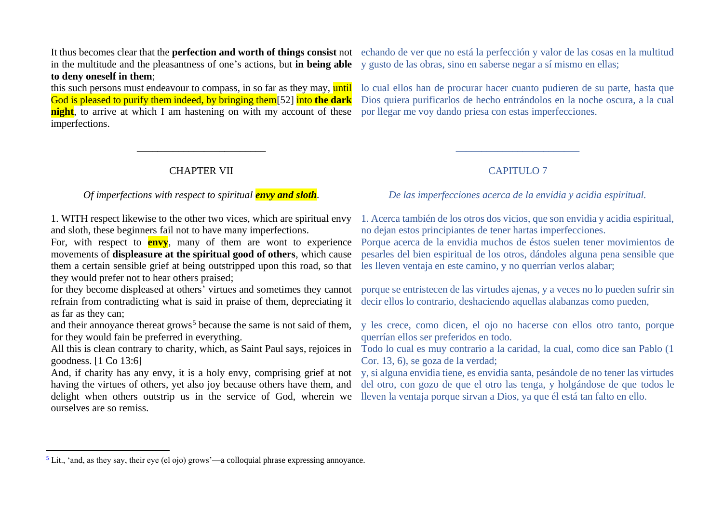It thus becomes clear that the **perfection and worth of things consist** not echando de ver que no está la perfección y valor de las cosas en la multitud in the multitude and the pleasantness of one's actions, but **in being able**  y gusto de las obras, sino en saberse negar a sí mismo en ellas; **to deny oneself in them**;

this such persons must endeavour to compass, in so far as they may, until God is pleased to purify them indeed, by bringing them[52] into **the dark night**, to arrive at which I am hastening on with my account of these imperfections.

## CHAPTER VII

\_\_\_\_\_\_\_\_\_\_\_\_\_\_\_\_\_\_\_\_\_\_\_\_\_

## *Of imperfections with respect to spiritual envy and sloth.*

1. WITH respect likewise to the other two vices, which are spiritual envy and sloth, these beginners fail not to have many imperfections.

For, with respect to **envy**, many of them are wont to experience movements of **displeasure at the spiritual good of others**, which cause them a certain sensible grief at being outstripped upon this road, so that they would prefer not to hear others praised;

for they become displeased at others' virtues and sometimes they cannot refrain from contradicting what is said in praise of them, depreciating it as far as they can;

for they would fain be preferred in everything.

All this is clean contrary to charity, which, as Saint Paul says, rejoices in Todo lo cual es muy contrario a la caridad, la cual, como dice san Pablo (1 goodness. [1 Co 13:6]

delight when others outstrip us in the service of God, wherein we lleven la ventaja porque sirvan a Dios, ya que él está tan falto en ello. ourselves are so remiss.

lo cual ellos han de procurar hacer cuanto pudieren de su parte, hasta que Dios quiera purificarlos de hecho entrándolos en la noche oscura, a la cual por llegar me voy dando priesa con estas imperfecciones.

## CAPITULO 7

\_\_\_\_\_\_\_\_\_\_\_\_\_\_\_\_\_\_\_\_\_\_\_\_

### *De las imperfecciones acerca de la envidia y acidia espiritual.*

1. Acerca también de los otros dos vicios, que son envidia y acidia espiritual, no dejan estos principiantes de tener hartas imperfecciones.

Porque acerca de la envidia muchos de éstos suelen tener movimientos de pesarles del bien espiritual de los otros, dándoles alguna pena sensible que les lleven ventaja en este camino, y no querrían verlos alabar;

porque se entristecen de las virtudes ajenas, y a veces no lo pueden sufrir sin decir ellos lo contrario, deshaciendo aquellas alabanzas como pueden,

and their annoyance thereat grows<sup>5</sup> because the same is not said of them, y les crece, como dicen, el ojo no hacerse con ellos otro tanto, porque querrían ellos ser preferidos en todo.

Cor. 13, 6), se goza de la verdad;

And, if charity has any envy, it is a holy envy, comprising grief at not y, si alguna envidia tiene, es envidia santa, pesándole de no tener las virtudes having the virtues of others, yet also joy because others have them, and del otro, con gozo de que el otro las tenga, y holgándose de que todos le

 $5$  Lit., 'and, as they say, their eye (el ojo) grows'—a colloquial phrase expressing annoyance.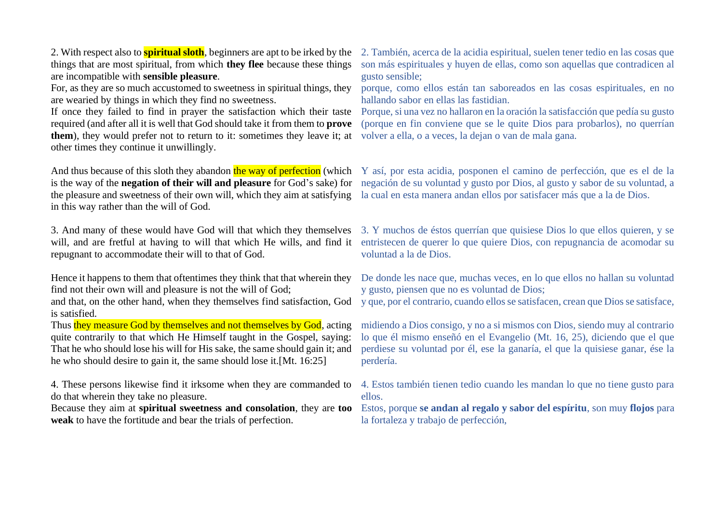2. With respect also to **spiritual sloth**, beginners are apt to be irked by the 2. También, acerca de la acidia espiritual, suelen tener tedio en las cosas que things that are most spiritual, from which **they flee** because these things are incompatible with **sensible pleasure**.

For, as they are so much accustomed to sweetness in spiritual things, they are wearied by things in which they find no sweetness.

If once they failed to find in prayer the satisfaction which their taste required (and after all it is well that God should take it from them to **prove them**), they would prefer not to return to it: sometimes they leave it; at volver a ella, o a veces, la dejan o van de mala gana. other times they continue it unwillingly.

the pleasure and sweetness of their own will, which they aim at satisfying la cual en esta manera andan ellos por satisfacer más que a la de Dios. in this way rather than the will of God.

repugnant to accommodate their will to that of God.

Hence it happens to them that oftentimes they think that that wherein they find not their own will and pleasure is not the will of God;

and that, on the other hand, when they themselves find satisfaction, God is satisfied.

Thus they measure God by themselves and not themselves by God, acting quite contrarily to that which He Himself taught in the Gospel, saying: That he who should lose his will for His sake, the same should gain it; and he who should desire to gain it, the same should lose it.[Mt. 16:25]

4. These persons likewise find it irksome when they are commanded to do that wherein they take no pleasure.

**weak** to have the fortitude and bear the trials of perfection.

son más espirituales y huyen de ellas, como son aquellas que contradicen al gusto sensible;

porque, como ellos están tan saboreados en las cosas espirituales, en no hallando sabor en ellas las fastidian.

Porque, si una vez no hallaron en la oración la satisfacción que pedía su gusto (porque en fin conviene que se le quite Dios para probarlos), no querrían

And thus because of this sloth they abandon the way of perfection (which Y así, por esta acidia, posponen el camino de perfección, que es el de la is the way of the **negation of their will and pleasure** for God's sake) for negación de su voluntad y gusto por Dios, al gusto y sabor de su voluntad, a

3. And many of these would have God will that which they themselves 3. Y muchos de éstos querrían que quisiese Dios lo que ellos quieren, y se will, and are fretful at having to will that which He wills, and find it entristecen de querer lo que quiere Dios, con repugnancia de acomodar su voluntad a la de Dios.

> De donde les nace que, muchas veces, en lo que ellos no hallan su voluntad y gusto, piensen que no es voluntad de Dios;

> y que, por el contrario, cuando ellos se satisfacen, crean que Dios se satisface,

midiendo a Dios consigo, y no a si mismos con Dios, siendo muy al contrario lo que él mismo enseñó en el Evangelio (Mt. 16, 25), diciendo que el que perdiese su voluntad por él, ese la ganaría, el que la quisiese ganar, ése la perdería.

4. Estos también tienen tedio cuando les mandan lo que no tiene gusto para ellos.

Because they aim at **spiritual sweetness and consolation**, they are **too**  Estos, porque **se andan al regalo y sabor del espíritu**, son muy **flojos** para la fortaleza y trabajo de perfección,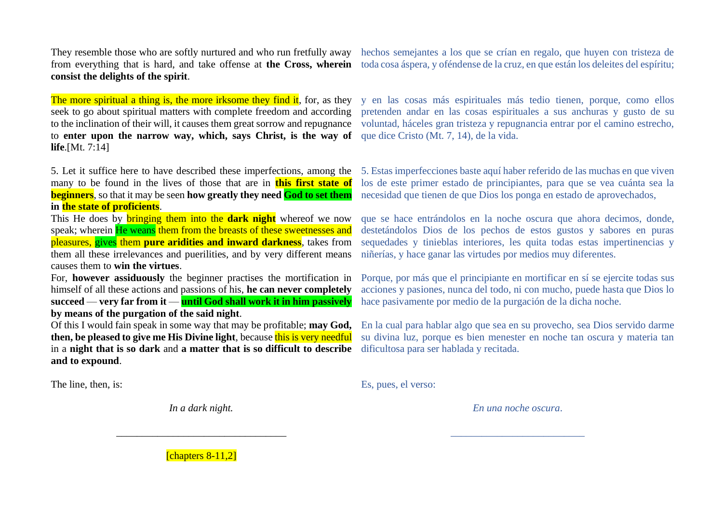**consist the delights of the spirit**.

to the inclination of their will, it causes them great sorrow and repugnance to **enter upon the narrow way, which, says Christ, is the way of**  que dice Cristo (Mt. 7, 14), de la vida. **life**.[Mt. 7:14]

many to be found in the lives of those that are in **this first state of beginners**, so that it may be seen **how greatly they need God to set them in the state of proficients**.

This He does by bringing them into the **dark night** whereof we now speak; wherein He weans them from the breasts of these sweetnesses and pleasures, gives them **pure aridities and inward darkness**, takes from them all these irrelevances and puerilities, and by very different means causes them to **win the virtues**.

For, **however assiduously** the beginner practises the mortification in himself of all these actions and passions of his, **he can never completely succeed** — **very far from it** — **until God shall work it in him passively by means of the purgation of the said night**.

Of this I would fain speak in some way that may be profitable; **may God, then, be pleased to give me His Divine light**, because this is very needful in a **night that is so dark** and **a matter that is so difficult to describe and to expound**.

The line, then, is:

*In a dark night.*

\_\_\_\_\_\_\_\_\_\_\_\_\_\_\_\_\_\_\_\_\_\_\_\_\_\_\_\_\_\_\_\_\_

They resemble those who are softly nurtured and who run fretfully away hechos semejantes a los que se crían en regalo, que huyen con tristeza de from everything that is hard, and take offense at **the Cross, wherein**  toda cosa áspera, y oféndense de la cruz, en que están los deleites del espíritu;

The more spiritual a thing is, the more irksome they find it, for, as they y en las cosas más espirituales más tedio tienen, porque, como ellos seek to go about spiritual matters with complete freedom and according pretenden andar en las cosas espirituales a sus anchuras y gusto de su voluntad, háceles gran tristeza y repugnancia entrar por el camino estrecho,

5. Let it suffice here to have described these imperfections, among the 5. Estas imperfecciones baste aquí haber referido de las muchas en que viven los de este primer estado de principiantes, para que se vea cuánta sea la necesidad que tienen de que Dios los ponga en estado de aprovechados,

> que se hace entrándolos en la noche oscura que ahora decimos, donde, destetándolos Dios de los pechos de estos gustos y sabores en puras sequedades y tinieblas interiores, les quita todas estas impertinencias y niñerías, y hace ganar las virtudes por medios muy diferentes.

> Porque, por más que el principiante en mortificar en sí se ejercite todas sus acciones y pasiones, nunca del todo, ni con mucho, puede hasta que Dios lo hace pasivamente por medio de la purgación de la dicha noche.

> En la cual para hablar algo que sea en su provecho, sea Dios servido darme su divina luz, porque es bien menester en noche tan oscura y materia tan dificultosa para ser hablada y recitada.

Es, pues, el verso:

*En una noche oscura*.

\_\_\_\_\_\_\_\_\_\_\_\_\_\_\_\_\_\_\_\_\_\_\_\_\_\_

[chapters 8-11,2]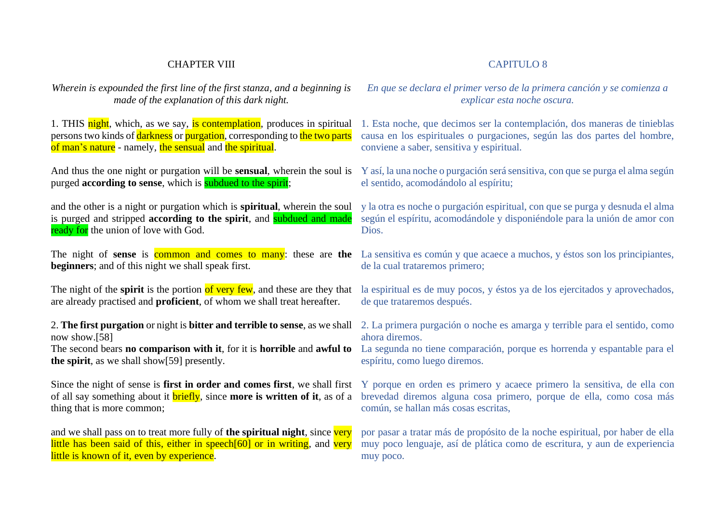## CHAPTER VIII

*Wherein is expounded the first line of the first stanza, and a beginning is made of the explanation of this dark night.*

1. THIS night, which, as we say, is contemplation, produces in spiritual persons two kinds of darkness or purgation, corresponding to the two parts of man's nature - namely, the sensual and the spiritual.

purged **according to sense**, which is **subdued to the spirit;** 

and the other is a night or purgation which is **spiritual**, wherein the soul is purged and stripped **according to the spirit**, and subdued and made ready for the union of love with God.

**beginners**; and of this night we shall speak first.

are already practised and **proficient**, of whom we shall treat hereafter.

now show.[58]

**the spirit**, as we shall show[59] presently.

of all say something about it briefly, since **more is written of it**, as of a thing that is more common;

and we shall pass on to treat more fully of **the spiritual night**, since very little has been said of this, either in speech[60] or in writing, and very little is known of it, even by experience.

*En que se declara el primer verso de la primera canción y se comienza a explicar esta noche oscura.*

1. Esta noche, que decimos ser la contemplación, dos maneras de tinieblas causa en los espirituales o purgaciones, según las dos partes del hombre, conviene a saber, sensitiva y espiritual.

And thus the one night or purgation will be **sensual**, wherein the soul is Y así, la una noche o purgación será sensitiva, con que se purga el alma según el sentido, acomodándolo al espíritu;

> y la otra es noche o purgación espiritual, con que se purga y desnuda el alma según el espíritu, acomodándole y disponiéndole para la unión de amor con Dios.

The night of **sense** is **common and comes to many**: these are the La sensitiva es común y que acaece a muchos, y éstos son los principiantes, de la cual trataremos primero;

The night of the **spirit** is the portion of very few, and these are they that la espiritual es de muy pocos, y éstos ya de los ejercitados y aprovechados, de que trataremos después.

2. **The first purgation** or night is **bitter and terrible to sense**, as we shall 2. La primera purgación o noche es amarga y terrible para el sentido, como ahora diremos.

The second bears **no comparison with it**, for it is **horrible** and **awful to**  La segunda no tiene comparación, porque es horrenda y espantable para el espíritu, como luego diremos.

Since the night of sense is **first in order and comes first**, we shall first Y porque en orden es primero y acaece primero la sensitiva, de ella con brevedad diremos alguna cosa primero, porque de ella, como cosa más común, se hallan más cosas escritas,

> por pasar a tratar más de propósito de la noche espiritual, por haber de ella muy poco lenguaje, así de plática como de escritura, y aun de experiencia muy poco.

# CAPITULO 8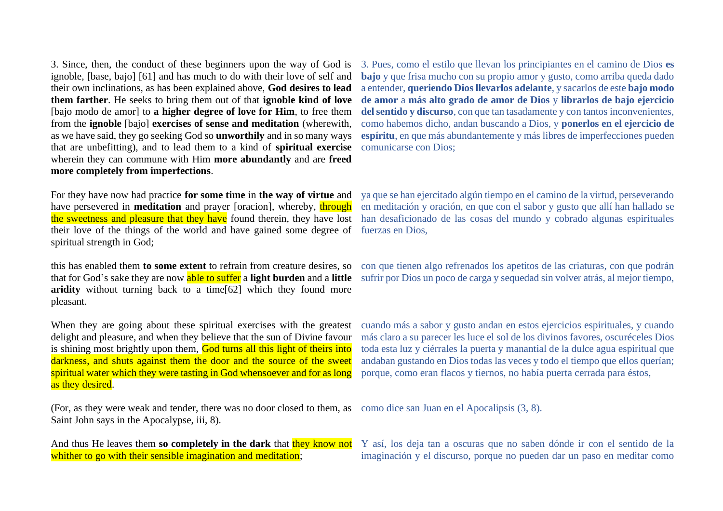3. Since, then, the conduct of these beginners upon the way of God is 3. Pues, como el estilo que llevan los principiantes en el camino de Dios **es**  ignoble, [base, bajo] [61] and has much to do with their love of self and their own inclinations, as has been explained above, **God desires to lead them farther**. He seeks to bring them out of that **ignoble kind of love** [bajo modo de amor] to **a higher degree of love for Him**, to free them from the **ignoble** [bajo] **exercises of sense and meditation** (wherewith, as we have said, they go seeking God so **unworthily** and in so many ways that are unbefitting), and to lead them to a kind of **spiritual exercise** wherein they can commune with Him **more abundantly** and are **freed more completely from imperfections**.

For they have now had practice **for some time** in **the way of virtue** and have persevered in **meditation** and prayer [oracion], whereby, **through** the sweetness and pleasure that they have found therein, they have lost their love of the things of the world and have gained some degree of spiritual strength in God;

aridity without turning back to a time[62] which they found more pleasant.

When they are going about these spiritual exercises with the greatest delight and pleasure, and when they believe that the sun of Divine favour is shining most brightly upon them, God turns all this light of theirs into darkness, and shuts against them the door and the source of the sweet spiritual water which they were tasting in God whensoever and for as long as they desired.

(For, as they were weak and tender, there was no door closed to them, as como dice san Juan en el Apocalipsis (3, 8). Saint John says in the Apocalypse, iii, 8).

whither to go with their sensible imagination and meditation;

**bajo** y que frisa mucho con su propio amor y gusto, como arriba queda dado a entender, **queriendo Dios llevarlos adelante**, y sacarlos de este **bajo modo de amor** a **más alto grado de amor de Dios** y **librarlos de bajo ejercicio del sentido y discurso**, con que tan tasadamente y con tantos inconvenientes, como habemos dicho, andan buscando a Dios, y **ponerlos en el ejercicio de espíritu**, en que más abundantemente y más libres de imperfecciones pueden comunicarse con Dios;

ya que se han ejercitado algún tiempo en el camino de la virtud, perseverando en meditación y oración, en que con el sabor y gusto que allí han hallado se han desaficionado de las cosas del mundo y cobrado algunas espirituales fuerzas en Dios,

this has enabled them **to some extent** to refrain from creature desires, so con que tienen algo refrenados los apetitos de las criaturas, con que podrán that for God's sake they are now able to suffer a **light burden** and a **little**  sufrir por Dios un poco de carga y sequedad sin volver atrás, al mejor tiempo,

> cuando más a sabor y gusto andan en estos ejercicios espirituales, y cuando más claro a su parecer les luce el sol de los divinos favores, oscuréceles Dios toda esta luz y ciérrales la puerta y manantial de la dulce agua espiritual que andaban gustando en Dios todas las veces y todo el tiempo que ellos querían; porque, como eran flacos y tiernos, no había puerta cerrada para éstos,

And thus He leaves them so completely in the dark that they know not Y así, los deja tan a oscuras que no saben dónde ir con el sentido de la imaginación y el discurso, porque no pueden dar un paso en meditar como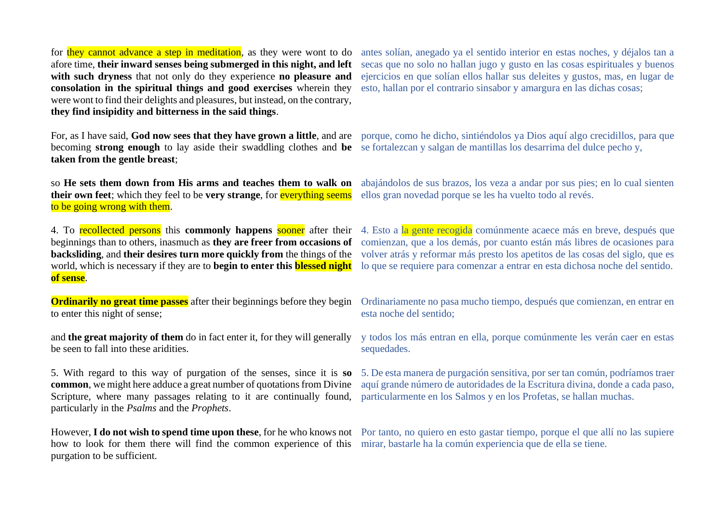afore time, **their inward senses being submerged in this night, and left with such dryness** that not only do they experience **no pleasure and consolation in the spiritual things and good exercises** wherein they esto, hallan por el contrario sinsabor y amargura en las dichas cosas; were wont to find their delights and pleasures, but instead, on the contrary, **they find insipidity and bitterness in the said things**.

becoming **strong enough** to lay aside their swaddling clothes and **be**  se fortalezcan y salgan de mantillas los desarrima del dulce pecho y, **taken from the gentle breast**;

**their own feet**; which they feel to be **very strange**, for **everything seems** ellos gran novedad porque se les ha vuelto todo al revés. to be going wrong with them.

**of sense**.

**Ordinarily no great time passes** after their beginnings before they begin to enter this night of sense;

and **the great majority of them** do in fact enter it, for they will generally be seen to fall into these aridities.

**common**, we might here adduce a great number of quotations from Divine Scripture, where many passages relating to it are continually found, particularly in the *Psalms* and the *Prophets*.

However, I do not wish to spend time upon these, for he who knows not Por tanto, no quiero en esto gastar tiempo, porque el que allí no las supiere how to look for them there will find the common experience of this mirar, bastarle ha la común experiencia que de ella se tiene. purgation to be sufficient.

for they cannot advance a step in meditation, as they were wont to do antes solían, anegado ya el sentido interior en estas noches, y déjalos tan a secas que no solo no hallan jugo y gusto en las cosas espirituales y buenos ejercicios en que solían ellos hallar sus deleites y gustos, mas, en lugar de

For, as I have said, God now sees that they have grown a little, and are porque, como he dicho, sintiéndolos ya Dios aquí algo crecidillos, para que

so **He sets them down from His arms and teaches them to walk on**  abajándolos de sus brazos, los veza a andar por sus pies; en lo cual sienten

4. To recollected persons this commonly happens sooner after their 4. Esto a la gente recogida comúnmente acaece más en breve, después que beginnings than to others, inasmuch as **they are freer from occasions of**  comienzan, que a los demás, por cuanto están más libres de ocasiones para **backsliding**, and their desires turn more quickly from the things of the volver atrás y reformar más presto los apetitos de las cosas del siglo, que es world, which is necessary if they are to **begin to enter this blessed night**  lo que se requiere para comenzar a entrar en esta dichosa noche del sentido.

> Ordinariamente no pasa mucho tiempo, después que comienzan, en entrar en esta noche del sentido;

> y todos los más entran en ella, porque comúnmente les verán caer en estas sequedades.

5. With regard to this way of purgation of the senses, since it is **so**  5. De esta manera de purgación sensitiva, por ser tan común, podríamos traer aquí grande número de autoridades de la Escritura divina, donde a cada paso, particularmente en los Salmos y en los Profetas, se hallan muchas.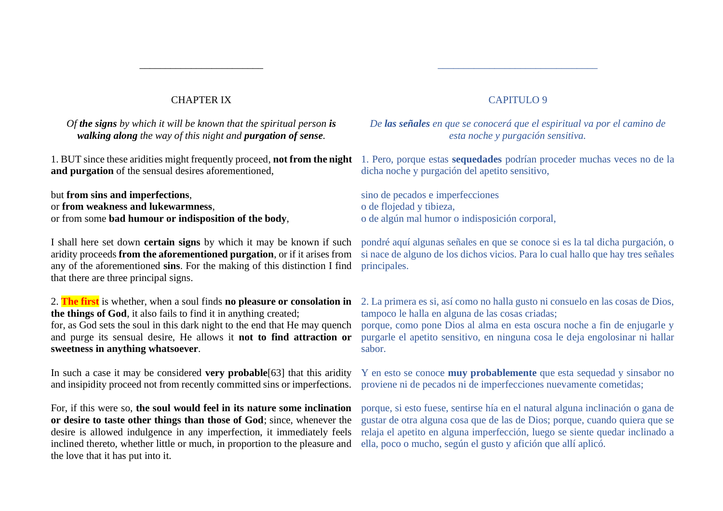# CHAPTER IX

\_\_\_\_\_\_\_\_\_\_\_\_\_\_\_\_\_\_\_\_\_\_\_\_

*Of the signs by which it will be known that the spiritual person is walking along the way of this night and purgation of sense.*

**and purgation** of the sensual desires aforementioned,

but **from sins and imperfections**, or **from weakness and lukewarmness**, or from some **bad humour or indisposition of the body**,

I shall here set down **certain signs** by which it may be known if such aridity proceeds **from the aforementioned purgation**, or if it arises from any of the aforementioned **sins**. For the making of this distinction I find that there are three principal signs.

2. **The first** is whether, when a soul finds **no pleasure or consolation in the things of God**, it also fails to find it in anything created;

for, as God sets the soul in this dark night to the end that He may quench and purge its sensual desire, He allows it **not to find attraction or sweetness in anything whatsoever**.

In such a case it may be considered **very probable**[63] that this aridity and insipidity proceed not from recently committed sins or imperfections.

For, if this were so, **the soul would feel in its nature some inclination or desire to taste other things than those of God**; since, whenever the desire is allowed indulgence in any imperfection, it immediately feels inclined thereto, whether little or much, in proportion to the pleasure and the love that it has put into it.

## CAPITULO 9

\_\_\_\_\_\_\_\_\_\_\_\_\_\_\_\_\_\_\_\_\_\_\_\_\_\_\_\_\_\_\_

*De las señales en que se conocerá que el espiritual va por el camino de esta noche y purgación sensitiva.*

1. BUT since these aridities might frequently proceed, **not from the night**  1. Pero, porque estas **sequedades** podrían proceder muchas veces no de la dicha noche y purgación del apetito sensitivo,

> sino de pecados e imperfecciones o de flojedad y tibieza, o de algún mal humor o indisposición corporal,

pondré aquí algunas señales en que se conoce si es la tal dicha purgación, o si nace de alguno de los dichos vicios. Para lo cual hallo que hay tres señales principales.

2. La primera es si, así como no halla gusto ni consuelo en las cosas de Dios, tampoco le halla en alguna de las cosas criadas;

porque, como pone Dios al alma en esta oscura noche a fin de enjugarle y purgarle el apetito sensitivo, en ninguna cosa le deja engolosinar ni hallar sabor.

Y en esto se conoce **muy probablemente** que esta sequedad y sinsabor no proviene ni de pecados ni de imperfecciones nuevamente cometidas;

porque, si esto fuese, sentirse hía en el natural alguna inclinación o gana de gustar de otra alguna cosa que de las de Dios; porque, cuando quiera que se relaja el apetito en alguna imperfección, luego se siente quedar inclinado a ella, poco o mucho, según el gusto y afición que allí aplicó.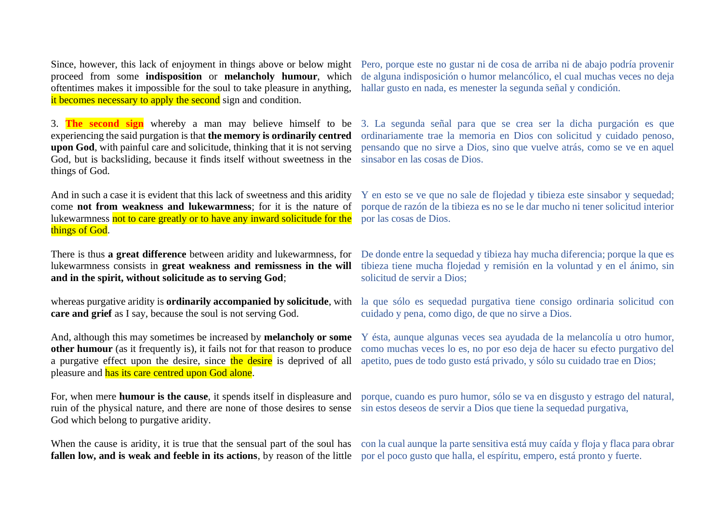oftentimes makes it impossible for the soul to take pleasure in anything, hallar gusto en nada, es menester la segunda señal y condición. it becomes necessary to apply the second sign and condition.

God, but is backsliding, because it finds itself without sweetness in the sinsabor en las cosas de Dios. things of God.

come **not from weakness and lukewarmness**; for it is the nature of lukewarmness not to care greatly or to have any inward solicitude for the por las cosas de Dios. things of God.

**and in the spirit, without solicitude as to serving God**;

**care and grief** as I say, because the soul is not serving God.

a purgative effect upon the desire, since the desire is deprived of all apetito, pues de todo gusto está privado, y sólo su cuidado trae en Dios; pleasure and has its care centred upon God alone.

ruin of the physical nature, and there are none of those desires to sense sin estos deseos de servir a Dios que tiene la sequedad purgativa, God which belong to purgative aridity.

When the cause is aridity, it is true that the sensual part of the soul has con la cual aunque la parte sensitiva está muy caída y floja y flaca para obrar fallen low, and is weak and feeble in its actions, by reason of the little por el poco gusto que halla, el espíritu, empero, está pronto y fuerte.

Since, however, this lack of enjoyment in things above or below might Pero, porque este no gustar ni de cosa de arriba ni de abajo podría provenir proceed from some **indisposition** or **melancholy humour**, which de alguna indisposición o humor melancólico, el cual muchas veces no deja

3. **The second sign** whereby a man may believe himself to be 3. La segunda señal para que se crea ser la dicha purgación es que experiencing the said purgation is that the memory is ordinarily centred ordinariamente trae la memoria en Dios con solicitud y cuidado penoso, upon God, with painful care and solicitude, thinking that it is not serving pensando que no sirve a Dios, sino que vuelve atrás, como se ve en aquel

And in such a case it is evident that this lack of sweetness and this aridity Y en esto se ve que no sale de flojedad y tibieza este sinsabor y sequedad; porque de razón de la tibieza es no se le dar mucho ni tener solicitud interior

There is thus **a great difference** between aridity and lukewarmness, for De donde entre la sequedad y tibieza hay mucha diferencia; porque la que es lukewarmness consists in **great weakness and remissness in the will**  tibieza tiene mucha flojedad y remisión en la voluntad y en el ánimo, sin solicitud de servir a Dios;

whereas purgative aridity is **ordinarily accompanied by solicitude**, with la que sólo es sequedad purgativa tiene consigo ordinaria solicitud con cuidado y pena, como digo, de que no sirve a Dios.

And, although this may sometimes be increased by **melancholy or some**  Y ésta, aunque algunas veces sea ayudada de la melancolía u otro humor, other humour (as it frequently is), it fails not for that reason to produce como muchas veces lo es, no por eso deja de hacer su efecto purgativo del

For, when mere **humour is the cause**, it spends itself in displeasure and porque, cuando es puro humor, sólo se va en disgusto y estrago del natural,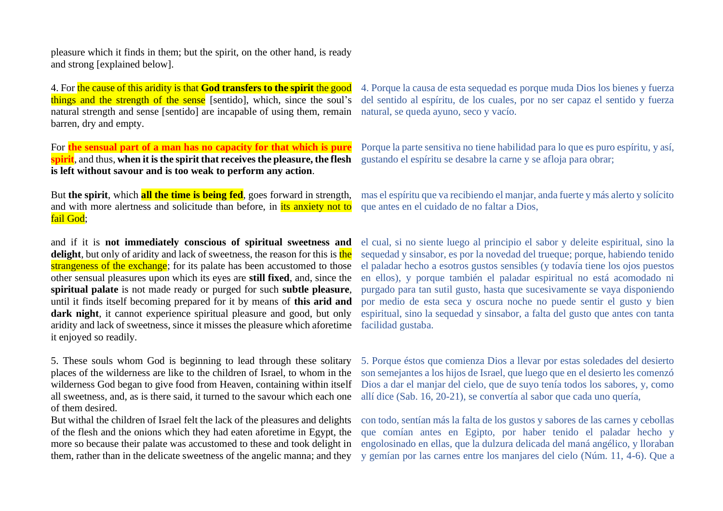pleasure which it finds in them; but the spirit, on the other hand, is ready and strong [explained below].

4. For the cause of this aridity is that **God transfers to the spirit** the good things and the strength of the sense [sentido], which, since the soul's natural strength and sense [sentido] are incapable of using them, remain barren, dry and empty.

For **the sensual part of a man has no capacity for that which is pure spirit**, and thus, **when it is the spirit that receives the pleasure, the flesh is left without savour and is too weak to perform any action**.

But **the spirit**, which **all the time is being fed**, goes forward in strength, and with more alertness and solicitude than before, in its anxiety not to fail God;

and if it is **not immediately conscious of spiritual sweetness and**  delight, but only of aridity and lack of sweetness, the reason for this is the strangeness of the exchange; for its palate has been accustomed to those other sensual pleasures upon which its eyes are **still fixed**, and, since the **spiritual palate** is not made ready or purged for such **subtle pleasure**, until it finds itself becoming prepared for it by means of **this arid and**  dark night, it cannot experience spiritual pleasure and good, but only aridity and lack of sweetness, since it misses the pleasure which aforetime it enjoyed so readily.

5. These souls whom God is beginning to lead through these solitary places of the wilderness are like to the children of Israel, to whom in the wilderness God began to give food from Heaven, containing within itself all sweetness, and, as is there said, it turned to the savour which each one of them desired.

But withal the children of Israel felt the lack of the pleasures and delights of the flesh and the onions which they had eaten aforetime in Egypt, the more so because their palate was accustomed to these and took delight in them, rather than in the delicate sweetness of the angelic manna; and they

4. Porque la causa de esta sequedad es porque muda Dios los bienes y fuerza del sentido al espíritu, de los cuales, por no ser capaz el sentido y fuerza natural, se queda ayuno, seco y vacío.

Porque la parte sensitiva no tiene habilidad para lo que es puro espíritu, y así, gustando el espíritu se desabre la carne y se afloja para obrar;

mas el espíritu que va recibiendo el manjar, anda fuerte y más alerto y solícito que antes en el cuidado de no faltar a Dios,

el cual, si no siente luego al principio el sabor y deleite espiritual, sino la sequedad y sinsabor, es por la novedad del trueque; porque, habiendo tenido el paladar hecho a esotros gustos sensibles (y todavía tiene los ojos puestos en ellos), y porque también el paladar espiritual no está acomodado ni purgado para tan sutil gusto, hasta que sucesivamente se vaya disponiendo por medio de esta seca y oscura noche no puede sentir el gusto y bien espiritual, sino la sequedad y sinsabor, a falta del gusto que antes con tanta facilidad gustaba.

5. Porque éstos que comienza Dios a llevar por estas soledades del desierto son semejantes a los hijos de Israel, que luego que en el desierto les comenzó Dios a dar el manjar del cielo, que de suyo tenía todos los sabores, y, como allí dice (Sab. 16, 20-21), se convertía al sabor que cada uno quería,

con todo, sentían más la falta de los gustos y sabores de las carnes y cebollas que comían antes en Egipto, por haber tenido el paladar hecho y engolosinado en ellas, que la dulzura delicada del maná angélico, y lloraban y gemían por las carnes entre los manjares del cielo (Núm. 11, 4-6). Que a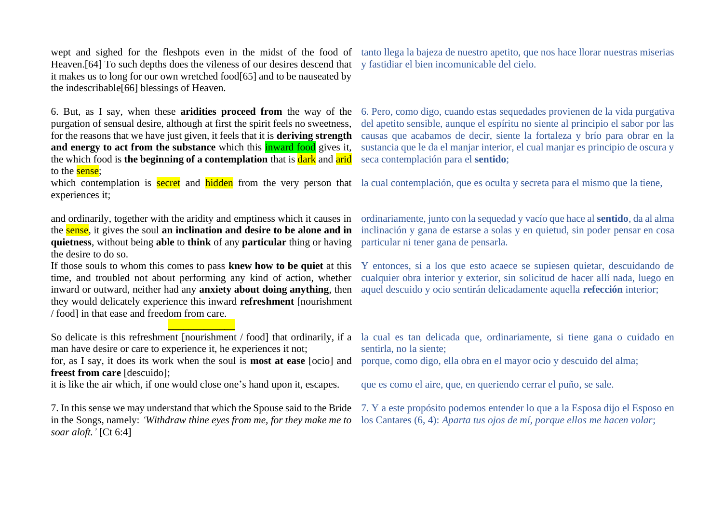Heaven.[64] To such depths does the vileness of our desires descend that y fastidiar el bien incomunicable del cielo. it makes us to long for our own wretched food[65] and to be nauseated by the indescribable[66] blessings of Heaven.

purgation of sensual desire, although at first the spirit feels no sweetness, for the reasons that we have just given, it feels that it is **deriving strength and energy to act from the substance** which this **inward food** gives it, the which food is **the beginning of a contemplation** that is **dark** and **arid** to the **sense**:

experiences it;

**quietness**, without being **able** to **think** of any **particular** thing or having particular ni tener gana de pensarla. the desire to do so.

inward or outward, neither had any **anxiety about doing anything**, then aquel descuido y ocio sentirán delicadamente aquella **refección** interior; they would delicately experience this inward **refreshment** [nourishment / food] in that ease and freedom from care.

man have desire or care to experience it, he experiences it not;

\_\_\_\_\_\_\_\_\_\_\_\_\_

for, as I say, it does its work when the soul is **most at ease** [ocio] and porque, como digo, ella obra en el mayor ocio y descuido del alma; **freest from care** [descuido];

it is like the air which, if one would close one's hand upon it, escapes.

in the Songs, namely: *'Withdraw thine eyes from me, for they make me to*  los Cantares (6, 4): *Aparta tus ojos de mí, porque ellos me hacen volar*;*soar aloft.'* [Ct 6:4]

wept and sighed for the fleshpots even in the midst of the food of tanto llega la bajeza de nuestro apetito, que nos hace llorar nuestras miserias

6. But, as I say, when these **aridities proceed from** the way of the 6. Pero, como digo, cuando estas sequedades provienen de la vida purgativa del apetito sensible, aunque el espíritu no siente al principio el sabor por las causas que acabamos de decir, siente la fortaleza y brío para obrar en la sustancia que le da el manjar interior, el cual manjar es principio de oscura y seca contemplación para el **sentido**;

which contemplation is secret and hidden from the very person that la cual contemplación, que es oculta y secreta para el mismo que la tiene,

and ordinarily, together with the aridity and emptiness which it causes in ordinariamente, junto con la sequedad y vacío que hace al **sentido**, da al alma the sense, it gives the soul **an inclination and desire to be alone and in** inclinación y gana de estarse a solas y en quietud, sin poder pensar en cosa

If those souls to whom this comes to pass **knew how to be quiet** at this Y entonces, si a los que esto acaece se supiesen quietar, descuidando de time, and troubled not about performing any kind of action, whether cualquier obra interior y exterior, sin solicitud de hacer allí nada, luego en

So delicate is this refreshment [nourishment / food] that ordinarily, if a la cual es tan delicada que, ordinariamente, si tiene gana o cuidado en sentirla, no la siente;

que es como el aire, que, en queriendo cerrar el puño, se sale.

7. In this sense we may understand that which the Spouse said to the Bride 7. Y a este propósito podemos entender lo que a la Esposa dijo el Esposo en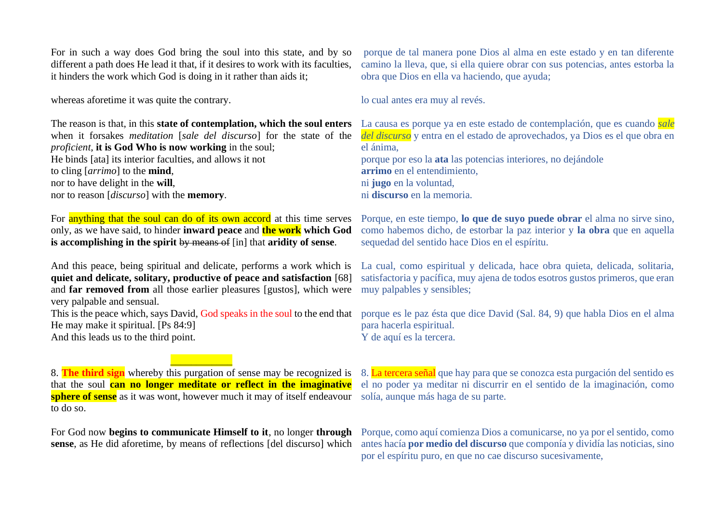For in such a way does God bring the soul into this state, and by so different a path does He lead it that, if it desires to work with its faculties, it hinders the work which God is doing in it rather than aids it;

whereas aforetime it was quite the contrary.

The reason is that, in this **state of contemplation, which the soul enters** when it forsakes *meditation* [*sale del discurso*] for the state of the *proficient*, **it is God Who is now working** in the soul;

He binds [ata] its interior faculties, and allows it not to cling [*arrimo*] to the **mind**,

nor to have delight in the **will**,

nor to reason [*discurso*] with the **memory**.

For anything that the soul can do of its own accord at this time serves only, as we have said, to hinder **inward peace** and **the work which God is accomplishing in the spirit** by means of [in] that **aridity of sense**.

And this peace, being spiritual and delicate, performs a work which is **quiet and delicate, solitary, productive of peace and satisfaction** [68] and **far removed from** all those earlier pleasures [gustos], which were very palpable and sensual. This is the peace which, says David, God speaks in the soul to the end that He may make it spiritual. [Ps 84:9]

And this leads us to the third point.

8. **The third sign** whereby this purgation of sense may be recognized is that the soul **can no longer meditate or reflect in the imaginative sphere of sense** as it was wont, however much it may of itself endeavour to do so.

\_\_\_\_\_\_\_\_\_\_\_\_

porque de tal manera pone Dios al alma en este estado y en tan diferente camino la lleva, que, si ella quiere obrar con sus potencias, antes estorba la obra que Dios en ella va haciendo, que ayuda;

lo cual antes era muy al revés.

La causa es porque ya en este estado de contemplación, que es cuando *sale del discurso* y entra en el estado de aprovechados, ya Dios es el que obra en el ánima, porque por eso la **ata** las potencias interiores, no dejándole **arrimo** en el entendimiento, ni **jugo** en la voluntad, ni **discurso** en la memoria.

Porque, en este tiempo, **lo que de suyo puede obrar** el alma no sirve sino, como habemos dicho, de estorbar la paz interior y **la obra** que en aquella sequedad del sentido hace Dios en el espíritu.

La cual, como espiritual y delicada, hace obra quieta, delicada, solitaria, satisfactoria y pacífica, muy ajena de todos esotros gustos primeros, que eran muy palpables y sensibles;

porque es le paz ésta que dice David (Sal. 84, 9) que habla Dios en el alma para hacerla espiritual. Y de aquí es la tercera.

8. La tercera señal que hay para que se conozca esta purgación del sentido es el no poder ya meditar ni discurrir en el sentido de la imaginación, como solía, aunque más haga de su parte.

For God now **begins to communicate Himself to it**, no longer **through**  Porque, como aquí comienza Dios a comunicarse, no ya por el sentido, como **sense**, as He did aforetime, by means of reflections [del discurso] which antes hacía **por medio del discurso** que componía y dividía las noticias, sino por el espíritu puro, en que no cae discurso sucesivamente,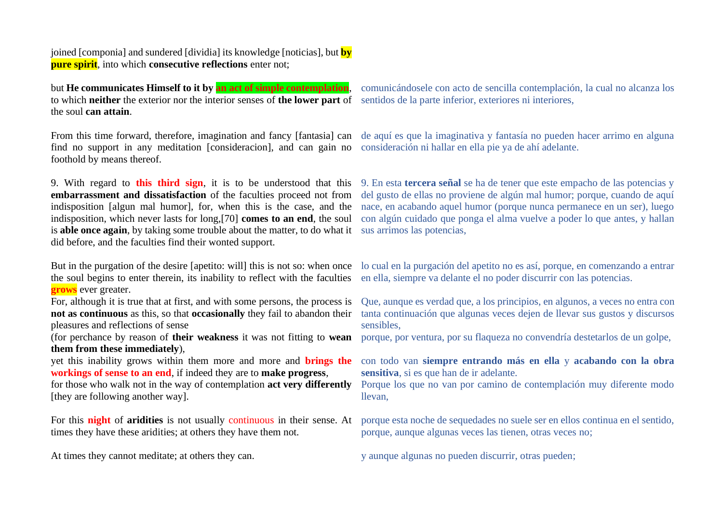joined [componia] and sundered [dividia] its knowledge [noticias], but **by pure spirit**, into which **consecutive reflections** enter not:

to which **neither** the exterior nor the interior senses of **the lower part** of sentidos de la parte inferior, exteriores ni interiores, the soul **can attain**.

find no support in any meditation [consideracion], and can gain no consideración ni hallar en ella pie ya de ahí adelante. foothold by means thereof.

is **able once again**, by taking some trouble about the matter, to do what it sus arrimos las potencias, did before, and the faculties find their wonted support.

the soul begins to enter therein, its inability to reflect with the faculties en ella, siempre va delante el no poder discurrir con las potencias. **grows** ever greater.

For, although it is true that at first, and with some persons, the process is pleasures and reflections of sense

**them from these immediately**),

**workings of sense to an end**, if indeed they are to **make progress**,

for those who walk not in the way of contemplation **act very differently** [they are following another way].

For this **night** of **aridities** is not usually continuous in their sense. At times they have these aridities; at others they have them not.

At times they cannot meditate; at others they can.

but He communicates Himself to it by **an act of simple contemplation**, comunicándosele con acto de sencilla contemplación, la cual no alcanza los

From this time forward, therefore, imagination and fancy [fantasia] can de aquí es que la imaginativa y fantasía no pueden hacer arrimo en alguna

9. With regard to **this third sign**, it is to be understood that this 9. En esta **tercera señal** se ha de tener que este empacho de las potencias y **embarrassment and dissatisfaction** of the faculties proceed not from del gusto de ellas no proviene de algún mal humor; porque, cuando de aquí indisposition [algun mal humor], for, when this is the case, and the nace, en acabando aquel humor (porque nunca permanece en un ser), luego indisposition, which never lasts for long,[70] **comes to an end**, the soul con algún cuidado que ponga el alma vuelve a poder lo que antes, y hallan

But in the purgation of the desire [apetito: will] this is not so: when once lo cual en la purgación del apetito no es así, porque, en comenzando a entrar

**not as continuous** as this, so that **occasionally** they fail to abandon their tanta continuación que algunas veces dejen de llevar sus gustos y discursos Que, aunque es verdad que, a los principios, en algunos, a veces no entra con sensibles,

(for perchance by reason of **their weakness** it was not fitting to **wean**  porque, por ventura, por su flaqueza no convendría destetarlos de un golpe,

yet this inability grows within them more and more and **brings the**  con todo van **siempre entrando más en ella** y **acabando con la obra sensitiva**, si es que han de ir adelante.

> Porque los que no van por camino de contemplación muy diferente modo llevan,

> porque esta noche de sequedades no suele ser en ellos continua en el sentido, porque, aunque algunas veces las tienen, otras veces no;

y aunque algunas no pueden discurrir, otras pueden;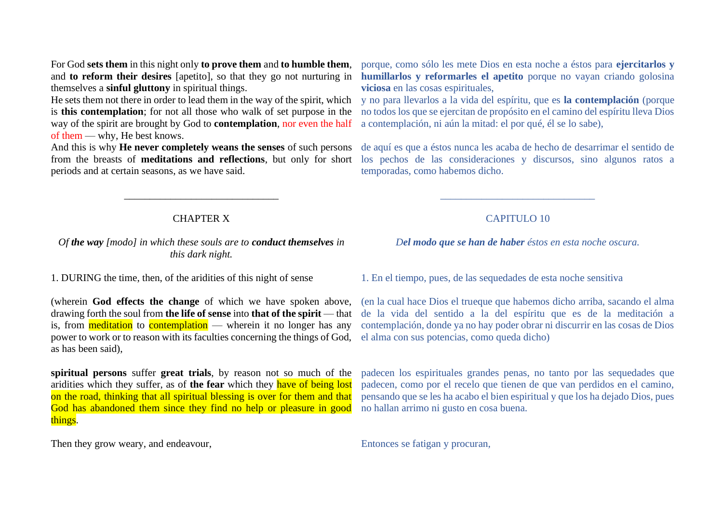themselves a **sinful gluttony** in spiritual things.

way of the spirit are brought by God to **contemplation**, nor even the half a contemplación, ni aún la mitad: el por qué, él se lo sabe), of them — why, He best knows.

from the breasts of **meditations and reflections**, but only for short periods and at certain seasons, as we have said.

For God **sets them** in this night only **to prove them** and **to humble them**, porque, como sólo les mete Dios en esta noche a éstos para **ejercitarlos y**  and **to reform their desires** [apetito], so that they go not nurturing in **humillarlos y reformarles el apetito** porque no vayan criando golosina **viciosa** en las cosas espirituales,

He sets them not there in order to lead them in the way of the spirit, which y no para llevarlos a la vida del espíritu, que es **la contemplación** (porque is this contemplation; for not all those who walk of set purpose in the no todos los que se ejercitan de propósito en el camino del espíritu lleva Dios

And this is why He never completely weans the senses of such persons de aquí es que a éstos nunca les acaba de hecho de desarrimar el sentido de los pechos de las consideraciones y discursos, sino algunos ratos a temporadas, como habemos dicho.

#### CHAPTER X

\_\_\_\_\_\_\_\_\_\_\_\_\_\_\_\_\_\_\_\_\_\_\_\_\_\_\_\_\_\_

*Of the way [modo] in which these souls are to conduct themselves in this dark night.*

1. DURING the time, then, of the aridities of this night of sense

(wherein **God effects the change** of which we have spoken above, drawing forth the soul from **the life of sense** into **that of the spirit** — that is, from **meditation** to **contemplation** — wherein it no longer has any power to work or to reason with its faculties concerning the things of God, as has been said),

**spiritual persons** suffer **great trials**, by reason not so much of the aridities which they suffer, as of **the fear** which they have of being lost on the road, thinking that all spiritual blessing is over for them and that God has abandoned them since they find no help or pleasure in good things.

Then they grow weary, and endeavour,

### CAPITULO 10

\_\_\_\_\_\_\_\_\_\_\_\_\_\_\_\_\_\_\_\_\_\_\_\_\_\_\_\_\_\_

*Del modo que se han de haber éstos en esta noche oscura.*

1. En el tiempo, pues, de las sequedades de esta noche sensitiva

(en la cual hace Dios el trueque que habemos dicho arriba, sacando el alma de la vida del sentido a la del espíritu que es de la meditación a contemplación, donde ya no hay poder obrar ni discurrir en las cosas de Dios el alma con sus potencias, como queda dicho)

padecen los espirituales grandes penas, no tanto por las sequedades que padecen, como por el recelo que tienen de que van perdidos en el camino, pensando que se les ha acabo el bien espiritual y que los ha dejado Dios, pues no hallan arrimo ni gusto en cosa buena.

Entonces se fatigan y procuran,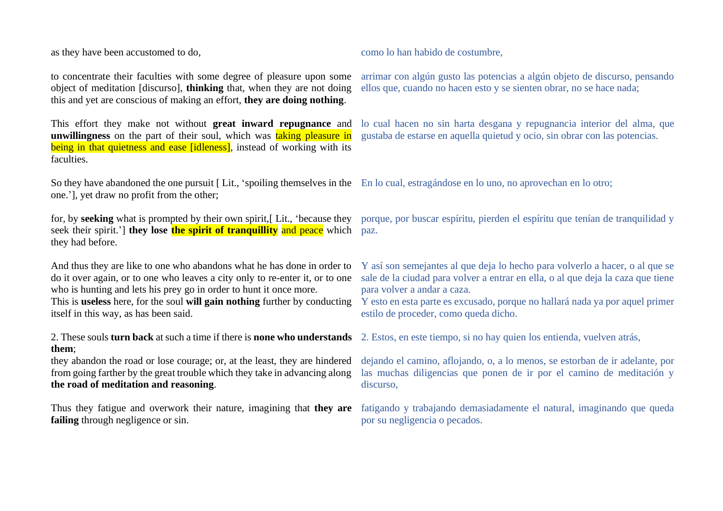as they have been accustomed to do,

to concentrate their faculties with some degree of pleasure upon some object of meditation [discurso], **thinking** that, when they are not doing this and yet are conscious of making an effort, **they are doing nothing**.

This effort they make not without **great inward repugnance** and **unwillingness** on the part of their soul, which was taking pleasure in being in that quietness and ease [idleness], instead of working with its faculties.

So they have abandoned the one pursuit [Lit., 'spoiling themselves in the En lo cual, estragándose en lo uno, no aprovechan en lo otro; one.'], yet draw no profit from the other;

seek their spirit.'] **they lose the spirit of tranquillity** and peace which paz. they had before.

And thus they are like to one who abandons what he has done in order to do it over again, or to one who leaves a city only to re-enter it, or to one who is hunting and lets his prey go in order to hunt it once more.

This is **useless** here, for the soul **will gain nothing** further by conducting itself in this way, as has been said.

2. These souls **turn back** at such a time if there is **none who understands**  2. Estos, en este tiempo, si no hay quien los entienda, vuelven atrás, **them**;

they abandon the road or lose courage; or, at the least, they are hindered from going farther by the great trouble which they take in advancing along **the road of meditation and reasoning**.

Thus they fatigue and overwork their nature, imagining that **they are failing** through negligence or sin.

arrimar con algún gusto las potencias a algún objeto de discurso, pensando ellos que, cuando no hacen esto y se sienten obrar, no se hace nada;

lo cual hacen no sin harta desgana y repugnancia interior del alma, que gustaba de estarse en aquella quietud y ocio, sin obrar con las potencias.

for, by seeking what is prompted by their own spirit,[Lit., 'because they porque, por buscar espíritu, pierden el espíritu que tenían de tranquilidad y

Y así son semejantes al que deja lo hecho para volverlo a hacer, o al que se sale de la ciudad para volver a entrar en ella, o al que deja la caza que tiene para volver a andar a caza.

Y esto en esta parte es excusado, porque no hallará nada ya por aquel primer estilo de proceder, como queda dicho.

dejando el camino, aflojando, o, a lo menos, se estorban de ir adelante, por las muchas diligencias que ponen de ir por el camino de meditación y discurso,

fatigando y trabajando demasiadamente el natural, imaginando que queda por su negligencia o pecados.

como lo han habido de costumbre,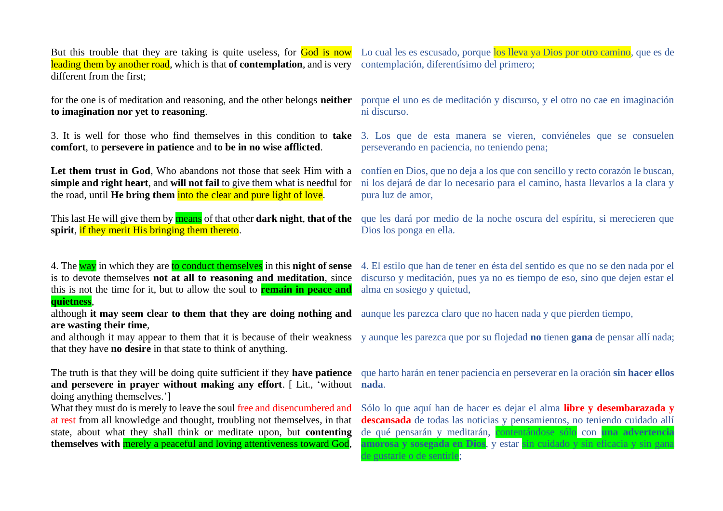But this trouble that they are taking is quite useless, for **God is now** leading them by another road, which is that **of contemplation**, and is very different from the first;

for the one is of meditation and reasoning, and the other belongs **neither to imagination nor yet to reasoning**.

**comfort**, to **persevere in patience** and **to be in no wise afflicted**.

Let them trust in God. Who abandons not those that seek Him with a **simple and right heart**, and **will not fail** to give them what is needful for the road, until **He bring them** into the clear and pure light of love.

This last He will give them by means of that other **dark night**, **that of the**  que les dará por medio de la noche oscura del espíritu, si merecieren que **spirit**, if they merit His bringing them thereto.

is to devote themselves **not at all to reasoning and meditation**, since this is not the time for it, but to allow the soul to **remain in peace and quietness**,

# **are wasting their time**,

that they have **no desire** in that state to think of anything.

**and persevere in prayer without making any effort**. [ Lit., 'without **nada**. doing anything themselves.']

What they must do is merely to leave the soul free and disencumbered and at rest from all knowledge and thought, troubling not themselves, in that state, about what they shall think or meditate upon, but **contenting themselves with** merely a peaceful and loving attentiveness toward God,

Lo cual les es escusado, porque los lleva ya Dios por otro camino, que es de contemplación, diferentísimo del primero;

porque el uno es de meditación y discurso, y el otro no cae en imaginación ni discurso.

3. It is well for those who find themselves in this condition to **take**  3. Los que de esta manera se vieren, conviéneles que se consuelen perseverando en paciencia, no teniendo pena;

> confíen en Dios, que no deja a los que con sencillo y recto corazón le buscan, ni los dejará de dar lo necesario para el camino, hasta llevarlos a la clara y pura luz de amor,

> Dios los ponga en ella.

4. The way in which they are to conduct themselves in this **night of sense** 4. El estilo que han de tener en ésta del sentido es que no se den nada por el discurso y meditación, pues ya no es tiempo de eso, sino que dejen estar el alma en sosiego y quietud,

although **it may seem clear to them that they are doing nothing and**  aunque les parezca claro que no hacen nada y que pierden tiempo,

and although it may appear to them that it is because of their weakness y aunque les parezca que por su flojedad **no** tienen **gana** de pensar allí nada;

The truth is that they will be doing quite sufficient if they **have patience**  que harto harán en tener paciencia en perseverar en la oración **sin hacer ellos** 

Sólo lo que aquí han de hacer es dejar el alma **libre y desembarazada y descansada** de todas las noticias y pensamientos, no teniendo cuidado allí de qué pensarán y meditarán, contentándose sólo con **una advertencia amorosa y sosegada en Dios**, y estar sin cuidado y sin eficacia y sin gana de gustarle o de sentirle;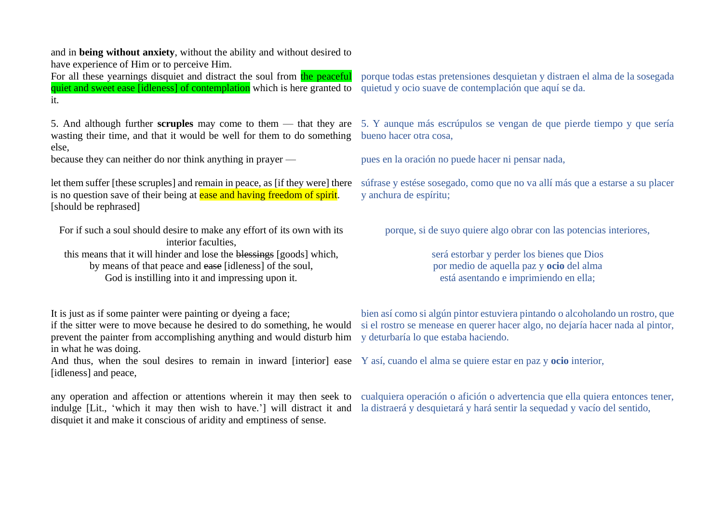and in **being without anxiety**, without the ability and without desired to have experience of Him or to perceive Him.

quiet and sweet ease [idleness] of contemplation which is here granted to quietud y ocio suave de contemplación que aquí se da. it.

wasting their time, and that it would be well for them to do something bueno hacer otra cosa, else,

because they can neither do nor think anything in prayer —

is no question save of their being at ease and having freedom of spirit. [should be rephrased]

For if such a soul should desire to make any effort of its own with its interior faculties,

this means that it will hinder and lose the blessings [goods] which, by means of that peace and ease [idleness] of the soul, God is instilling into it and impressing upon it.

It is just as if some painter were painting or dyeing a face;

prevent the painter from accomplishing anything and would disturb him y deturbaría lo que estaba haciendo. in what he was doing.

And thus, when the soul desires to remain in inward [interior] ease Y así, cuando el alma se quiere estar en paz y **ocio** interior, [idleness] and peace,

indulge [Lit., 'which it may then wish to have.'] will distract it and la distraerá y desquietará y hará sentir la sequedad y vacío del sentido, disquiet it and make it conscious of aridity and emptiness of sense.

For all these yearnings disquiet and distract the soul from the peaceful porque todas estas pretensiones desquietan y distraen el alma de la sosegada

5. And although further **scruples** may come to them — that they are 5. Y aunque más escrúpulos se vengan de que pierde tiempo y que sería

pues en la oración no puede hacer ni pensar nada,

let them suffer [these scruples] and remain in peace, as [if they were] there súfrase y estése sosegado, como que no va allí más que a estarse a su placer y anchura de espíritu;

porque, si de suyo quiere algo obrar con las potencias interiores,

será estorbar y perder los bienes que Dios por medio de aquella paz y **ocio** del alma está asentando e imprimiendo en ella;

if the sitter were to move because he desired to do something, he would si el rostro se menease en querer hacer algo, no dejaría hacer nada al pintor, bien así como si algún pintor estuviera pintando o alcoholando un rostro, que

any operation and affection or attentions wherein it may then seek to cualquiera operación o afición o advertencia que ella quiera entonces tener,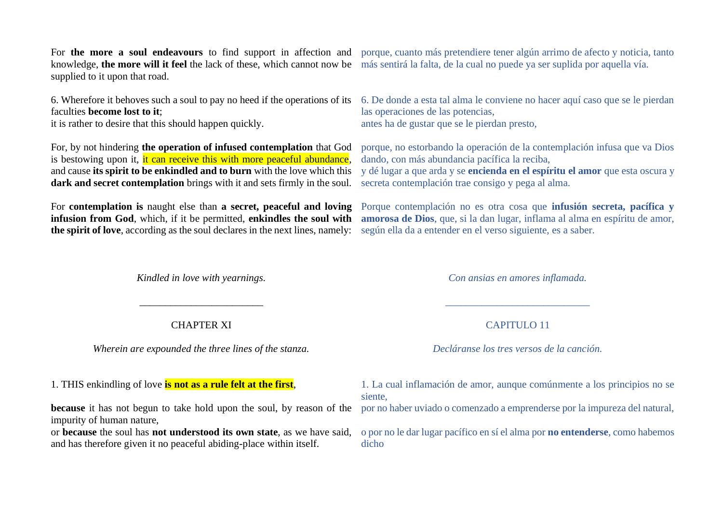knowledge, **the more will it feel** the lack of these, which cannot now be más sentirá la falta, de la cual no puede ya ser suplida por aquella vía. supplied to it upon that road.

faculties **become lost to it**;

it is rather to desire that this should happen quickly.

For, by not hindering **the operation of infused contemplation** that God is bestowing upon it, it can receive this with more peaceful abundance, and cause **its spirit to be enkindled and to burn** with the love which this **dark and secret contemplation** brings with it and sets firmly in the soul.

For **contemplation is** naught else than **a secret, peaceful and loving infusion from God**, which, if it be permitted, **enkindles the soul with the spirit of love**, according as the soul declares in the next lines, namely: según ella da a entender en el verso siguiente, es a saber.

*Kindled in love with yearnings.*

\_\_\_\_\_\_\_\_\_\_\_\_\_\_\_\_\_\_\_\_\_\_\_\_

CHAPTER XI

*Wherein are expounded the three lines of the stanza.*

1. THIS enkindling of love **is not as a rule felt at the first**,

**because** it has not begun to take hold upon the soul, by reason of the impurity of human nature,

or **because** the soul has **not understood its own state**, as we have said, and has therefore given it no peaceful abiding-place within itself.

For the more a soul endeavours to find support in affection and porque, cuanto más pretendiere tener algún arrimo de afecto y noticia, tanto

6. Wherefore it behoves such a soul to pay no heed if the operations of its 6. De donde a esta tal alma le conviene no hacer aquí caso que se le pierdan las operaciones de las potencias, antes ha de gustar que se le pierdan presto,

> porque, no estorbando la operación de la contemplación infusa que va Dios dando, con más abundancia pacífica la reciba,

> y dé lugar a que arda y se **encienda en el espíritu el amor** que esta oscura y secreta contemplación trae consigo y pega al alma.

> Porque contemplación no es otra cosa que **infusión secreta, pacífica y amorosa de Dios**, que, si la dan lugar, inflama al alma en espíritu de amor,

> > *Con ansias en amores inflamada.*

\_\_\_\_\_\_\_\_\_\_\_\_\_\_\_\_\_\_\_\_\_\_\_\_\_\_\_\_

CAPITULO 11

*Decláranse los tres versos de la canción.*

1. La cual inflamación de amor, aunque comúnmente a los principios no se siente,

por no haber uviado o comenzado a emprenderse por la impureza del natural,

o por no le dar lugar pacífico en sí el alma por **no entenderse**, como habemos dicho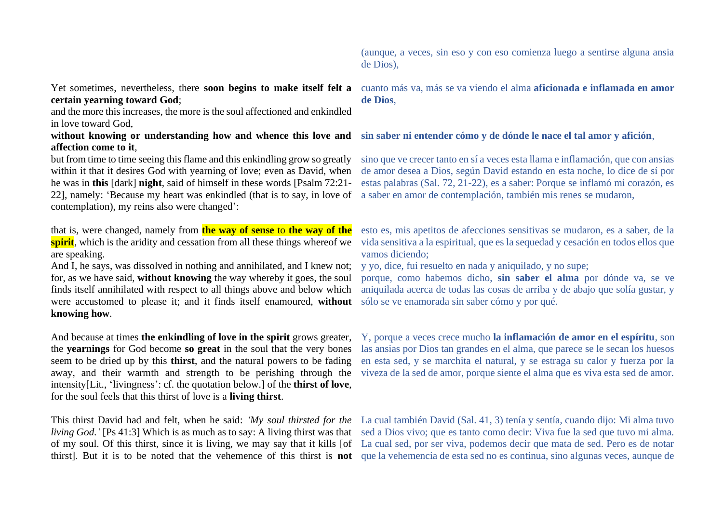**certain yearning toward God**;

and the more this increases, the more is the soul affectioned and enkindled in love toward God,

## **affection come to it**,

but from time to time seeing this flame and this enkindling grow so greatly within it that it desires God with yearning of love; even as David, when he was in **this** [dark] **night**, said of himself in these words [Psalm 72:21- 22], namely: 'Because my heart was enkindled (that is to say, in love of contemplation), my reins also were changed':

that is, were changed, namely from **the way of sense** to **the way of the spirit**, which is the aridity and cessation from all these things whereof we are speaking.

And I, he says, was dissolved in nothing and annihilated, and I knew not; for, as we have said, **without knowing** the way whereby it goes, the soul finds itself annihilated with respect to all things above and below which were accustomed to please it; and it finds itself enamoured, **without knowing how**.

And because at times **the enkindling of love in the spirit** grows greater, the **yearnings** for God become **so great** in the soul that the very bones seem to be dried up by this **thirst**, and the natural powers to be fading away, and their warmth and strength to be perishing through the intensity[Lit., 'livingness': cf. the quotation below.] of the **thirst of love**, for the soul feels that this thirst of love is a **living thirst**.

This thirst David had and felt, when he said: *'My soul thirsted for the*  La cual también David (Sal. 41, 3) tenía y sentía, cuando dijo: Mi alma tuvo

(aunque, a veces, sin eso y con eso comienza luego a sentirse alguna ansia de Dios),

Yet sometimes, nevertheless, there **soon begins to make itself felt a** cuanto más va, más se va viendo el alma aficionada e inflamada en amor **de Dios**,

#### **without knowing or understanding how and whence this love and sin saber ni entender cómo y de dónde le nace el tal amor y afición**,

sino que ve crecer tanto en sí a veces esta llama e inflamación, que con ansias de amor desea a Dios, según David estando en esta noche, lo dice de sí por estas palabras (Sal. 72, 21-22), es a saber: Porque se inflamó mi corazón, es a saber en amor de contemplación, también mis renes se mudaron,

esto es, mis apetitos de afecciones sensitivas se mudaron, es a saber, de la vida sensitiva a la espiritual, que es la sequedad y cesación en todos ellos que vamos diciendo;

y yo, dice, fui resuelto en nada y aniquilado, y no supe;

porque, como habemos dicho, **sin saber el alma** por dónde va, se ve aniquilada acerca de todas las cosas de arriba y de abajo que solía gustar, y sólo se ve enamorada sin saber cómo y por qué.

Y, porque a veces crece mucho **la inflamación de amor en el espíritu**, son las ansias por Dios tan grandes en el alma, que parece se le secan los huesos en esta sed, y se marchita el natural, y se estraga su calor y fuerza por la viveza de la sed de amor, porque siente el alma que es viva esta sed de amor.

living God.' [Ps 41:3] Which is as much as to say: A living thirst was that sed a Dios vivo; que es tanto como decir: Viva fue la sed que tuvo mi alma. of my soul. Of this thirst, since it is living, we may say that it kills [of La cual sed, por ser viva, podemos decir que mata de sed. Pero es de notar thirst]. But it is to be noted that the vehemence of this thirst is **not**  que la vehemencia de esta sed no es continua, sino algunas veces, aunque de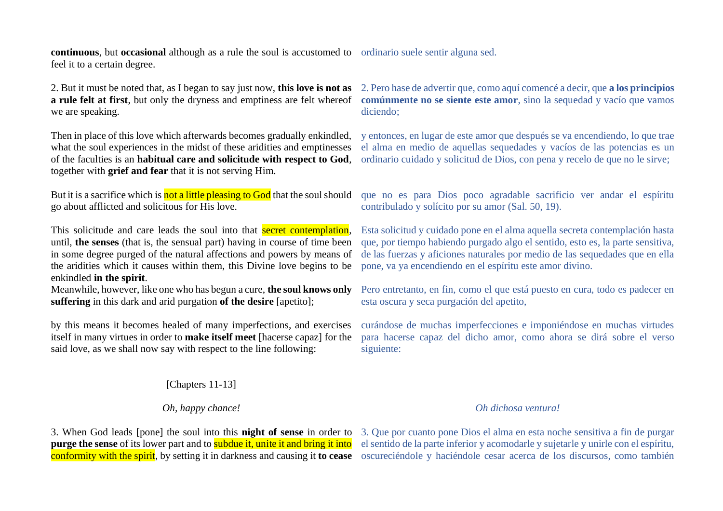**continuous**, but **occasional** although as a rule the soul is accustomed to ordinario suele sentir alguna sed. feel it to a certain degree.

**a rule felt at first**, but only the dryness and emptiness are felt whereof we are speaking.

Then in place of this love which afterwards becomes gradually enkindled, what the soul experiences in the midst of these aridities and emptinesses of the faculties is an **habitual care and solicitude with respect to God**, together with **grief and fear** that it is not serving Him.

But it is a sacrifice which is not a little pleasing to God that the soul should go about afflicted and solicitous for His love.

This solicitude and care leads the soul into that **secret contemplation**, until, **the senses** (that is, the sensual part) having in course of time been in some degree purged of the natural affections and powers by means of the aridities which it causes within them, this Divine love begins to be enkindled **in the spirit**.

Meanwhile, however, like one who has begun a cure, **the soul knows only suffering** in this dark and arid purgation **of the desire** [apetito];

by this means it becomes healed of many imperfections, and exercises itself in many virtues in order to **make itself meet** [hacerse capaz] for the said love, as we shall now say with respect to the line following:

[Chapters 11-13]

*Oh, happy chance!*

**purge the sense** of its lower part and to **subdue it, unite it and bring it into** 

2. But it must be noted that, as I began to say just now, **this love is not as**  2. Pero hase de advertir que, como aquí comencé a decir, que **a los principios comúnmente no se siente este amor**, sino la sequedad y vacío que vamos diciendo;

> y entonces, en lugar de este amor que después se va encendiendo, lo que trae el alma en medio de aquellas sequedades y vacíos de las potencias es un ordinario cuidado y solicitud de Dios, con pena y recelo de que no le sirve;

> que no es para Dios poco agradable sacrificio ver andar el espíritu contribulado y solícito por su amor (Sal. 50, 19).

> Esta solicitud y cuidado pone en el alma aquella secreta contemplación hasta que, por tiempo habiendo purgado algo el sentido, esto es, la parte sensitiva, de las fuerzas y aficiones naturales por medio de las sequedades que en ella pone, va ya encendiendo en el espíritu este amor divino.

> Pero entretanto, en fin, como el que está puesto en cura, todo es padecer en esta oscura y seca purgación del apetito,

> curándose de muchas imperfecciones e imponiéndose en muchas virtudes para hacerse capaz del dicho amor, como ahora se dirá sobre el verso siguiente:

#### *Oh dichosa ventura!*

3. When God leads [pone] the soul into this **night of sense** in order to 3. Que por cuanto pone Dios el alma en esta noche sensitiva a fin de purgar conformity with the spirit, by setting it in darkness and causing it to cease oscureciéndole y haciéndole cesar acerca de los discursos, como también el sentido de la parte inferior y acomodarle y sujetarle y unirle con el espíritu,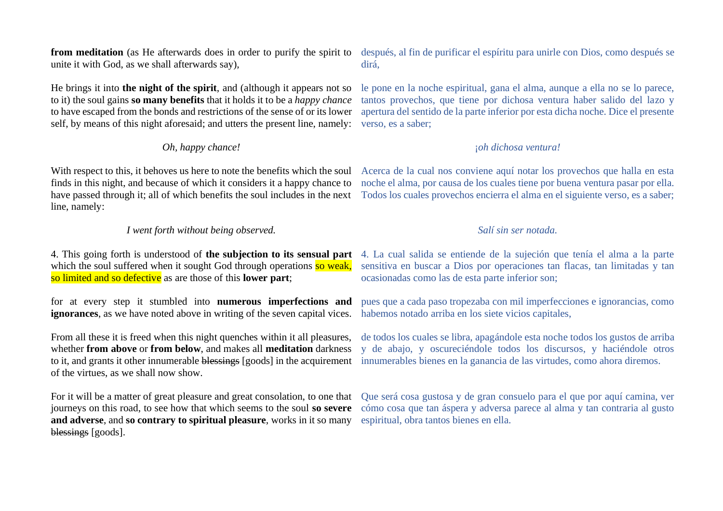**from meditation** (as He afterwards does in order to purify the spirit to unite it with God, as we shall afterwards say),

He brings it into **the night of the spirit**, and (although it appears not so to it) the soul gains **so many benefits** that it holds it to be a *happy chance* to have escaped from the bonds and restrictions of the sense of or its lower self, by means of this night aforesaid; and utters the present line, namely: verso, es a saber;

#### *Oh, happy chance!*

line, namely:

#### *I went forth without being observed.*

which the soul suffered when it sought God through operations so weak, so limited and so defective as are those of this **lower part**;

for at every step it stumbled into **numerous imperfections and ignorances**, as we have noted above in writing of the seven capital vices. habemos notado arriba en los siete vicios capitales,

From all these it is freed when this night quenches within it all pleasures, to it, and grants it other innumerable blessings [goods] in the acquirement innumerables bienes en la ganancia de las virtudes, como ahora diremos. of the virtues, as we shall now show.

**and adverse**, and **so contrary to spiritual pleasure**, works in it so many espiritual, obra tantos bienes en ella.blessings [goods].

después, al fin de purificar el espíritu para unirle con Dios, como después se dirá,

le pone en la noche espiritual, gana el alma, aunque a ella no se lo parece, tantos provechos, que tiene por dichosa ventura haber salido del lazo y apertura del sentido de la parte inferior por esta dicha noche. Dice el presente

#### ¡*oh dichosa ventura!*

With respect to this, it behoves us here to note the benefits which the soul Acerca de la cual nos conviene aquí notar los provechos que halla en esta finds in this night, and because of which it considers it a happy chance to noche el alma, por causa de los cuales tiene por buena ventura pasar por ella. have passed through it; all of which benefits the soul includes in the next Todos los cuales provechos encierra el alma en el siguiente verso, es a saber;

#### *Salí sin ser notada.*

4. This going forth is understood of **the subjection to its sensual part**  4. La cual salida se entiende de la sujeción que tenía el alma a la parte sensitiva en buscar a Dios por operaciones tan flacas, tan limitadas y tan ocasionadas como las de esta parte inferior son;

pues que a cada paso tropezaba con mil imperfecciones e ignorancias, como

whether from above or from below, and makes all meditation darkness y de abajo, y oscureciéndole todos los discursos, y haciéndole otros de todos los cuales se libra, apagándole esta noche todos los gustos de arriba

For it will be a matter of great pleasure and great consolation, to one that Que será cosa gustosa y de gran consuelo para el que por aquí camina, ver journeys on this road, to see how that which seems to the soul **so severe**  cómo cosa que tan áspera y adversa parece al alma y tan contraria al gusto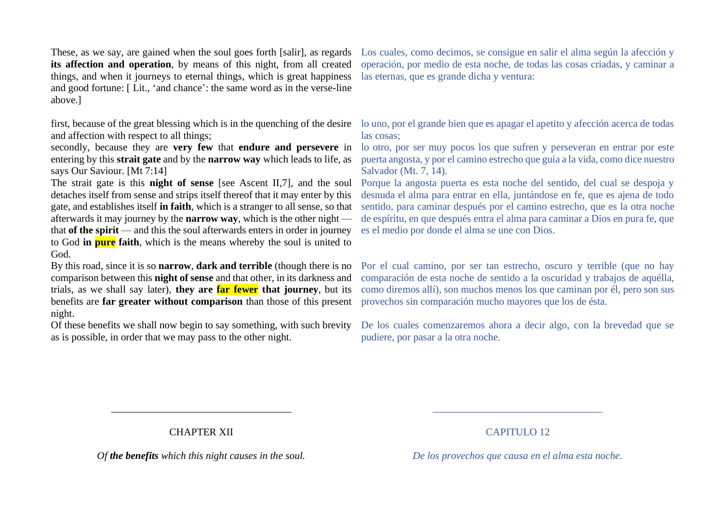**its affection and operation**, by means of this night, from all created things, and when it journeys to eternal things, which is great happiness and good fortune: [ Lit., 'and chance': the same word as in the verse-line above.]

first, because of the great blessing which is in the quenching of the desire and affection with respect to all things;

secondly, because they are **very few** that **endure and persevere** in lo otro, por ser muy pocos los que sufren y perseveran en entrar por este entering by this **strait gate** and by the **narrow way** which leads to life, as says Our Saviour. [Mt 7:14]

The strait gate is this **night of sense** [see Ascent II,7], and the soul Porque la angosta puerta es esta noche del sentido, del cual se despoja y detaches itself from sense and strips itself thereof that it may enter by this gate, and establishes itself **in faith**, which is a stranger to all sense, so that afterwards it may journey by the **narrow way**, which is the other night that **of the spirit** — and this the soul afterwards enters in order in journey to God **in pure faith**, which is the means whereby the soul is united to God.

By this road, since it is so **narrow**, **dark and terrible** (though there is no comparison between this **night of sense** and that other, in its darkness and trials, as we shall say later), **they are far fewer that journey**, but its benefits are **far greater without comparison** than those of this present night.

Of these benefits we shall now begin to say something, with such brevity as is possible, in order that we may pass to the other night.

These, as we say, are gained when the soul goes forth [salir], as regards Los cuales, como decimos, se consigue en salir el alma según la afección y operación, por medio de esta noche, de todas las cosas criadas, y caminar a las eternas, que es grande dicha y ventura:

> lo uno, por el grande bien que es apagar el apetito y afección acerca de todas las cosas;

> puerta angosta, y por el camino estrecho que guía a la vida, como dice nuestro Salvador (Mt. 7, 14).

> desnuda el alma para entrar en ella, juntándose en fe, que es ajena de todo sentido, para caminar después por el camino estrecho, que es la otra noche de espíritu, en que después entra el alma para caminar a Dios en pura fe, que es el medio por donde el alma se une con Dios.

> Por el cual camino, por ser tan estrecho, oscuro y terrible (que no hay comparación de esta noche de sentido a la oscuridad y trabajos de aquélla, como diremos allí), son muchos menos los que caminan por él, pero son sus provechos sin comparación mucho mayores que los de ésta.

> De los cuales comenzaremos ahora a decir algo, con la brevedad que se pudiere, por pasar a la otra noche.

CHAPTER XII

\_\_\_\_\_\_\_\_\_\_\_\_\_\_\_\_\_\_\_\_\_\_\_\_\_\_\_\_\_\_\_\_\_\_\_

*Of the benefits which this night causes in the soul.*

CAPITULO 12

\_\_\_\_\_\_\_\_\_\_\_\_\_\_\_\_\_\_\_\_\_\_\_\_\_\_\_\_\_\_\_\_\_

*De los provechos que causa en el alma esta noche.*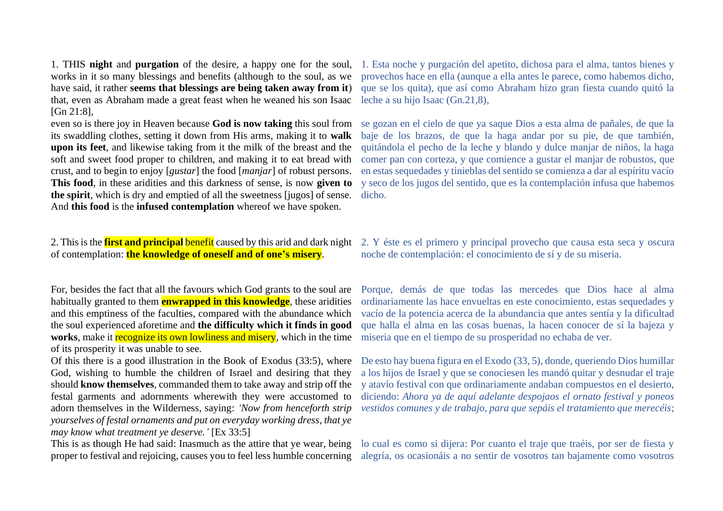1. THIS **night** and **purgation** of the desire, a happy one for the soul, 1. Esta noche y purgación del apetito, dichosa para el alma, tantos bienes y works in it so many blessings and benefits (although to the soul, as we have said, it rather **seems that blessings are being taken away from it**) that, even as Abraham made a great feast when he weaned his son Isaac [Gn 21:8],

even so is there joy in Heaven because **God is now taking** this soul from its swaddling clothes, setting it down from His arms, making it to **walk upon its feet**, and likewise taking from it the milk of the breast and the soft and sweet food proper to children, and making it to eat bread with crust, and to begin to enjoy [*gustar*] the food [*manjar*] of robust persons. **the spirit**, which is dry and emptied of all the sweetness [jugos] of sense. And **this food** is the **infused contemplation** whereof we have spoken.

2. This is the first and principal benefit caused by this arid and dark night 2. Y éste es el primero y principal provecho que causa esta seca y oscura of contemplation: **the knowledge of oneself and of one's misery**.

For, besides the fact that all the favours which God grants to the soul are habitually granted to them **enwrapped in this knowledge**, these aridities and this emptiness of the faculties, compared with the abundance which the soul experienced aforetime and **the difficulty which it finds in good works**, make it **recognize its own lowliness and misery**, which in the time of its prosperity it was unable to see.

Of this there is a good illustration in the Book of Exodus (33:5), where God, wishing to humble the children of Israel and desiring that they should **know themselves**, commanded them to take away and strip off the festal garments and adornments wherewith they were accustomed to adorn themselves in the Wilderness, saying: *'Now from henceforth strip yourselves of festal ornaments and put on everyday working dress, that ye may know what treatment ye deserve.'* [Ex 33:5]

This is as though He had said: Inasmuch as the attire that ye wear, being proper to festival and rejoicing, causes you to feel less humble concerning

provechos hace en ella (aunque a ella antes le parece, como habemos dicho, que se los quita), que así como Abraham hizo gran fiesta cuando quitó la leche a su hijo Isaac (Gn.21,8),

This food, in these aridities and this darkness of sense, is now given to y seco de los jugos del sentido, que es la contemplación infusa que habemos se gozan en el cielo de que ya saque Dios a esta alma de pañales, de que la baje de los brazos, de que la haga andar por su pie, de que también, quitándola el pecho de la leche y blando y dulce manjar de niños, la haga comer pan con corteza, y que comience a gustar el manjar de robustos, que en estas sequedades y tinieblas del sentido se comienza a dar al espíritu vacío dicho.

noche de contemplación: el conocimiento de sí y de su miseria.

Porque, demás de que todas las mercedes que Dios hace al alma ordinariamente las hace envueltas en este conocimiento, estas sequedades y vacío de la potencia acerca de la abundancia que antes sentía y la dificultad que halla el alma en las cosas buenas, la hacen conocer de sí la bajeza y miseria que en el tiempo de su prosperidad no echaba de ver.

De esto hay buena figura en el Exodo (33, 5), donde, queriendo Dios humillar a los hijos de Israel y que se conociesen les mandó quitar y desnudar el traje y atavío festival con que ordinariamente andaban compuestos en el desierto, diciendo: *Ahora ya de aquí adelante despojaos el ornato festival y poneos vestidos comunes y de trabajo, para que sepáis el tratamiento que merecéis*;

lo cual es como si dijera: Por cuanto el traje que traéis, por ser de fiesta y alegría, os ocasionáis a no sentir de vosotros tan bajamente como vosotros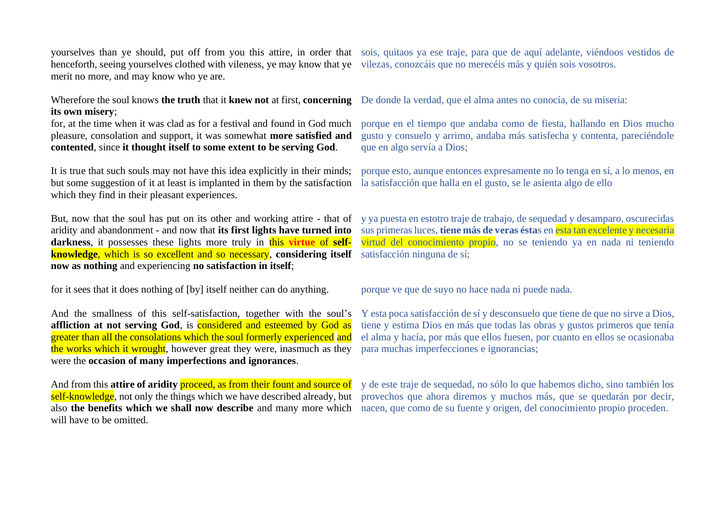yourselves than ye should, put off from you this attire, in order that sois, quitaos ya ese traje, para que de aquí adelante, viéndoos vestidos de henceforth, seeing yourselves clothed with vileness, ye may know that ye vilezas, conozcáis que no merecéis más y quién sois vosotros. merit no more, and may know who ye are.

### **its own misery**;

for, at the time when it was clad as for a festival and found in God much pleasure, consolation and support, it was somewhat **more satisfied and contented**, since **it thought itself to some extent to be serving God**.

It is true that such souls may not have this idea explicitly in their minds; but some suggestion of it at least is implanted in them by the satisfaction la satisfacción que halla en el gusto, se le asienta algo de ello which they find in their pleasant experiences.

But, now that the soul has put on its other and working attire - that of aridity and abandonment - and now that **its first lights have turned into**  darkness, it possesses these lights more truly in this **virtue** of self**knowledge**, which is so excellent and so necessary, **considering itself now as nothing** and experiencing **no satisfaction in itself**;

for it sees that it does nothing of [by] itself neither can do anything.

And the smallness of this self-satisfaction, together with the soul's **affliction at not serving God**, is **considered and esteemed by God as** greater than all the consolations which the soul formerly experienced and the works which it wrought, however great they were, inasmuch as they were the **occasion of many imperfections and ignorances**.

will have to be omitted.

Wherefore the soul knows **the truth** that it **knew not** at first, **concerning**  De donde la verdad, que el alma antes no conocía, de su miseria:

porque en el tiempo que andaba como de fiesta, hallando en Dios mucho gusto y consuelo y arrimo, andaba más satisfecha y contenta, pareciéndole que en algo servía a Dios;

porque esto, aunque entonces expresamente no lo tenga en sí, a lo menos, en

y ya puesta en estotro traje de trabajo, de sequedad y desamparo, oscurecidas sus primeras luces, **tiene más de veras ésta**s en esta tan excelente y necesaria virtud del conocimiento propio, no se teniendo ya en nada ni teniendo satisfacción ninguna de sí;

porque ve que de suyo no hace nada ni puede nada.

Y esta poca satisfacción de sí y desconsuelo que tiene de que no sirve a Dios, tiene y estima Dios en más que todas las obras y gustos primeros que tenía el alma y hacía, por más que ellos fuesen, por cuanto en ellos se ocasionaba para muchas imperfecciones e ignorancias;

And from this **attire of aridity proceed, as from their fount and source of** y de este traje de sequedad, no sólo lo que habemos dicho, sino también los self-knowledge, not only the things which we have described already, but provechos que ahora diremos y muchos más, que se quedarán por decir, also **the benefits which we shall now describe** and many more which nacen, que como de su fuente y origen, del conocimiento propio proceden.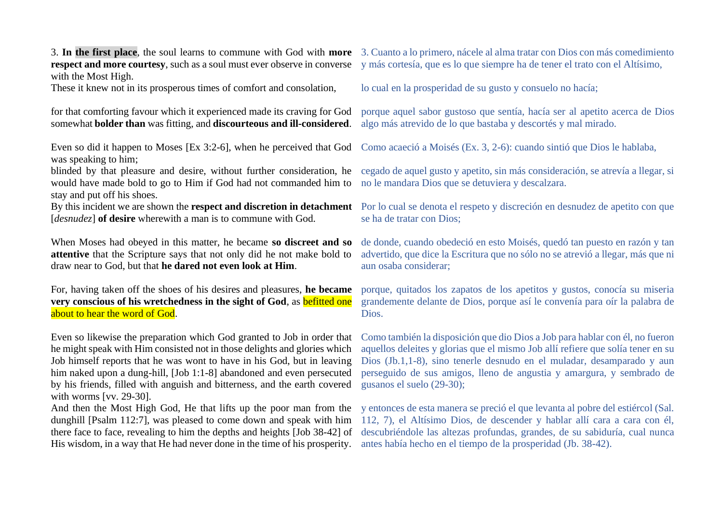3. **In the first place**, the soul learns to commune with God with **more**  3. Cuanto a lo primero, nácele al alma tratar con Dios con más comedimiento with the Most High.

These it knew not in its prosperous times of comfort and consolation,

for that comforting favour which it experienced made its craving for God somewhat **bolder than** was fitting, and **discourteous and ill-considered**.

was speaking to him;

would have made bold to go to Him if God had not commanded him to no le mandara Dios que se detuviera y descalzara. stay and put off his shoes.

[*desnudez*] **of desire** wherewith a man is to commune with God.

When Moses had obeyed in this matter, he became **so discreet and so attentive** that the Scripture says that not only did he not make bold to draw near to God, but that **he dared not even look at Him**.

For, having taken off the shoes of his desires and pleasures, **he became very conscious of his wretchedness in the sight of God**, as befitted one about to hear the word of God.

Even so likewise the preparation which God granted to Job in order that he might speak with Him consisted not in those delights and glories which Job himself reports that he was wont to have in his God, but in leaving him naked upon a dung-hill, [Job 1:1-8] abandoned and even persecuted by his friends, filled with anguish and bitterness, and the earth covered with worms [vv. 29-30].

And then the Most High God, He that lifts up the poor man from the dunghill [Psalm 112:7], was pleased to come down and speak with him there face to face, revealing to him the depths and heights [Job 38-42] of His wisdom, in a way that He had never done in the time of his prosperity.

respect and more courtesy, such as a soul must ever observe in converse y más cortesía, que es lo que siempre ha de tener el trato con el Altísimo,

lo cual en la prosperidad de su gusto y consuelo no hacía;

porque aquel sabor gustoso que sentía, hacía ser al apetito acerca de Dios algo más atrevido de lo que bastaba y descortés y mal mirado.

Even so did it happen to Moses [Ex 3:2-6], when he perceived that God Como acaeció a Moisés (Ex. 3, 2-6): cuando sintió que Dios le hablaba,

blinded by that pleasure and desire, without further consideration, he cegado de aquel gusto y apetito, sin más consideración, se atrevía a llegar, si

By this incident we are shown the **respect and discretion in detachment** Por lo cual se denota el respeto y discreción en desnudez de apetito con que se ha de tratar con Dios;

> de donde, cuando obedeció en esto Moisés, quedó tan puesto en razón y tan advertido, que dice la Escritura que no sólo no se atrevió a llegar, más que ni aun osaba considerar;

> porque, quitados los zapatos de los apetitos y gustos, conocía su miseria grandemente delante de Dios, porque así le convenía para oír la palabra de Dios.

> Como también la disposición que dio Dios a Job para hablar con él, no fueron aquellos deleites y glorias que el mismo Job allí refiere que solía tener en su Dios (Jb.1,1-8), sino tenerle desnudo en el muladar, desamparado y aun perseguido de sus amigos, lleno de angustia y amargura, y sembrado de gusanos el suelo (29-30);

> y entonces de esta manera se preció el que levanta al pobre del estiércol (Sal. 112, 7), el Altísimo Dios, de descender y hablar allí cara a cara con él, descubriéndole las altezas profundas, grandes, de su sabiduría, cual nunca antes había hecho en el tiempo de la prosperidad (Jb. 38-42).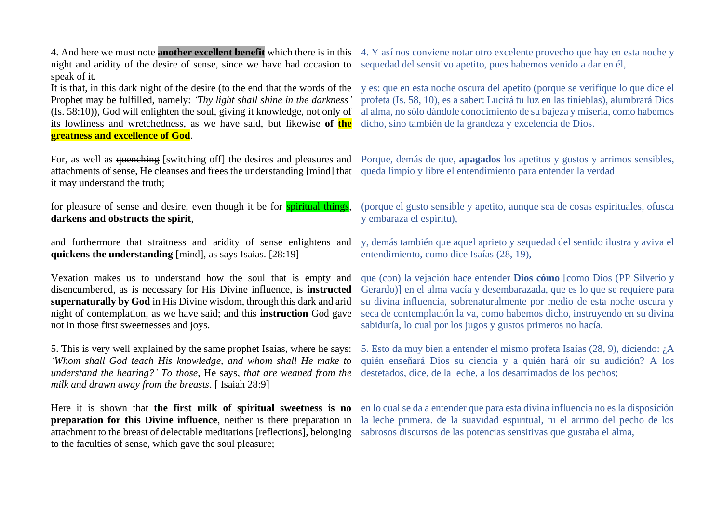4. And here we must note **another excellent benefit** which there is in this 4. Y así nos conviene notar otro excelente provecho que hay en esta noche y night and aridity of the desire of sense, since we have had occasion to speak of it.

Prophet may be fulfilled, namely: *'Thy light shall shine in the darkness'* (Is. 58:10)), God will enlighten the soul, giving it knowledge, not only of its lowliness and wretchedness, as we have said, but likewise **of the greatness and excellence of God**.

attachments of sense, He cleanses and frees the understanding [mind] that queda limpio y libre el entendimiento para entender la verdad it may understand the truth;

for pleasure of sense and desire, even though it be for **spiritual things**, **darkens and obstructs the spirit**,

and furthermore that straitness and aridity of sense enlightens and **quickens the understanding** [mind], as says Isaias. [28:19]

Vexation makes us to understand how the soul that is empty and disencumbered, as is necessary for His Divine influence, is **instructed supernaturally by God** in His Divine wisdom, through this dark and arid night of contemplation, as we have said; and this **instruction** God gave not in those first sweetnesses and joys.

*'Whom shall God teach His knowledge, and whom shall He make to understand the hearing?' To those*, He says, *that are weaned from the milk and drawn away from the breasts*. [ Isaiah 28:9]

attachment to the breast of delectable meditations [reflections], belonging sabrosos discursos de las potencias sensitivas que gustaba el alma,to the faculties of sense, which gave the soul pleasure;

sequedad del sensitivo apetito, pues habemos venido a dar en él,

It is that, in this dark night of the desire (to the end that the words of the yes: que en esta noche oscura del apetito (porque se verifique lo que dice el profeta (Is. 58, 10), es a saber: Lucirá tu luz en las tinieblas), alumbrará Dios al alma, no sólo dándole conocimiento de su bajeza y miseria, como habemos dicho, sino también de la grandeza y excelencia de Dios.

For, as well as quenching [switching off] the desires and pleasures and Porque, demás de que, apagados los apetitos y gustos y arrimos sensibles,

(porque el gusto sensible y apetito, aunque sea de cosas espirituales, ofusca y embaraza el espíritu),

y, demás también que aquel aprieto y sequedad del sentido ilustra y aviva el entendimiento, como dice Isaías (28, 19),

que (con) la vejación hace entender **Dios cómo** [como Dios (PP Silverio y Gerardo)] en el alma vacía y desembarazada, que es lo que se requiere para su divina influencia, sobrenaturalmente por medio de esta noche oscura y seca de contemplación la va, como habemos dicho, instruyendo en su divina sabiduría, lo cual por los jugos y gustos primeros no hacía.

5. This is very well explained by the same prophet Isaias, where he says: 5. Esto da muy bien a entender el mismo profeta Isaías (28, 9), diciendo: ¿A quién enseñará Dios su ciencia y a quién hará oír su audición? A los destetados, dice, de la leche, a los desarrimados de los pechos;

Here it is shown that the first milk of spiritual sweetness is no en lo cual se da a entender que para esta divina influencia no es la disposición **preparation for this Divine influence**, neither is there preparation in la leche primera. de la suavidad espiritual, ni el arrimo del pecho de los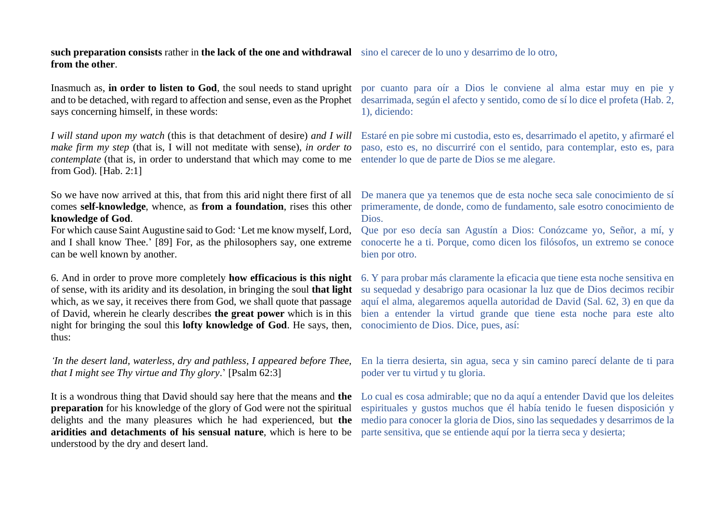**such preparation consists** rather in **the lack of the one and withdrawal**  sino el carecer de lo uno y desarrimo de lo otro, **from the other**.

Inasmuch as, **in order to listen to God**, the soul needs to stand upright and to be detached, with regard to affection and sense, even as the Prophet says concerning himself, in these words:

*make firm my step* (that is, I will not meditate with sense), *in order to contemplate* (that is, in order to understand that which may come to me entender lo que de parte de Dios se me alegare. from God). [Hab. 2:1]

So we have now arrived at this, that from this arid night there first of all comes **self-knowledge**, whence, as **from a foundation**, rises this other **knowledge of God**.

For which cause Saint Augustine said to God: 'Let me know myself, Lord, and I shall know Thee.' [89] For, as the philosophers say, one extreme can be well known by another.

of sense, with its aridity and its desolation, in bringing the soul **that light** which, as we say, it receives there from God, we shall quote that passage of David, wherein he clearly describes **the great power** which is in this night for bringing the soul this **lofty knowledge of God**. He says, then, thus:

*that I might see Thy virtue and Thy glory*.' [Psalm 62:3]

aridities and detachments of his sensual nature, which is here to be parte sensitiva, que se entiende aquí por la tierra seca y desierta; understood by the dry and desert land.

por cuanto para oír a Dios le conviene al alma estar muy en pie y desarrimada, según el afecto y sentido, como de sí lo dice el profeta (Hab. 2, 1), diciendo:

*I will stand upon my watch* (this is that detachment of desire) *and I will*  Estaré en pie sobre mi custodia, esto es, desarrimado el apetito, y afirmaré el paso, esto es, no discurriré con el sentido, para contemplar, esto es, para

> De manera que ya tenemos que de esta noche seca sale conocimiento de sí primeramente, de donde, como de fundamento, sale esotro conocimiento de Dios.

> Que por eso decía san Agustín a Dios: Conózcame yo, Señor, a mí, y conocerte he a ti. Porque, como dicen los filósofos, un extremo se conoce bien por otro.

6. And in order to prove more completely **how efficacious is this night** 6. Y para probar más claramente la eficacia que tiene esta noche sensitiva en su sequedad y desabrigo para ocasionar la luz que de Dios decimos recibir aquí el alma, alegaremos aquella autoridad de David (Sal. 62, 3) en que da bien a entender la virtud grande que tiene esta noche para este alto conocimiento de Dios. Dice, pues, así:

'In the desert land, waterless, dry and pathless, I appeared before Thee, En la tierra desierta, sin agua, seca y sin camino parecí delante de ti para poder ver tu virtud y tu gloria.

It is a wondrous thing that David should say here that the means and **the**  Lo cual es cosa admirable; que no da aquí a entender David que los deleites **preparation** for his knowledge of the glory of God were not the spiritual espirituales y gustos muchos que él había tenido le fuesen disposición y delights and the many pleasures which he had experienced, but the medio para conocer la gloria de Dios, sino las sequedades y desarrimos de la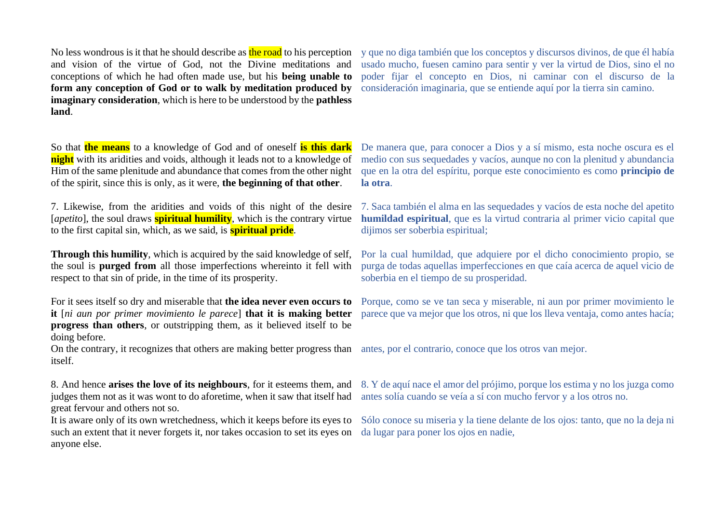and vision of the virtue of God, not the Divine meditations and conceptions of which he had often made use, but his **being unable to form any conception of God or to walk by meditation produced by**  consideración imaginaria, que se entiende aquí por la tierra sin camino. **imaginary consideration**, which is here to be understood by the **pathless land**.

No less wondrous is it that he should describe as <mark>the road</mark> to his perception y que no diga también que los conceptos y discursos divinos, de que él había usado mucho, fuesen camino para sentir y ver la virtud de Dios, sino el no poder fijar el concepto en Dios, ni caminar con el discurso de la

So that **the means** to a knowledge of God and of oneself **is this dark night** with its aridities and voids, although it leads not to a knowledge of Him of the same plenitude and abundance that comes from the other night of the spirit, since this is only, as it were, **the beginning of that other**.

7. Likewise, from the aridities and voids of this night of the desire [*apetito*], the soul draws **spiritual humility**, which is the contrary virtue to the first capital sin, which, as we said, is **spiritual pride**.

**Through this humility**, which is acquired by the said knowledge of self, the soul is **purged from** all those imperfections whereinto it fell with respect to that sin of pride, in the time of its prosperity.

For it sees itself so dry and miserable that **the idea never even occurs to it** [*ni aun por primer movimiento le parece*] **that it is making better progress than others**, or outstripping them, as it believed itself to be doing before.

On the contrary, it recognizes that others are making better progress than antes, por el contrario, conoce que los otros van mejor. itself.

judges them not as it was wont to do aforetime, when it saw that itself had antes solía cuando se veía a sí con mucho fervor y a los otros no. great fervour and others not so.

such an extent that it never forgets it, nor takes occasion to set its eyes on anyone else.

De manera que, para conocer a Dios y a sí mismo, esta noche oscura es el medio con sus sequedades y vacíos, aunque no con la plenitud y abundancia que en la otra del espíritu, porque este conocimiento es como **principio de la otra**.

7. Saca también el alma en las sequedades y vacíos de esta noche del apetito **humildad espiritual**, que es la virtud contraria al primer vicio capital que dijimos ser soberbia espiritual;

Por la cual humildad, que adquiere por el dicho conocimiento propio, se purga de todas aquellas imperfecciones en que caía acerca de aquel vicio de soberbia en el tiempo de su prosperidad.

Porque, como se ve tan seca y miserable, ni aun por primer movimiento le parece que va mejor que los otros, ni que los lleva ventaja, como antes hacía;

8. And hence **arises the love of its neighbours**, for it esteems them, and 8. Y de aquí nace el amor del prójimo, porque los estima y no los juzga como

It is aware only of its own wretchedness, which it keeps before its eyes to Sólo conoce su miseria y la tiene delante de los ojos: tanto, que no la deja ni da lugar para poner los ojos en nadie,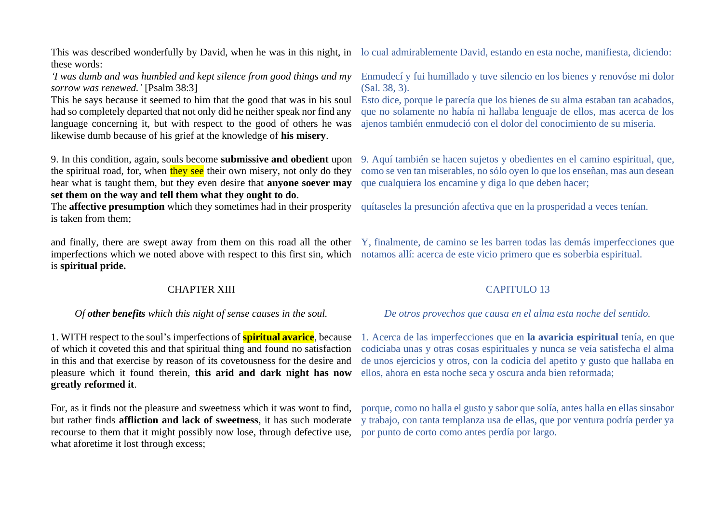This was described wonderfully by David, when he was in this night, in lo cual admirablemente David, estando en esta noche, manifiesta, diciendo: these words:

*sorrow was renewed.'* [Psalm 38:3]

This he says because it seemed to him that the good that was in his soul had so completely departed that not only did he neither speak nor find any language concerning it, but with respect to the good of others he was likewise dumb because of his grief at the knowledge of **his misery**.

the spiritual road, for, when they see their own misery, not only do they hear what is taught them, but they even desire that **anyone soever may set them on the way and tell them what they ought to do**.

is taken from them;

imperfections which we noted above with respect to this first sin, which notamos allí: acerca de este vicio primero que es soberbia espiritual. is **spiritual pride.**

#### CHAPTER XIII

#### *Of other benefits which this night of sense causes in the soul.*

1. WITH respect to the soul's imperfections of **spiritual avarice**, because of which it coveted this and that spiritual thing and found no satisfaction in this and that exercise by reason of its covetousness for the desire and pleasure which it found therein, **this arid and dark night has now greatly reformed it**.

For, as it finds not the pleasure and sweetness which it was wont to find, but rather finds **affliction and lack of sweetness**, it has such moderate recourse to them that it might possibly now lose, through defective use, por punto de corto como antes perdía por largo.what aforetime it lost through excess;

*'I was dumb and was humbled and kept silence from good things and my* Enmudecí y fui humillado y tuve silencio en los bienes y renovóse mi dolor (Sal. 38, 3).

> Esto dice, porque le parecía que los bienes de su alma estaban tan acabados, que no solamente no había ni hallaba lenguaje de ellos, mas acerca de los ajenos también enmudeció con el dolor del conocimiento de su miseria.

9. In this condition, again, souls become **submissive and obedient** upon 9. Aquí también se hacen sujetos y obedientes en el camino espiritual, que, como se ven tan miserables, no sólo oyen lo que los enseñan, mas aun desean que cualquiera los encamine y diga lo que deben hacer;

The **affective presumption** which they sometimes had in their prosperity quítaseles la presunción afectiva que en la prosperidad a veces tenían.

and finally, there are swept away from them on this road all the other Y, finalmente, de camino se les barren todas las demás imperfecciones que

#### CAPITULO 13

*De otros provechos que causa en el alma esta noche del sentido.*

1. Acerca de las imperfecciones que en **la avaricia espiritual** tenía, en que codiciaba unas y otras cosas espirituales y nunca se veía satisfecha el alma de unos ejercicios y otros, con la codicia del apetito y gusto que hallaba en ellos, ahora en esta noche seca y oscura anda bien reformada;

porque, como no halla el gusto y sabor que solía, antes halla en ellas sinsabor y trabajo, con tanta templanza usa de ellas, que por ventura podría perder ya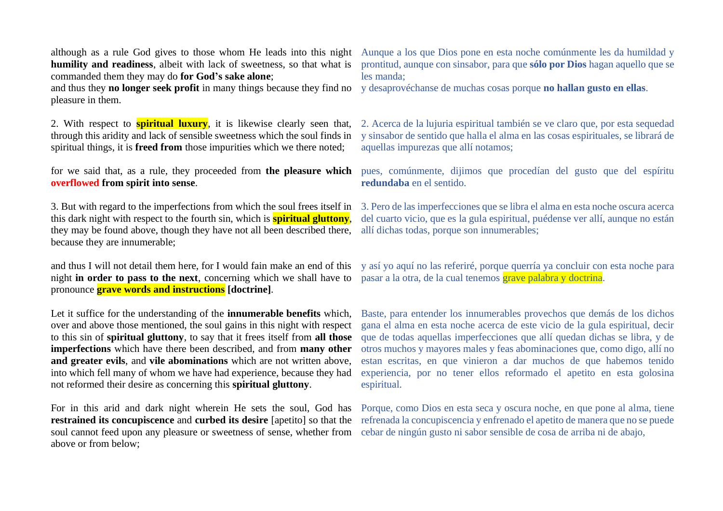**humility and readiness**, albeit with lack of sweetness, so that what is commanded them they may do **for God's sake alone**;

and thus they **no longer seek profit** in many things because they find no y desaprovéchanse de muchas cosas porque **no hallan gusto en ellas**. pleasure in them.

2. With respect to **spiritual luxury**, it is likewise clearly seen that, through this aridity and lack of sensible sweetness which the soul finds in spiritual things, it is **freed from** those impurities which we there noted;

**overflowed from spirit into sense**.

3. But with regard to the imperfections from which the soul frees itself in this dark night with respect to the fourth sin, which is **spiritual gluttony**, they may be found above, though they have not all been described there, because they are innumerable;

night **in order to pass to the next**, concerning which we shall have to pasar a la otra, de la cual tenemos grave palabra y doctrina. pronounce **grave words and instructions [doctrine]**.

Let it suffice for the understanding of the **innumerable benefits** which, over and above those mentioned, the soul gains in this night with respect to this sin of **spiritual gluttony**, to say that it frees itself from **all those imperfections** which have there been described, and from **many other and greater evils**, and **vile abominations** which are not written above, into which fell many of whom we have had experience, because they had not reformed their desire as concerning this **spiritual gluttony**.

soul cannot feed upon any pleasure or sweetness of sense, whether from cebar de ningún gusto ni sabor sensible de cosa de arriba ni de abajo, above or from below;

although as a rule God gives to those whom He leads into this night Aunque a los que Dios pone en esta noche comúnmente les da humildad y prontitud, aunque con sinsabor, para que **sólo por Dios** hagan aquello que se les manda;

2. Acerca de la lujuria espiritual también se ve claro que, por esta sequedad y sinsabor de sentido que halla el alma en las cosas espirituales, se librará de aquellas impurezas que allí notamos;

for we said that, as a rule, they proceeded from **the pleasure which**  pues, comúnmente, dijimos que procedían del gusto que del espíritu **redundaba** en el sentido.

> 3. Pero de las imperfecciones que se libra el alma en esta noche oscura acerca del cuarto vicio, que es la gula espiritual, puédense ver allí, aunque no están allí dichas todas, porque son innumerables;

and thus I will not detail them here, for I would fain make an end of this y así yo aquí no las referiré, porque querría ya concluir con esta noche para

Baste, para entender los innumerables provechos que demás de los dichos gana el alma en esta noche acerca de este vicio de la gula espiritual, decir que de todas aquellas imperfecciones que allí quedan dichas se libra, y de otros muchos y mayores males y feas abominaciones que, como digo, allí no estan escritas, en que vinieron a dar muchos de que habemos tenido experiencia, por no tener ellos reformado el apetito en esta golosina espiritual.

For in this arid and dark night wherein He sets the soul, God has Porque, como Dios en esta seca y oscura noche, en que pone al alma, tiene **restrained its concupiscence** and **curbed its desire** [apetito] so that the refrenada la concupiscencia y enfrenado el apetito de manera que no se puede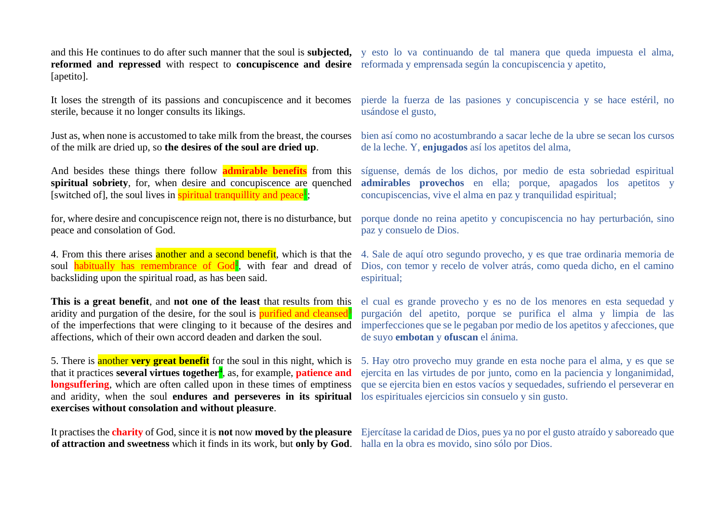and this He continues to do after such manner that the soul is **subjected**, y esto lo va continuando de tal manera que queda impuesta el alma, **reformed and repressed** with respect to **concupiscence and desire** reformada y emprensada según la concupiscencia y apetito, [apetito].

It loses the strength of its passions and concupiscence and it becomes sterile, because it no longer consults its likings.

Just as, when none is accustomed to take milk from the breast, the courses of the milk are dried up, so **the desires of the soul are dried up**.

[switched of], the soul lives in **spiritual tranquillity and peace<sup>1</sup>**;

for, where desire and concupiscence reign not, there is no disturbance, but peace and consolation of God.

4. From this there arises another and a second benefit, which is that the 4. Sale de aquí otro segundo provecho, y es que trae ordinaria memoria de backsliding upon the spiritual road, as has been said.

**This is a great benefit**, and **not one of the least** that results from this aridity and purgation of the desire, for the soul is purified and cleansed<sup>3</sup> of the imperfections that were clinging to it because of the desires and affections, which of their own accord deaden and darken the soul.

5. There is another **very great benefit** for the soul in this night, which is 5. Hay otro provecho muy grande en esta noche para el alma, y es que se that it practices **several virtues together**<sup>4</sup> , as, for example, **patience and longsuffering**, which are often called upon in these times of emptiness and aridity, when the soul **endures and perseveres in its spiritual exercises without consolation and without pleasure**.

**of attraction and sweetness** which it finds in its work, but **only by God**. halla en la obra es movido, sino sólo por Dios.

pierde la fuerza de las pasiones y concupiscencia y se hace estéril, no usándose el gusto,

bien así como no acostumbrando a sacar leche de la ubre se secan los cursos de la leche. Y, **enjugados** así los apetitos del alma,

And besides these things there follow **admirable benefits** from this síguense, demás de los dichos, por medio de esta sobriedad espiritual **spiritual sobriety**, for, when desire and concupiscence are quenched **admirables provechos** en ella; porque, apagados los apetitos y concupiscencias, vive el alma en paz y tranquilidad espiritual;

> porque donde no reina apetito y concupiscencia no hay perturbación, sino paz y consuelo de Dios.

soul habitually has remembrance of God<sup>2</sup>, with fear and dread of Dios, con temor y recelo de volver atrás, como queda dicho, en el camino espiritual;

> el cual es grande provecho y es no de los menores en esta sequedad y purgación del apetito, porque se purifica el alma y limpia de las imperfecciones que se le pegaban por medio de los apetitos y afecciones, que de suyo **embotan** y **ofuscan** el ánima.

> ejercita en las virtudes de por junto, como en la paciencia y longanimidad, que se ejercita bien en estos vacíos y sequedades, sufriendo el perseverar en los espirituales ejercicios sin consuelo y sin gusto.

It practises the **charity** of God, since it is **not** now **moved by the pleasure**  Ejercítase la caridad de Dios, pues ya no por el gusto atraído y saboreado que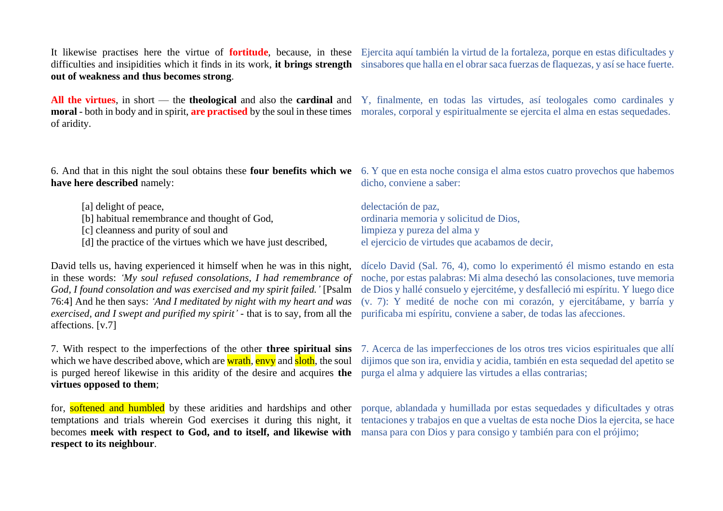**out of weakness and thus becomes strong**.

of aridity.

It likewise practises here the virtue of **fortitude**, because, in these Ejercita aquí también la virtud de la fortaleza, porque en estas dificultades y difficulties and insipidities which it finds in its work, **it brings strength**  sinsabores que halla en el obrar saca fuerzas de flaquezas, y así se hace fuerte.

**All the virtues**, in short — the **theological** and also the **cardinal** and Y, finalmente, en todas las virtudes, así teologales como cardinales y **moral** - both in body and in spirit, **are practised** by the soul in these times morales, corporal y espiritualmente se ejercita el alma en estas sequedades.

**have here described** namely:

[a] delight of peace,

[b] habitual remembrance and thought of God,

[c] cleanness and purity of soul and

[d] the practice of the virtues which we have just described,

David tells us, having experienced it himself when he was in this night, exercised, and I swept and purified my spirit' - that is to say, from all the purificaba mi espíritu, conviene a saber, de todas las afecciones. affections. [v.7]

is purged hereof likewise in this aridity of the desire and acquires **the**  purga el alma y adquiere las virtudes a ellas contrarias; **virtues opposed to them**;

becomes meek with respect to God, and to itself, and likewise with mansa para con Dios y para consigo y también para con el prójimo; **respect to its neighbour**.

6. And that in this night the soul obtains these **four benefits which we**  6. Y que en esta noche consiga el alma estos cuatro provechos que habemos dicho, conviene a saber:

> delectación de paz, ordinaria memoria y solicitud de Dios, limpieza y pureza del alma y el ejercicio de virtudes que acabamos de decir,

in these words: *'My soul refused consolations, I had remembrance of*  noche, por estas palabras: Mi alma desechó las consolaciones, tuve memoria God, I found consolation and was exercised and my spirit failed. ' [Psalm de Dios y hallé consuelo y ejercitéme, y desfalleció mi espíritu. Y luego dice 76:4] And he then says: *'And I meditated by night with my heart and was*  (v. 7): Y medité de noche con mi corazón, y ejercitábame, y barría y dícelo David (Sal. 76, 4), como lo experimentó él mismo estando en esta

7. With respect to the imperfections of the other **three spiritual sins** 7. Acerca de las imperfecciones de los otros tres vicios espirituales que allí which we have described above, which are wrath, envy and sloth, the soul dijimos que son ira, envidia y acidia, también en esta sequedad del apetito se

for, softened and humbled by these aridities and hardships and other porque, ablandada y humillada por estas sequedades y dificultades y otras temptations and trials wherein God exercises it during this night, it tentaciones y trabajos en que a vueltas de esta noche Dios la ejercita, se hace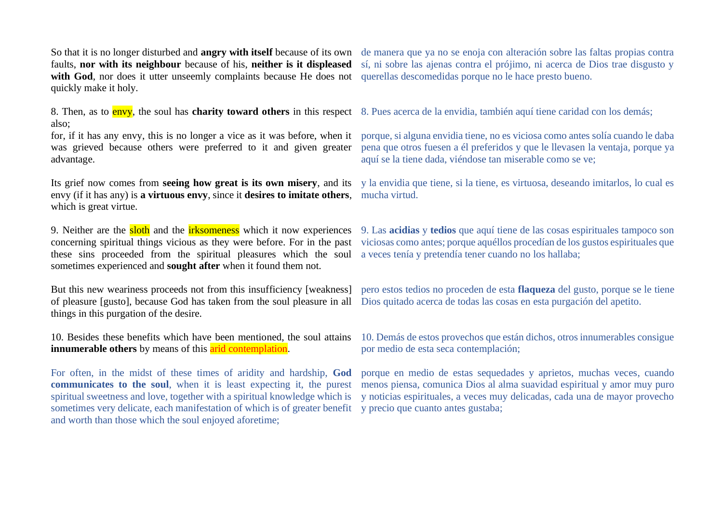So that it is no longer disturbed and **angry with itself** because of its own de manera que ya no se enoja con alteración sobre las faltas propias contra with God, nor does it utter unseemly complaints because He does not querellas descomedidas porque no le hace presto bueno. quickly make it holy.

also;

was grieved because others were preferred to it and given greater advantage.

Its grief now comes from seeing how great is its own misery, and its y la envidia que tiene, si la tiene, es virtuosa, deseando imitarlos, lo cual es envy (if it has any) is **a virtuous envy**, since it **desires to imitate others**, mucha virtud. which is great virtue.

these sins proceeded from the spiritual pleasures which the soul a veces tenía y pretendía tener cuando no los hallaba; sometimes experienced and **sought after** when it found them not.

But this new weariness proceeds not from this insufficiency [weakness] of pleasure [gusto], because God has taken from the soul pleasure in all Dios quitado acerca de todas las cosas en esta purgación del apetito. things in this purgation of the desire.

10. Besides these benefits which have been mentioned, the soul attains **innumerable others** by means of this **arid contemplation**.

For often, in the midst of these times of aridity and hardship, **God**  sometimes very delicate, each manifestation of which is of greater benefit y precio que cuanto antes gustaba; and worth than those which the soul enjoyed aforetime;

faults, **nor with its neighbour** because of his, **neither is it displeased**  sí, ni sobre las ajenas contra el prójimo, ni acerca de Dios trae disgusto y

8. Then, as to envy, the soul has **charity toward others** in this respect 8. Pues acerca de la envidia, también aquí tiene caridad con los demás;

for, if it has any envy, this is no longer a vice as it was before, when it porque, si alguna envidia tiene, no es viciosa como antes solía cuando le daba pena que otros fuesen a él preferidos y que le llevasen la ventaja, porque ya aquí se la tiene dada, viéndose tan miserable como se ve;

9. Neither are the sloth and the irksomeness which it now experiences 9. Las **acidias** y **tedios** que aquí tiene de las cosas espirituales tampoco son concerning spiritual things vicious as they were before. For in the past viciosas como antes; porque aquéllos procedían de los gustos espirituales que

pero estos tedios no proceden de esta **flaqueza** del gusto, porque se le tiene

10. Demás de estos provechos que están dichos, otros innumerables consigue por medio de esta seca contemplación;

communicates to the soul, when it is least expecting it, the purest menos piensa, comunica Dios al alma suavidad espiritual y amor muy puro spiritual sweetness and love, together with a spiritual knowledge which is y noticias espirituales, a veces muy delicadas, cada una de mayor provecho porque en medio de estas sequedades y aprietos, muchas veces, cuando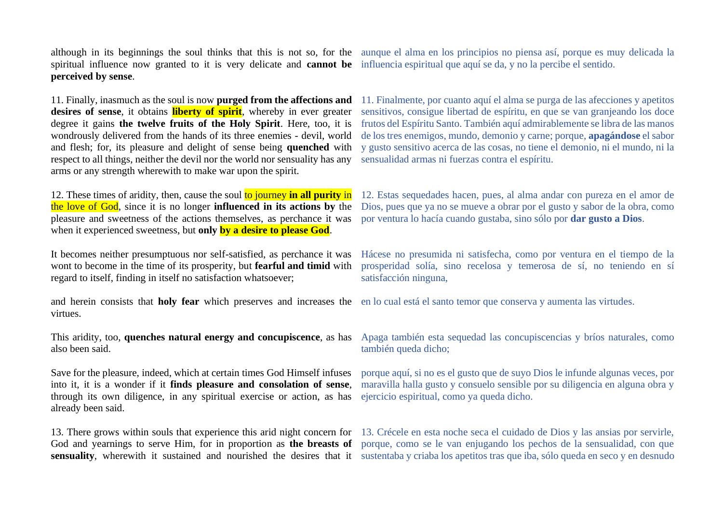although in its beginnings the soul thinks that this is not so, for the aunque el alma en los principios no piensa así, porque es muy delicada la spiritual influence now granted to it is very delicate and **cannot be**  influencia espiritual que aquí se da, y no la percibe el sentido. **perceived by sense**.

11. Finally, inasmuch as the soul is now **purged from the affections and desires of sense**, it obtains **liberty of spirit**, whereby in ever greater degree it gains **the twelve fruits of the Holy Spirit**. Here, too, it is wondrously delivered from the hands of its three enemies - devil, world and flesh; for, its pleasure and delight of sense being **quenched** with respect to all things, neither the devil nor the world nor sensuality has any arms or any strength wherewith to make war upon the spirit.

12. These times of aridity, then, cause the soul to journey **in all purity** in the love of God, since it is no longer **influenced in its actions by** the pleasure and sweetness of the actions themselves, as perchance it was when it experienced sweetness, but **only by a desire to please God**.

It becomes neither presumptuous nor self-satisfied, as perchance it was wont to become in the time of its prosperity, but **fearful and timid** with regard to itself, finding in itself no satisfaction whatsoever;

and herein consists that **holy fear** which preserves and increases the en lo cual está el santo temor que conserva y aumenta las virtudes. virtues.

also been said.

Save for the pleasure, indeed, which at certain times God Himself infuses into it, it is a wonder if it **finds pleasure and consolation of sense**, through its own diligence, in any spiritual exercise or action, as has already been said.

11. Finalmente, por cuanto aquí el alma se purga de las afecciones y apetitos sensitivos, consigue libertad de espíritu, en que se van granjeando los doce frutos del Espíritu Santo. También aquí admirablemente se libra de las manos de los tres enemigos, mundo, demonio y carne; porque, **apagándose** el sabor y gusto sensitivo acerca de las cosas, no tiene el demonio, ni el mundo, ni la sensualidad armas ni fuerzas contra el espíritu.

12. Estas sequedades hacen, pues, al alma andar con pureza en el amor de Dios, pues que ya no se mueve a obrar por el gusto y sabor de la obra, como por ventura lo hacía cuando gustaba, sino sólo por **dar gusto a Dios**.

Hácese no presumida ni satisfecha, como por ventura en el tiempo de la prosperidad solía, sino recelosa y temerosa de sí, no teniendo en sí satisfacción ninguna,

This aridity, too, **quenches natural energy and concupiscence**, as has Apaga también esta sequedad las concupiscencias y bríos naturales, como también queda dicho;

> porque aquí, si no es el gusto que de suyo Dios le infunde algunas veces, por maravilla halla gusto y consuelo sensible por su diligencia en alguna obra y ejercicio espiritual, como ya queda dicho.

13. There grows within souls that experience this arid night concern for 13. Crécele en esta noche seca el cuidado de Dios y las ansias por servirle, God and yearnings to serve Him, for in proportion as the breasts of porque, como se le van enjugando los pechos de la sensualidad, con que sensuality, wherewith it sustained and nourished the desires that it sustentaba y criaba los apetitos tras que iba, sólo queda en seco y en desnudo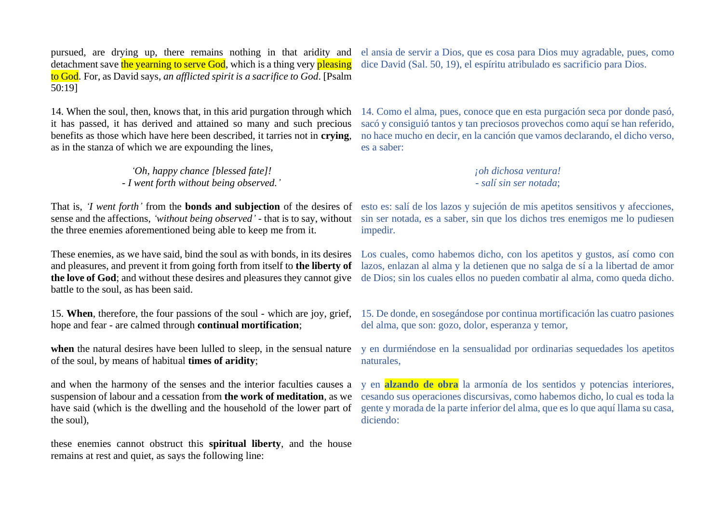pursued, are drying up, there remains nothing in that aridity and detachment save the yearning to serve God, which is a thing very pleasing to God. For, as David says, *an afflicted spirit is a sacrifice to God*. [Psalm 50:19]

14. When the soul, then, knows that, in this arid purgation through which it has passed, it has derived and attained so many and such precious benefits as those which have here been described, it tarries not in **crying**, as in the stanza of which we are expounding the lines,

> *'Oh, happy chance [blessed fate]!* - *I went forth without being observed.'*

the three enemies aforementioned being able to keep me from it.

battle to the soul, as has been said.

hope and fear - are calmed through **continual mortification**;

of the soul, by means of habitual **times of aridity**;

and when the harmony of the senses and the interior faculties causes a suspension of labour and a cessation from **the work of meditation**, as we have said (which is the dwelling and the household of the lower part of the soul),

these enemies cannot obstruct this **spiritual liberty**, and the house remains at rest and quiet, as says the following line:

el ansia de servir a Dios, que es cosa para Dios muy agradable, pues, como dice David (Sal. 50, 19), el espíritu atribulado es sacrificio para Dios.

14. Como el alma, pues, conoce que en esta purgación seca por donde pasó, sacó y consiguió tantos y tan preciosos provechos como aquí se han referido, no hace mucho en decir, en la canción que vamos declarando, el dicho verso, es a saber:

> *¡oh dichosa ventura! - salí sin ser notada*;

That is, *'I went forth'* from the **bonds and subjection** of the desires of esto es: salí de los lazos y sujeción de mis apetitos sensitivos y afecciones, sense and the affections, 'without being observed' - that is to say, without sin ser notada, es a saber, sin que los dichos tres enemigos me lo pudiesen impedir.

These enemies, as we have said, bind the soul as with bonds, in its desires Los cuales, como habemos dicho, con los apetitos y gustos, así como con and pleasures, and prevent it from going forth from itself to **the liberty of**  lazos, enlazan al alma y la detienen que no salga de sí a la libertad de amor **the love of God**; and without these desires and pleasures they cannot give de Dios; sin los cuales ellos no pueden combatir al alma, como queda dicho.

15. **When**, therefore, the four passions of the soul - which are joy, grief, 15. De donde, en sosegándose por continua mortificación las cuatro pasiones del alma, que son: gozo, dolor, esperanza y temor,

when the natural desires have been lulled to sleep, in the sensual nature y en durmiéndose en la sensualidad por ordinarias sequedades los apetitos naturales,

> y en **alzando de obra** la armonía de los sentidos y potencias interiores, cesando sus operaciones discursivas, como habemos dicho, lo cual es toda la gente y morada de la parte inferior del alma, que es lo que aquí llama su casa, diciendo: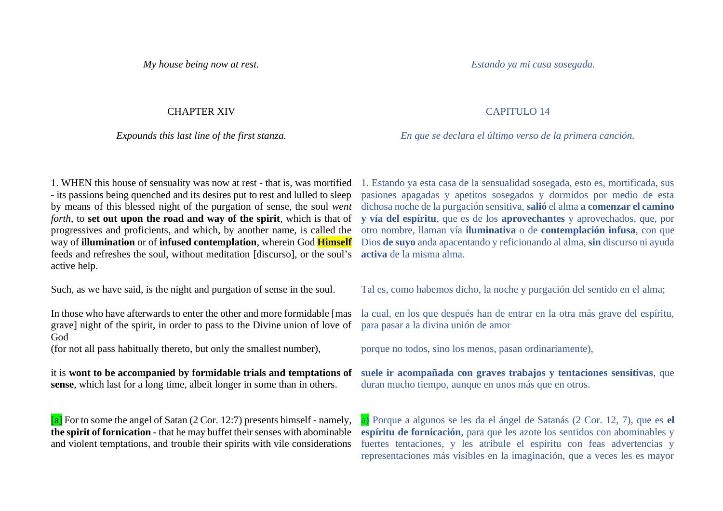*My house being now at rest.*

*Estando ya mi casa sosegada.*

#### CHAPTER XIV

*Expounds this last line of the first stanza.*

*En que se declara el último verso de la primera canción.*

CAPITULO 14

- its passions being quenched and its desires put to rest and lulled to sleep by means of this blessed night of the purgation of sense, the soul *went forth*, to **set out upon the road and way of the spirit**, which is that of progressives and proficients, and which, by another name, is called the way of **illumination** or of **infused contemplation**, wherein God **Himself** feeds and refreshes the soul, without meditation [discurso], or the soul's active help.

Such, as we have said, is the night and purgation of sense in the soul.

In those who have afterwards to enter the other and more formidable [mas grave] night of the spirit, in order to pass to the Divine union of love of God

(for not all pass habitually thereto, but only the smallest number),

it is **wont to be accompanied by formidable trials and temptations of sense**, which last for a long time, albeit longer in some than in others.

[a] For to some the angel of Satan (2 Cor. 12:7) presents himself - namely, **the spirit of fornication** - that he may buffet their senses with abominable and violent temptations, and trouble their spirits with vile considerations

1. WHEN this house of sensuality was now at rest - that is, was mortified 1. Estando ya esta casa de la sensualidad sosegada, esto es, mortificada, sus pasiones apagadas y apetitos sosegados y dormidos por medio de esta dichosa noche de la purgación sensitiva, **salió** el alma **a comenzar el camino y vía del espíritu**, que es de los **aprovechantes** y aprovechados, que, por otro nombre, llaman vía **iluminativa** o de **contemplación infusa**, con que Dios **de suyo** anda apacentando y reficionando al alma, **sin** discurso ni ayuda **activa** de la misma alma.

Tal es, como habemos dicho, la noche y purgación del sentido en el alma;

la cual, en los que después han de entrar en la otra más grave del espíritu, para pasar a la divina unión de amor

porque no todos, sino los menos, pasan ordinariamente),

**suele ir acompañada con graves trabajos y tentaciones sensitivas**, que duran mucho tiempo, aunque en unos más que en otros.

a) Porque a algunos se les da el ángel de Satanás (2 Cor. 12, 7), que es **el espíritu de fornicación**, para que les azote los sentidos con abominables y fuertes tentaciones, y les atribule el espíritu con feas advertencias y representaciones más visibles en la imaginación, que a veces les es mayor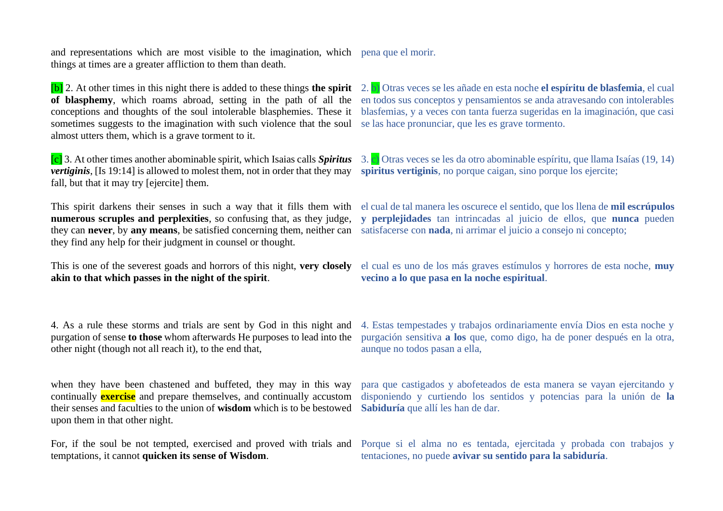and representations which are most visible to the imagination, which pena que el morir. things at times are a greater affliction to them than death.

sometimes suggests to the imagination with such violence that the soul sellas hace pronunciar, que les es grave tormento. almost utters them, which is a grave torment to it.

*vertiginis*, [Is 19:14] is allowed to molest them, not in order that they may spiritus vertiginis, no porque caigan, sino porque los ejercite; fall, but that it may try [ejercite] them.

they can **never**, by **any means**, be satisfied concerning them, neither can satisfacerse con **nada**, ni arrimar el juicio a consejo ni concepto; they find any help for their judgment in counsel or thought.

**akin to that which passes in the night of the spirit**.

purgation of sense **to those** whom afterwards He purposes to lead into the other night (though not all reach it), to the end that,

their senses and faculties to the union of **wisdom** which is to be bestowed **Sabiduría** que allí les han de dar. upon them in that other night.

For, if the soul be not tempted, exercised and proved with trials and Porque si el alma no es tentada, ejercitada y probada con trabajos y temptations, it cannot **quicken its sense of Wisdom**.

[b] 2. At other times in this night there is added to these things **the spirit**  2. b) Otras veces se les añade en esta noche **el espíritu de blasfemia**, el cual **of blasphemy**, which roams abroad, setting in the path of all the en todos sus conceptos y pensamientos se anda atravesando con intolerables conceptions and thoughts of the soul intolerable blasphemies. These it blasfemias, y a veces con tanta fuerza sugeridas en la imaginación, que casi

[c] 3. At other times another abominable spirit, which Isaias calls *Spiritus*  3. c) Otras veces se les da otro abominable espíritu, que llama Isaías (19, 14)

This spirit darkens their senses in such a way that it fills them with el cual de tal manera les oscurece el sentido, que los llena de **mil escrúpulos numerous scruples and perplexities**, so confusing that, as they judge, **y perplejidades** tan intrincadas al juicio de ellos, que **nunca** pueden

This is one of the severest goads and horrors of this night, **very closely**  el cual es uno de los más graves estímulos y horrores de esta noche, **muy vecino a lo que pasa en la noche espiritual**.

4. As a rule these storms and trials are sent by God in this night and 4. Estas tempestades y trabajos ordinariamente envía Dios en esta noche y purgación sensitiva **a los** que, como digo, ha de poner después en la otra, aunque no todos pasan a ella,

when they have been chastened and buffeted, they may in this way para que castigados y abofeteados de esta manera se vayan ejercitando y continually **exercise** and prepare themselves, and continually accustom disponiendo y curtiendo los sentidos y potencias para la unión de **la** 

tentaciones, no puede **avivar su sentido para la sabiduría**.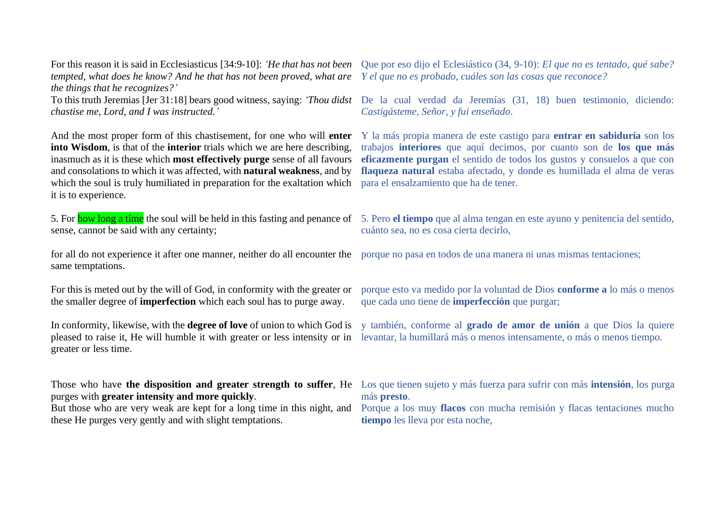*tempted, what does he know? And he that has not been proved, what are Y el que no es probado, cuáles son las cosas que reconoce? the things that he recognizes?'*

*chastise me, Lord, and I was instructed.'*

And the most proper form of this chastisement, for one who will **enter into Wisdom**, is that of the **interior** trials which we are here describing, inasmuch as it is these which **most effectively purge** sense of all favours and consolations to which it was affected, with **natural weakness**, and by which the soul is truly humiliated in preparation for the exaltation which para el ensalzamiento que ha de tener. it is to experience.

sense, cannot be said with any certainty;

for all do not experience it after one manner, neither do all encounter the porque no pasa en todos de una manera ni unas mismas tentaciones; same temptations.

For this is meted out by the will of God, in conformity with the greater or the smaller degree of **imperfection** which each soul has to purge away.

greater or less time.

Those who have **the disposition and greater strength to suffer**, He Los que tienen sujeto y más fuerza para sufrir con más **intensión**, los purga purges with **greater intensity and more quickly**.

But those who are very weak are kept for a long time in this night, and these He purges very gently and with slight temptations.

For this reason it is said in Ecclesiasticus [34:9-10]: *'He that has not been* Que por eso dijo el Eclesiástico (34, 9-10): *El que no es tentado, qué sabe?* 

To this truth Jeremias [Jer 31:18] bears good witness, saying: *'Thou didst*  De la cual verdad da Jeremías (31, 18) buen testimonio, diciendo: *Castigásteme, Señor, y fui enseñado*.

> Y la más propia manera de este castigo para **entrar en sabiduría** son los trabajos **interiores** que aquí decimos, por cuanto son de **los que más eficazmente purgan** el sentido de todos los gustos y consuelos a que con **flaqueza natural** estaba afectado, y donde es humillada el alma de veras

5. For how long a time the soul will be held in this fasting and penance of 5. Pero **el tiempo** que al alma tengan en este ayuno y penitencia del sentido, cuánto sea, no es cosa cierta decirlo,

porque esto va medido por la voluntad de Dios **conforme a** lo más o menos que cada uno tiene de **imperfección** que purgar;

In conformity, likewise, with the **degree of love** of union to which God is y también, conforme al **grado de amor de unión** a que Dios la quiere pleased to raise it, He will humble it with greater or less intensity or in levantar, la humillará más o menos intensamente, o más o menos tiempo.

más **presto**.

Porque a los muy **flacos** con mucha remisión y flacas tentaciones mucho **tiempo** les lleva por esta noche,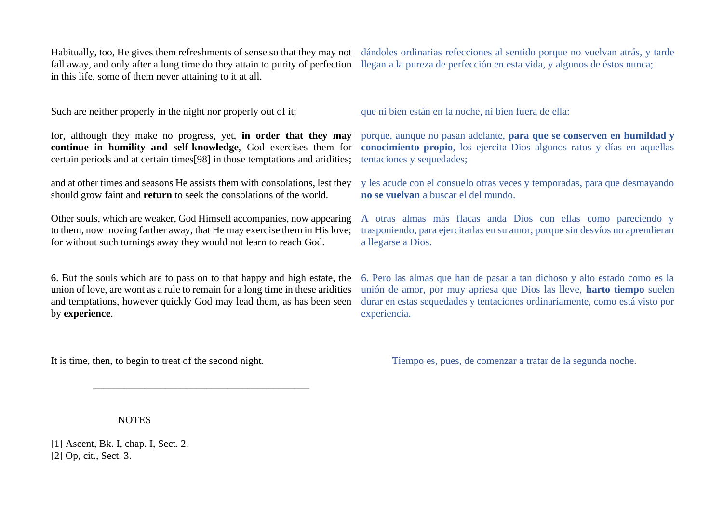Habitually, too, He gives them refreshments of sense so that they may not dándoles ordinarias refecciones al sentido porque no vuelvan atrás, y tarde fall away, and only after a long time do they attain to purity of perfection llegan a la pureza de perfección en esta vida, y algunos de éstos nunca; in this life, some of them never attaining to it at all.

Such are neither properly in the night nor properly out of it;

for, although they make no progress, yet, **in order that they may continue in humility and self-knowledge**, God exercises them for certain periods and at certain times[98] in those temptations and aridities;

and at other times and seasons He assists them with consolations, lest they should grow faint and **return** to seek the consolations of the world.

Other souls, which are weaker, God Himself accompanies, now appearing to them, now moving farther away, that He may exercise them in His love; for without such turnings away they would not learn to reach God.

6. But the souls which are to pass on to that happy and high estate, the union of love, are wont as a rule to remain for a long time in these aridities and temptations, however quickly God may lead them, as has been seen by **experience**.

\_\_\_\_\_\_\_\_\_\_\_\_\_\_\_\_\_\_\_\_\_\_\_\_\_\_\_\_\_\_\_\_\_\_\_\_\_\_\_\_\_\_

It is time, then, to begin to treat of the second night.

que ni bien están en la noche, ni bien fuera de ella:

porque, aunque no pasan adelante, **para que se conserven en humildad y conocimiento propio**, los ejercita Dios algunos ratos y días en aquellas tentaciones y sequedades;

y les acude con el consuelo otras veces y temporadas, para que desmayando **no se vuelvan** a buscar el del mundo.

A otras almas más flacas anda Dios con ellas como pareciendo y trasponiendo, para ejercitarlas en su amor, porque sin desvíos no aprendieran a llegarse a Dios.

6. Pero las almas que han de pasar a tan dichoso y alto estado como es la unión de amor, por muy apriesa que Dios las lleve, **harto tiempo** suelen durar en estas sequedades y tentaciones ordinariamente, como está visto por experiencia.

Tiempo es, pues, de comenzar a tratar de la segunda noche.

**NOTES** 

[1] Ascent, Bk. I, chap. I, Sect. 2. [2] Op, cit., Sect. 3.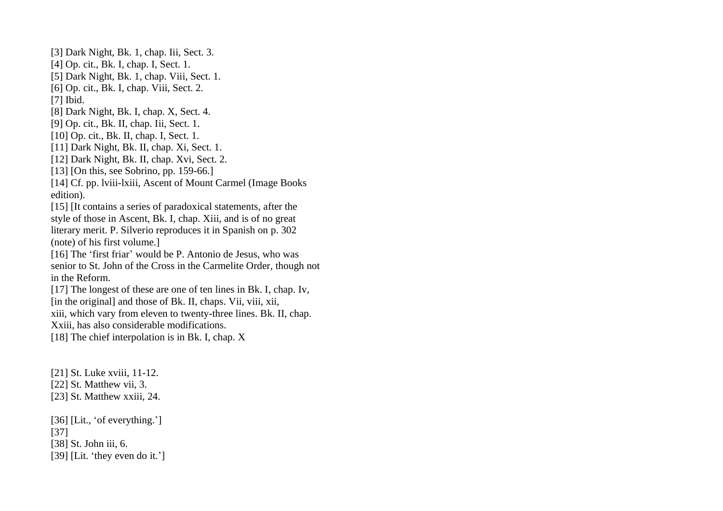[3] Dark Night, Bk. 1, chap. Iii, Sect. 3. [4] Op. cit., Bk. I, chap. I, Sect. 1. [5] Dark Night, Bk. 1, chap. Viii, Sect. 1. [6] Op. cit., Bk. I, chap. Viii, Sect. 2. [7] Ibid. [8] Dark Night, Bk. I, chap. X, Sect. 4. [9] Op. cit., Bk. II, chap. Iii, Sect. 1. [10] Op. cit., Bk. II, chap. I, Sect. 1. [11] Dark Night, Bk. II, chap. Xi, Sect. 1. [12] Dark Night, Bk. II, chap. Xvi, Sect. 2.

[13] [On this, see Sobrino, pp. 159-66.]

[14] Cf. pp. lviii-lxiii, Ascent of Mount Carmel (Image Books edition).

[15] [It contains a series of paradoxical statements, after the style of those in Ascent, Bk. I, chap. Xiii, and is of no great literary merit. P. Silverio reproduces it in Spanish on p. 302 (note) of his first volume.]

[16] The 'first friar' would be P. Antonio de Jesus, who was senior to St. John of the Cross in the Carmelite Order, though not in the Reform.

[17] The longest of these are one of ten lines in Bk. I, chap. Iv, [in the original] and those of Bk. II, chaps. Vii, viii, xii,

xiii, which vary from eleven to twenty-three lines. Bk. II, chap. Xxiii, has also considerable modifications.

[18] The chief interpolation is in Bk. I, chap. X

[21] St. Luke xviii, 11-12. [22] St. Matthew vii, 3. [23] St. Matthew xxiii, 24. [36] [Lit., 'of everything.']

[37] [38] St. John iii, 6. [39] [Lit. 'they even do it.']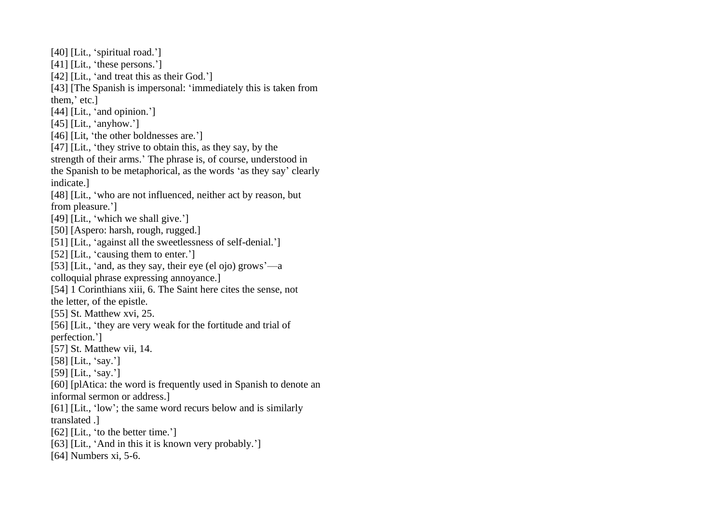[40] [Lit., 'spiritual road.'] [41] [Lit., 'these persons.'] [42] [Lit., 'and treat this as their God.'] [43] [The Spanish is impersonal: 'immediately this is taken from them,' etc.] [44] [Lit., 'and opinion.']  $[45]$  [Lit., 'anyhow.'] [46] [Lit, 'the other boldnesses are.'] [47] [Lit., 'they strive to obtain this, as they say, by the strength of their arms.' The phrase is, of course, understood in the Spanish to be metaphorical, as the words 'as they say' clearly indicate.] [48] [Lit., 'who are not influenced, neither act by reason, but from pleasure.'] [49] [Lit., 'which we shall give.'] [50] [Aspero: harsh, rough, rugged.] [51] [Lit., 'against all the sweetlessness of self-denial.'] [52] [Lit., 'causing them to enter.'] [53] [Lit., 'and, as they say, their eye (el ojo) grows'—a colloquial phrase expressing annoyance.] [54] 1 Corinthians xiii, 6. The Saint here cites the sense, not the letter, of the epistle. [55] St. Matthew xvi, 25. [56] [Lit., 'they are very weak for the fortitude and trial of perfection.'] [57] St. Matthew vii, 14. [58] [Lit., 'say.'] [59] [Lit., 'say.'] [60] [plAtica: the word is frequently used in Spanish to denote an informal sermon or address.] [61] [Lit., 'low'; the same word recurs below and is similarly translated .] [62] [Lit., 'to the better time.'] [63] [Lit., 'And in this it is known very probably.'] [64] Numbers xi, 5-6.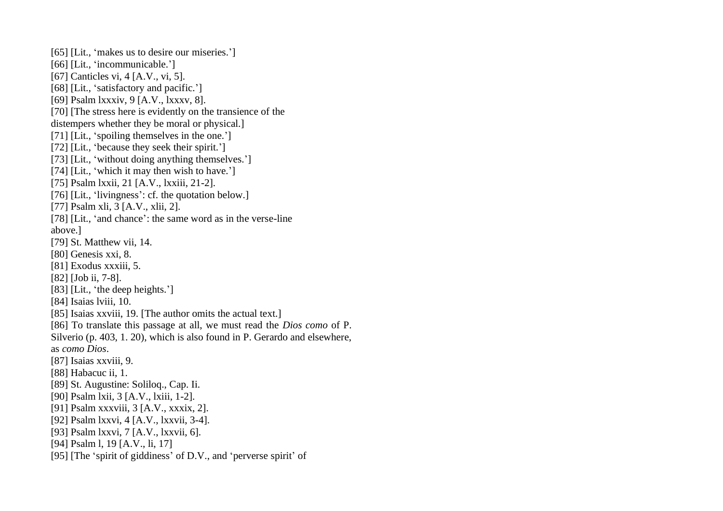[65] [Lit., 'makes us to desire our miseries.'] [66] [Lit., 'incommunicable.'] [67] Canticles vi, 4 [A.V., vi, 5]. [68] [Lit., 'satisfactory and pacific.'] [69] Psalm lxxxiv, 9 [A.V., lxxxv, 8]. [70] [The stress here is evidently on the transience of the distempers whether they be moral or physical.] [71] [Lit., 'spoiling themselves in the one.'] [72] [Lit., 'because they seek their spirit.'] [73] [Lit., 'without doing anything themselves.'] [74] [Lit., 'which it may then wish to have.'] [75] Psalm lxxii, 21 [A.V., lxxiii, 21-2]. [76] [Lit., 'livingness': cf. the quotation below.] [77] Psalm xli, 3 [A.V., xlii, 2]. [78] [Lit., 'and chance': the same word as in the verse-line above.] [79] St. Matthew vii, 14. [80] Genesis xxi, 8. [81] Exodus xxxiii, 5. [82] [Job ii, 7-8]. [83] [Lit., 'the deep heights.'] [84] Isaias lviii, 10. [85] Isaias xxviii, 19. [The author omits the actual text.] [86] To translate this passage at all, we must read the *Dios como* of P. Silverio (p. 403, 1. 20), which is also found in P. Gerardo and elsewhere, as *como Dios*. [87] Isaias xxviii, 9. [88] Habacuc ii, 1. [89] St. Augustine: Soliloq., Cap. Ii. [90] Psalm lxii, 3 [A.V., lxiii, 1-2]. [91] Psalm xxxviii, 3 [A.V., xxxix, 2]. [92] Psalm lxxvi, 4 [A.V., lxxvii, 3-4]. [93] Psalm lxxvi, 7 [A.V., lxxvii, 6]. [94] Psalm 1, 19 [A.V., li, 17] [95] [The 'spirit of giddiness' of D.V., and 'perverse spirit' of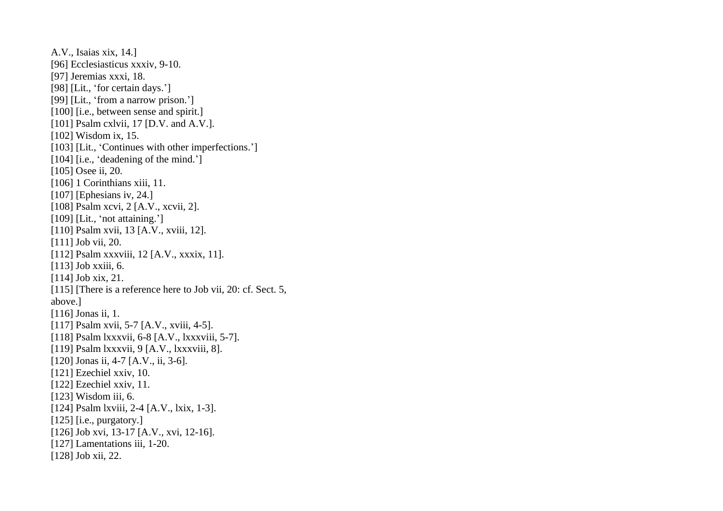A.V., Isaias xix, 14.] [96] Ecclesiasticus xxxiv, 9-10. [97] Jeremias xxxi, 18. [98] [Lit., 'for certain days.'] [99] [Lit., 'from a narrow prison.'] [100] [i.e., between sense and spirit.] [101] Psalm cxlvii, 17 [D.V. and A.V.]. [102] Wisdom ix, 15. [103] [Lit., 'Continues with other imperfections.'] [104] [i.e., 'deadening of the mind.'] [105] Osee ii, 20. [106] 1 Corinthians xiii, 11. [107] [Ephesians iv, 24.] [108] Psalm xcvi, 2 [A.V., xcvii, 2]. [109] [Lit., 'not attaining.'] [110] Psalm xvii, 13 [A.V., xviii, 12]. [111] Job vii, 20. [112] Psalm xxxviii, 12 [A.V., xxxix, 11]. [113] Job xxiii, 6. [114] Job xix, 21. [115] [There is a reference here to Job vii, 20: cf. Sect. 5, above.] [116] Jonas ii, 1. [117] Psalm xvii, 5-7 [A.V., xviii, 4-5]. [118] Psalm lxxxvii, 6-8 [A.V., lxxxviii, 5-7]. [119] Psalm lxxxvii, 9 [A.V., lxxxviii, 8]. [120] Jonas ii, 4-7 [A.V., ii, 3-6]. [121] Ezechiel xxiv, 10. [122] Ezechiel xxiv, 11. [123] Wisdom iii, 6. [124] Psalm lxviii, 2-4 [A.V., lxix, 1-3].  $[125]$  [i.e., purgatory.] [126] Job xvi, 13-17 [A.V., xvi, 12-16]. [127] Lamentations iii, 1-20. [128] Job xii, 22.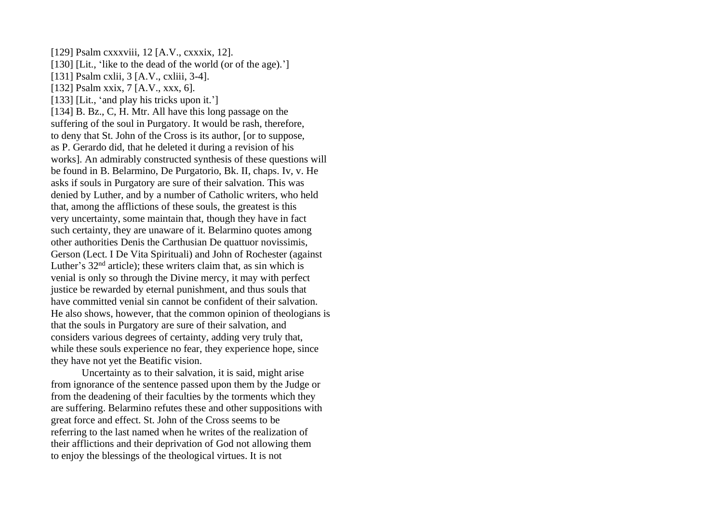[129] Psalm cxxxviii, 12 [A.V., cxxxix, 12]. [130] [Lit., 'like to the dead of the world (or of the age).'] [131] Psalm cxlii, 3 [A.V., cxliii, 3-4]. [132] Psalm xxix, 7 [A.V., xxx, 6]. [133] [Lit., 'and play his tricks upon it.'] [134] B. Bz., C, H. Mtr. All have this long passage on the suffering of the soul in Purgatory. It would be rash, therefore, to deny that St. John of the Cross is its author, [or to suppose, as P. Gerardo did, that he deleted it during a revision of his works]. An admirably constructed synthesis of these questions will be found in B. Belarmino, De Purgatorio, Bk. II, chaps. Iv, v. He asks if souls in Purgatory are sure of their salvation. This was denied by Luther, and by a number of Catholic writers, who held that, among the afflictions of these souls, the greatest is this very uncertainty, some maintain that, though they have in fact such certainty, they are unaware of it. Belarmino quotes among other authorities Denis the Carthusian De quattuor novissimis, Gerson (Lect. I De Vita Spirituali) and John of Rochester (against Luther's  $32<sup>nd</sup>$  article); these writers claim that, as sin which is venial is only so through the Divine mercy, it may with perfect justice be rewarded by eternal punishment, and thus souls that have committed venial sin cannot be confident of their salvation. He also shows, however, that the common opinion of theologians is that the souls in Purgatory are sure of their salvation, and considers various degrees of certainty, adding very truly that, while these souls experience no fear, they experience hope, since they have not yet the Beatific vision.

Uncertainty as to their salvation, it is said, might arise from ignorance of the sentence passed upon them by the Judge or from the deadening of their faculties by the torments which they are suffering. Belarmino refutes these and other suppositions with great force and effect. St. John of the Cross seems to be referring to the last named when he writes of the realization of their afflictions and their deprivation of God not allowing them to enjoy the blessings of the theological virtues. It is not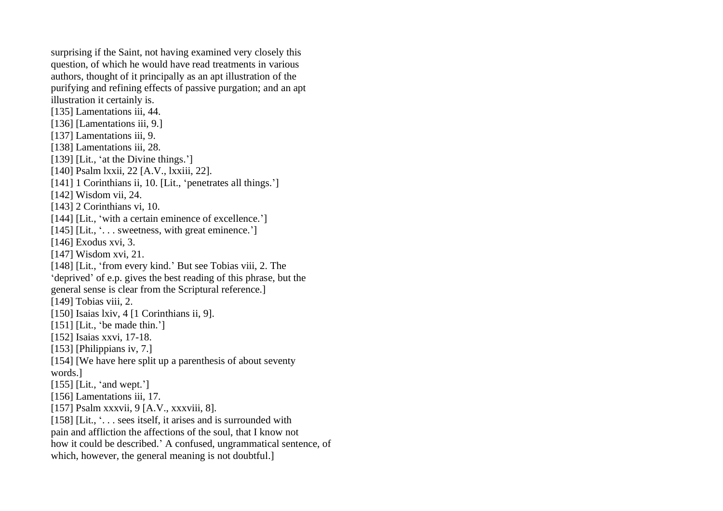surprising if the Saint, not having examined very closely this question, of which he would have read treatments in various authors, thought of it principally as an apt illustration of the purifying and refining effects of passive purgation; and an apt illustration it certainly is. [135] Lamentations iii, 44. [136] [Lamentations iii, 9.] [137] Lamentations iii, 9. [138] Lamentations iii, 28. [139] [Lit., 'at the Divine things.'] [140] Psalm lxxii, 22 [A.V., lxxiii, 22]. [141] 1 Corinthians ii, 10. [Lit., 'penetrates all things.'] [142] Wisdom vii, 24. [143] 2 Corinthians vi, 10. [144] [Lit., 'with a certain eminence of excellence.'] [145] [Lit., '... sweetness, with great eminence.'] [146] Exodus xvi, 3. [147] Wisdom xvi, 21. [148] [Lit., 'from every kind.' But see Tobias viii, 2. The 'deprived' of e.p. gives the best reading of this phrase, but the general sense is clear from the Scriptural reference.] [149] Tobias viii, 2. [150] Isaias lxiv, 4 [1 Corinthians ii, 9]. [151] [Lit., 'be made thin.'] [152] Isaias xxvi, 17-18. [153] [Philippians iv, 7.] [154] [We have here split up a parenthesis of about seventy words.] [155] [Lit., 'and wept.'] [156] Lamentations iii, 17. [157] Psalm xxxvii, 9 [A.V., xxxviii, 8]. [158] [Lit., '... sees itself, it arises and is surrounded with pain and affliction the affections of the soul, that I know not how it could be described.' A confused, ungrammatical sentence, of which, however, the general meaning is not doubtful.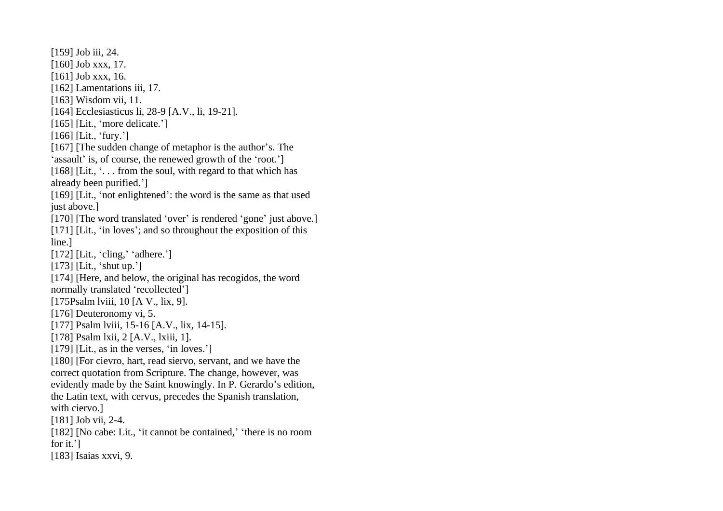[159] Job iii, 24. [160] Job xxx, 17. [161] Job xxx, 16. [162] Lamentations iii, 17. [163] Wisdom vii, 11. [164] Ecclesiasticus li, 28-9 [A.V., li, 19-21]. [165] [Lit., 'more delicate.'] [166] [Lit., 'fury.'] [167] [The sudden change of metaphor is the author's. The 'assault' is, of course, the renewed growth of the 'root.'] [168] [Lit.,  $\ldots$  from the soul, with regard to that which has already been purified.'] [169] [Lit., 'not enlightened': the word is the same as that used just above.] [170] [The word translated 'over' is rendered 'gone' just above.] [171] [Lit., 'in loves'; and so throughout the exposition of this line.] [172] [Lit., 'cling,' 'adhere.'] [173] [Lit., 'shut up.'] [174] [Here, and below, the original has recogidos, the word normally translated 'recollected'] [175Psalm lviii, 10 [A V., lix, 9]. [176] Deuteronomy vi, 5. [177] Psalm lviii, 15-16 [A.V., lix, 14-15]. [178] Psalm lxii, 2 [A.V., lxiii, 1]. [179] [Lit., as in the verses, 'in loves.'] [180] [For cievro, hart, read siervo, servant, and we have the correct quotation from Scripture. The change, however, was evidently made by the Saint knowingly. In P. Gerardo's edition, the Latin text, with cervus, precedes the Spanish translation, with ciervo.] [181] Job vii, 2-4. [182] [No cabe: Lit., 'it cannot be contained,' 'there is no room for it.'] [183] Isaias xxvi, 9.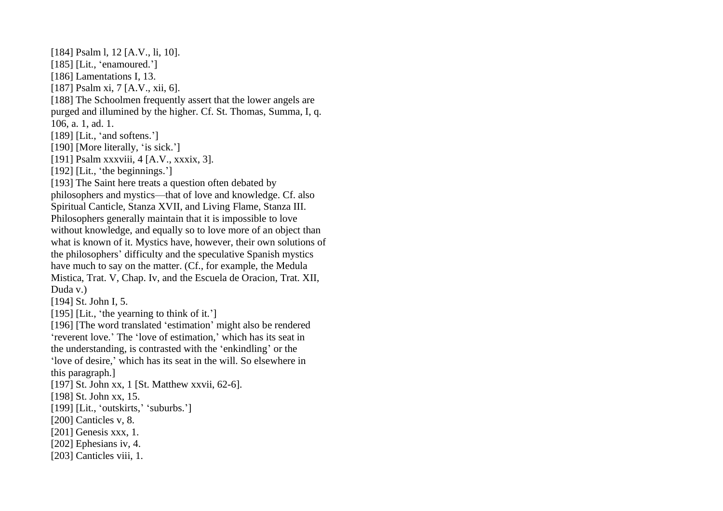[184] Psalm l, 12 [A.V., li, 10]. [185] [Lit., 'enamoured.'] [186] Lamentations I, 13. [187] Psalm xi, 7 [A.V., xii, 6]. [188] The Schoolmen frequently assert that the lower angels are purged and illumined by the higher. Cf. St. Thomas, Summa, I, q. 106, a. 1, ad. 1. [189] [Lit., 'and softens.'] [190] [More literally, 'is sick.'] [191] Psalm xxxviii, 4 [A.V., xxxix, 3]. [192] [Lit., 'the beginnings.'] [193] The Saint here treats a question often debated by philosophers and mystics—that of love and knowledge. Cf. also Spiritual Canticle, Stanza XVII, and Living Flame, Stanza III. Philosophers generally maintain that it is impossible to love without knowledge, and equally so to love more of an object than what is known of it. Mystics have, however, their own solutions of the philosophers' difficulty and the speculative Spanish mystics have much to say on the matter. (Cf., for example, the Medula Mistica, Trat. V, Chap. Iv, and the Escuela de Oracion, Trat. XII, Duda v.) [194] St. John I, 5. [195] [Lit., 'the yearning to think of it.'] [196] [The word translated 'estimation' might also be rendered 'reverent love.' The 'love of estimation,' which has its seat in the understanding, is contrasted with the 'enkindling' or the 'love of desire,' which has its seat in the will. So elsewhere in this paragraph.] [197] St. John xx, 1 [St. Matthew xxvii, 62-6]. [198] St. John xx, 15. [199] [Lit., 'outskirts,' 'suburbs.'] [200] Canticles v, 8. [201] Genesis xxx, 1. [202] Ephesians iv, 4.

[203] Canticles viii, 1.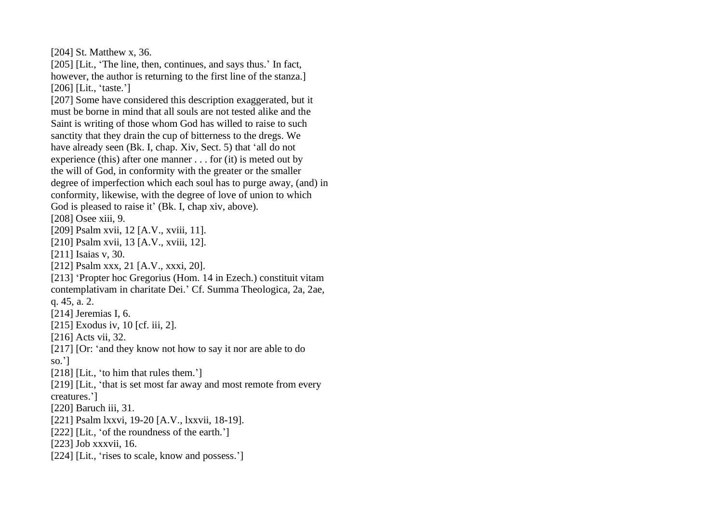[204] St. Matthew x, 36.

[205] [Lit., 'The line, then, continues, and says thus.' In fact, however, the author is returning to the first line of the stanza.] [206] [Lit., 'taste.']

[207] Some have considered this description exaggerated, but it must be borne in mind that all souls are not tested alike and the Saint is writing of those whom God has willed to raise to such sanctity that they drain the cup of bitterness to the dregs. We have already seen (Bk. I, chap. Xiv, Sect. 5) that 'all do not experience (this) after one manner . . . for (it) is meted out by the will of God, in conformity with the greater or the smaller degree of imperfection which each soul has to purge away, (and) in conformity, likewise, with the degree of love of union to which God is pleased to raise it' (Bk. I, chap xiv, above). [208] Osee xiii, 9. [209] Psalm xvii, 12 [A.V., xviii, 11]. [210] Psalm xvii, 13 [A.V., xviii, 12]. [211] Isaias v, 30. [212] Psalm xxx, 21 [A.V., xxxi, 20]. [213] 'Propter hoc Gregorius (Hom. 14 in Ezech.) constituit vitam contemplativam in charitate Dei.' Cf. Summa Theologica, 2a, 2ae, q. 45, a. 2. [214] Jeremias I, 6. [215] Exodus iv, 10 [cf. iii, 2]. [216] Acts vii, 32. [217] [Or: 'and they know not how to say it nor are able to do so.'] [218] [Lit., 'to him that rules them.'] [219] [Lit., 'that is set most far away and most remote from every

creatures.']

[220] Baruch iii, 31.

[221] Psalm lxxvi, 19-20 [A.V., lxxvii, 18-19].

[222] [Lit., 'of the roundness of the earth.']

[223] Job xxxvii, 16.

[224] [Lit., 'rises to scale, know and possess.']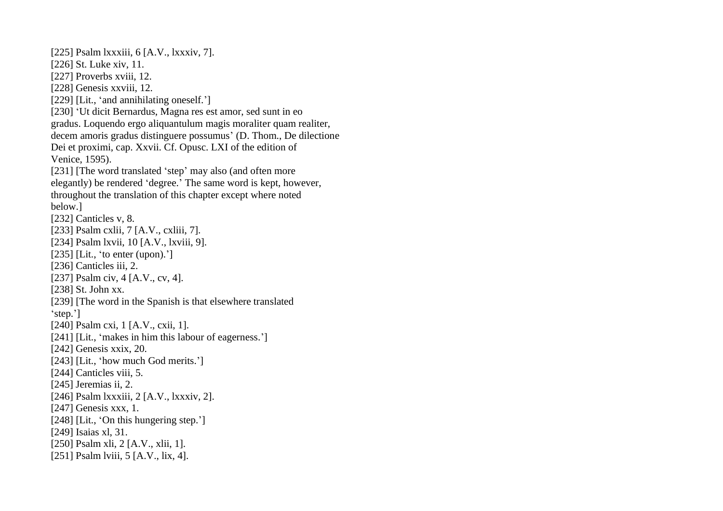[225] Psalm lxxxiii, 6 [A.V., lxxxiv, 7]. [226] St. Luke xiv, 11. [227] Proverbs xviii, 12. [228] Genesis xxviii, 12. [229] [Lit., 'and annihilating oneself.'] [230] 'Ut dicit Bernardus, Magna res est amor, sed sunt in eo gradus. Loquendo ergo aliquantulum magis moraliter quam realiter, decem amoris gradus distinguere possumus' (D. Thom., De dilectione Dei et proximi, cap. Xxvii. Cf. Opusc. LXI of the edition of Venice, 1595). [231] [The word translated 'step' may also (and often more elegantly) be rendered 'degree.' The same word is kept, however, throughout the translation of this chapter except where noted below.] [232] Canticles v, 8. [233] Psalm cxlii, 7 [A.V., cxliii, 7]. [234] Psalm lxvii, 10 [A.V., lxviii, 9].  $[235]$  [Lit., 'to enter (upon).'] [236] Canticles iii, 2. [237] Psalm civ, 4 [A.V., cv, 4]. [238] St. John xx. [239] [The word in the Spanish is that elsewhere translated 'step.'] [240] Psalm cxi, 1 [A.V., cxii, 1]. [241] [Lit., 'makes in him this labour of eagerness.'] [242] Genesis xxix, 20. [243] [Lit., 'how much God merits.'] [244] Canticles viii, 5. [245] Jeremias ii, 2. [246] Psalm lxxxiii, 2 [A.V., lxxxiv, 2]. [247] Genesis xxx, 1. [248] [Lit., 'On this hungering step.'] [249] Isaias xl, 31. [250] Psalm xli, 2 [A.V., xlii, 1]. [251] Psalm lviii, 5 [A.V., lix, 4].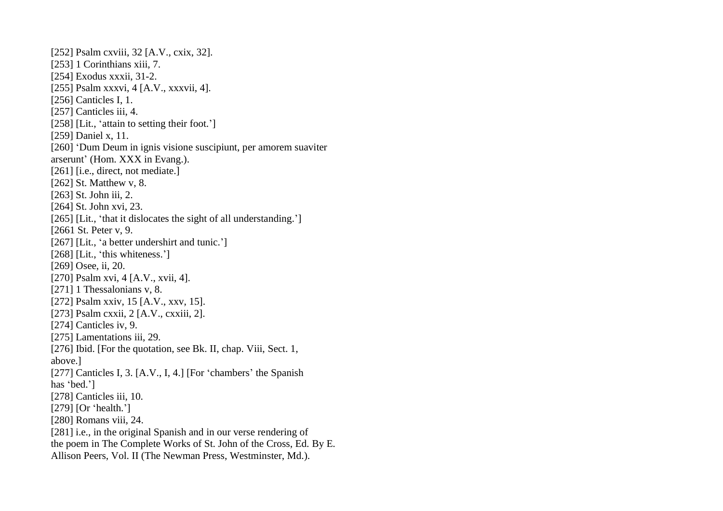[252] Psalm cxviii, 32 [A.V., cxix, 32]. [253] 1 Corinthians xiii, 7. [254] Exodus xxxii, 31-2. [255] Psalm xxxvi, 4 [A.V., xxxvii, 4]. [256] Canticles I, 1. [257] Canticles iii, 4. [258] [Lit., 'attain to setting their foot.'] [259] Daniel x, 11. [260] 'Dum Deum in ignis visione suscipiunt, per amorem suaviter arserunt' (Hom. XXX in Evang.). [261] [i.e., direct, not mediate.] [262] St. Matthew v, 8. [263] St. John iii, 2. [264] St. John xvi, 23. [265] [Lit., 'that it dislocates the sight of all understanding.'] [2661 St. Peter v, 9. [267] [Lit., 'a better undershirt and tunic.'] [268] [Lit., 'this whiteness.'] [269] Osee, ii, 20. [270] Psalm xvi, 4 [A.V., xvii, 4]. [271] 1 Thessalonians v, 8. [272] Psalm xxiv, 15 [A.V., xxv, 15]. [273] Psalm cxxii, 2 [A.V., cxxiii, 2]. [274] Canticles iv, 9. [275] Lamentations iii, 29. [276] Ibid. [For the quotation, see Bk. II, chap. Viii, Sect. 1, above.] [277] Canticles I, 3. [A.V., I, 4.] [For 'chambers' the Spanish has 'bed.'] [278] Canticles iii, 10. [279] [Or 'health.'] [280] Romans viii, 24. [281] i.e., in the original Spanish and in our verse rendering of the poem in The Complete Works of St. John of the Cross, Ed. By E. Allison Peers, Vol. II (The Newman Press, Westminster, Md.).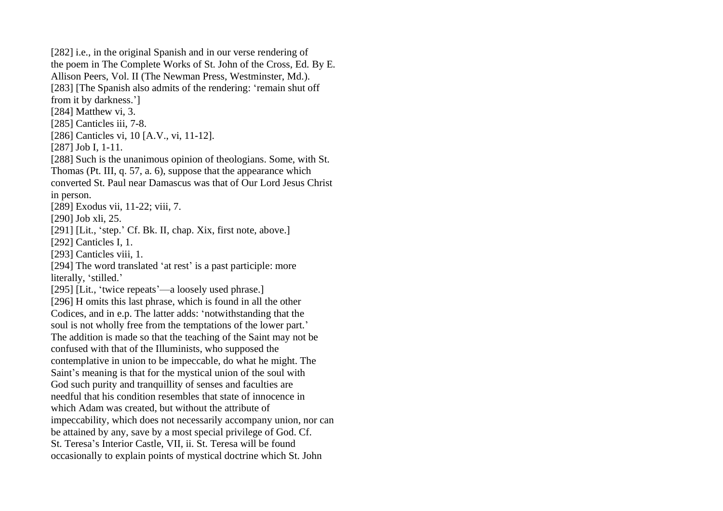the poem in The Complete Works of St. John of the Cross, Ed. By E. Allison Peers, Vol. II (The Newman Press, Westminster, Md.). [283] [The Spanish also admits of the rendering: 'remain shut off from it by darkness.'] [284] Matthew vi, 3. [285] Canticles iii, 7-8. [286] Canticles vi, 10 [A.V., vi, 11-12]. [287] Job I, 1-11. [288] Such is the unanimous opinion of theologians. Some, with St. Thomas (Pt. III, q. 57, a. 6), suppose that the appearance which converted St. Paul near Damascus was that of Our Lord Jesus Christ in person. [289] Exodus vii, 11-22; viii, 7. [290] Job xli, 25. [291] [Lit., 'step.' Cf. Bk. II, chap. Xix, first note, above.] [292] Canticles I, 1. [293] Canticles viii, 1. [294] The word translated 'at rest' is a past participle: more literally, 'stilled.' [295] [Lit., 'twice repeats'—a loosely used phrase.] [296] H omits this last phrase, which is found in all the other Codices, and in e.p. The latter adds: 'notwithstanding that the soul is not wholly free from the temptations of the lower part.' The addition is made so that the teaching of the Saint may not be confused with that of the Illuminists, who supposed the contemplative in union to be impeccable, do what he might. The Saint's meaning is that for the mystical union of the soul with God such purity and tranquillity of senses and faculties are needful that his condition resembles that state of innocence in which Adam was created, but without the attribute of impeccability, which does not necessarily accompany union, nor can be attained by any, save by a most special privilege of God. Cf. St. Teresa's Interior Castle, VII, ii. St. Teresa will be found occasionally to explain points of mystical doctrine which St. John

[282] i.e., in the original Spanish and in our verse rendering of